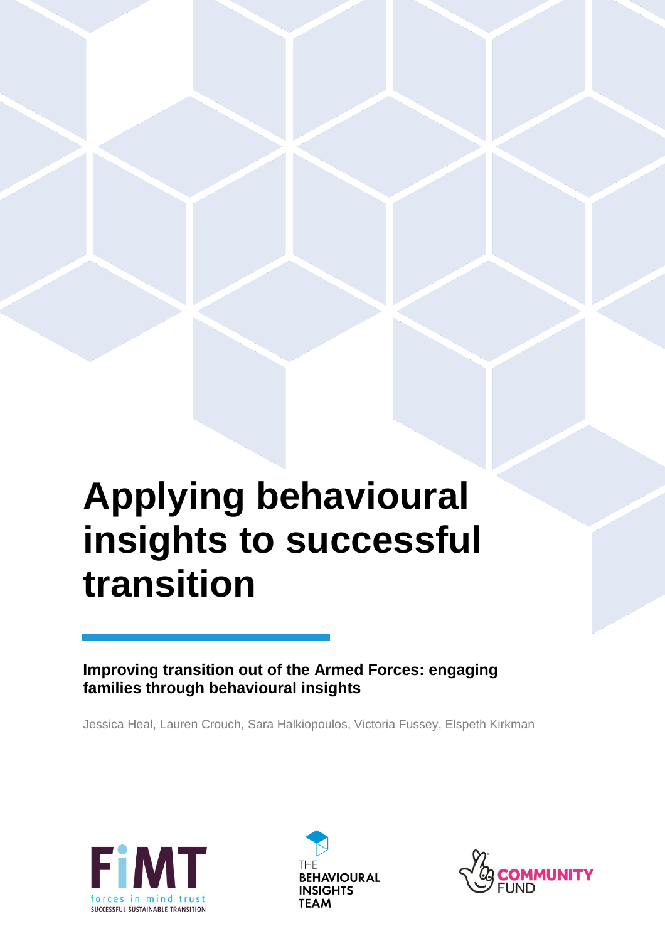# **Applying behavioural insights to successful transition**

**Improving transition out of the Armed Forces: engaging families through behavioural insights** 

Jessica Heal, Lauren Crouch, Sara Halkiopoulos, Victoria Fussey, Elspeth Kirkman





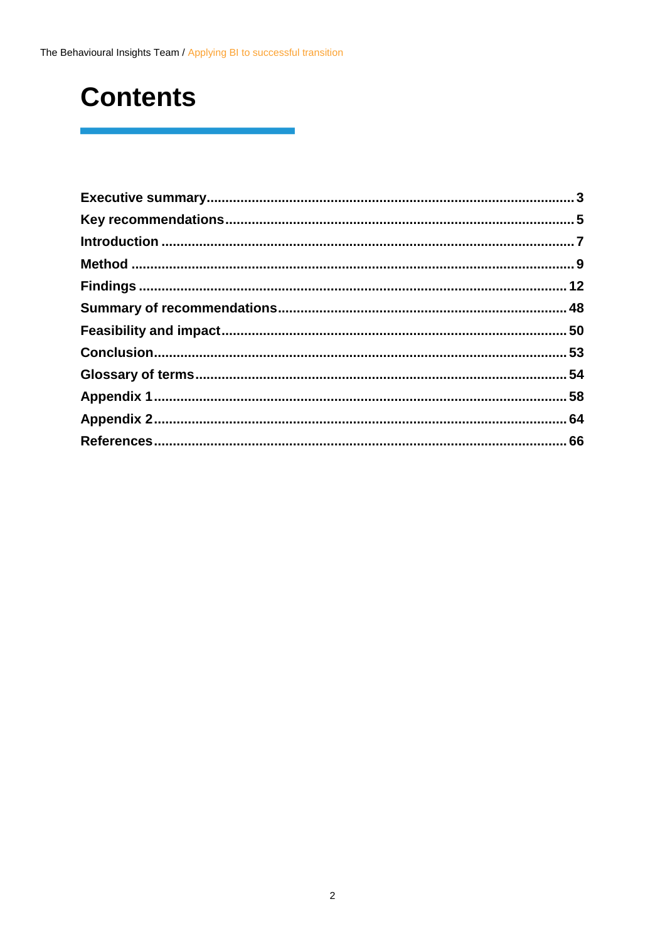### **Contents**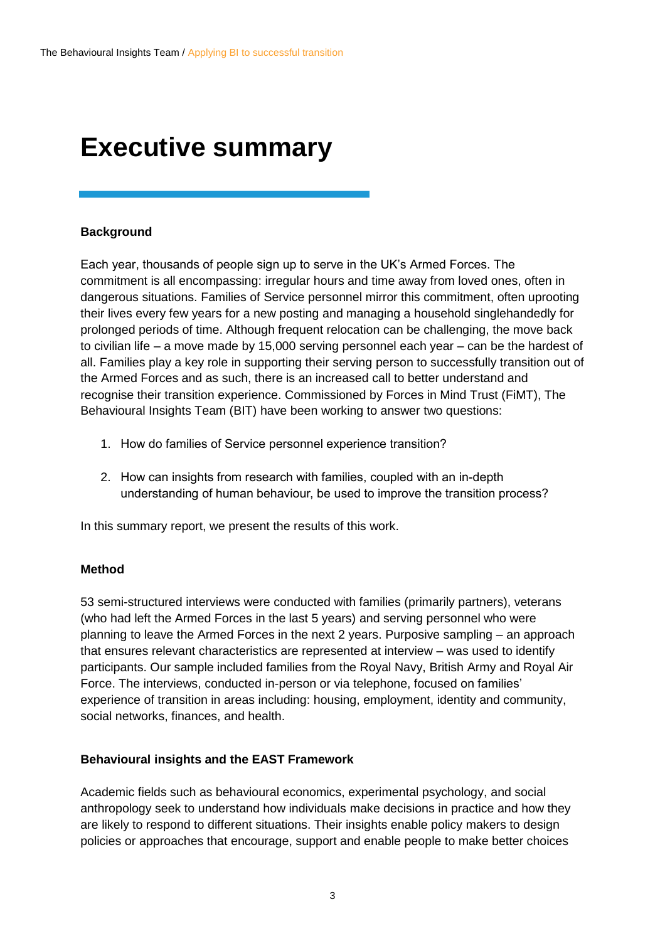### <span id="page-2-0"></span>**Executive summary**

#### **Background**

Each year, thousands of people sign up to serve in the UK's Armed Forces. The commitment is all encompassing: irregular hours and time away from loved ones, often in dangerous situations. Families of Service personnel mirror this commitment, often uprooting their lives every few years for a new posting and managing a household singlehandedly for prolonged periods of time. Although frequent relocation can be challenging, the move back to civilian life – a move made by 15,000 serving personnel each year – can be the hardest of all. Families play a key role in supporting their serving person to successfully transition out of the Armed Forces and as such, there is an increased call to better understand and recognise their transition experience. Commissioned by Forces in Mind Trust (FiMT), The Behavioural Insights Team (BIT) have been working to answer two questions:

- 1. How do families of Service personnel experience transition?
- 2. How can insights from research with families, coupled with an in-depth understanding of human behaviour, be used to improve the transition process?

In this summary report, we present the results of this work.

#### **Method**

53 semi-structured interviews were conducted with families (primarily partners), veterans (who had left the Armed Forces in the last 5 years) and serving personnel who were planning to leave the Armed Forces in the next 2 years. Purposive sampling – an approach that ensures relevant characteristics are represented at interview – was used to identify participants. Our sample included families from the Royal Navy, British Army and Royal Air Force. The interviews, conducted in-person or via telephone, focused on families' experience of transition in areas including: housing, employment, identity and community, social networks, finances, and health.

#### **Behavioural insights and the EAST Framework**

Academic fields such as behavioural economics, experimental psychology, and social anthropology seek to understand how individuals make decisions in practice and how they are likely to respond to different situations. Their insights enable policy makers to design policies or approaches that encourage, support and enable people to make better choices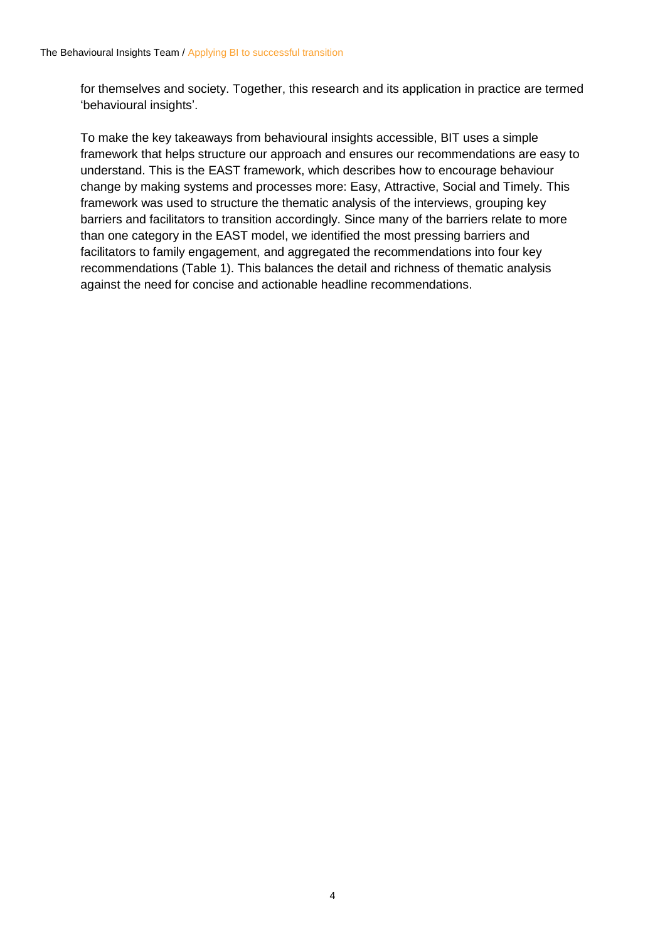for themselves and society. Together, this research and its application in practice are termed 'behavioural insights'.

To make the key takeaways from behavioural insights accessible, BIT uses a simple framework that helps structure our approach and ensures our recommendations are easy to understand. This is the EAST framework, which describes how to encourage behaviour change by making systems and processes more: Easy, Attractive, Social and Timely. This framework was used to structure the thematic analysis of the interviews, grouping key barriers and facilitators to transition accordingly. Since many of the barriers relate to more than one category in the EAST model, we identified the most pressing barriers and facilitators to family engagement, and aggregated the recommendations into four key recommendations (Table 1). This balances the detail and richness of thematic analysis against the need for concise and actionable headline recommendations.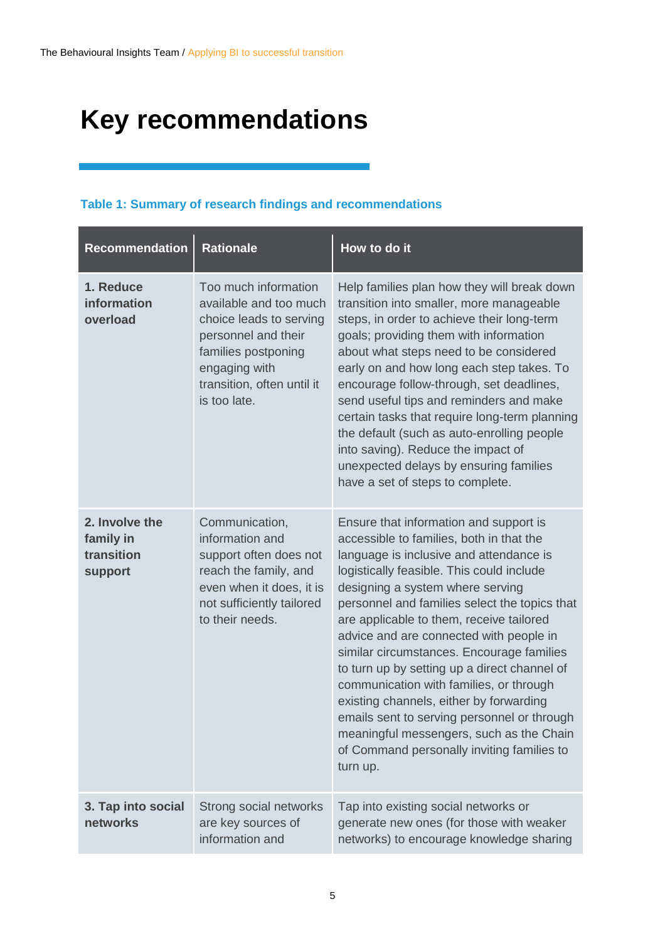## <span id="page-4-0"></span>**Key recommendations**

#### **Table 1: Summary of research findings and recommendations**

| <b>Recommendation</b>                                | <b>Rationale</b>                                                                                                                                                                       | How to do it                                                                                                                                                                                                                                                                                                                                                                                                                                                                                                                                                                                                                                                                                   |
|------------------------------------------------------|----------------------------------------------------------------------------------------------------------------------------------------------------------------------------------------|------------------------------------------------------------------------------------------------------------------------------------------------------------------------------------------------------------------------------------------------------------------------------------------------------------------------------------------------------------------------------------------------------------------------------------------------------------------------------------------------------------------------------------------------------------------------------------------------------------------------------------------------------------------------------------------------|
| 1. Reduce<br>information<br>overload                 | Too much information<br>available and too much<br>choice leads to serving<br>personnel and their<br>families postponing<br>engaging with<br>transition, often until it<br>is too late. | Help families plan how they will break down<br>transition into smaller, more manageable<br>steps, in order to achieve their long-term<br>goals; providing them with information<br>about what steps need to be considered<br>early on and how long each step takes. To<br>encourage follow-through, set deadlines,<br>send useful tips and reminders and make<br>certain tasks that require long-term planning<br>the default (such as auto-enrolling people<br>into saving). Reduce the impact of<br>unexpected delays by ensuring families<br>have a set of steps to complete.                                                                                                               |
| 2. Involve the<br>family in<br>transition<br>support | Communication,<br>information and<br>support often does not<br>reach the family, and<br>even when it does, it is<br>not sufficiently tailored<br>to their needs.                       | Ensure that information and support is<br>accessible to families, both in that the<br>language is inclusive and attendance is<br>logistically feasible. This could include<br>designing a system where serving<br>personnel and families select the topics that<br>are applicable to them, receive tailored<br>advice and are connected with people in<br>similar circumstances. Encourage families<br>to turn up by setting up a direct channel of<br>communication with families, or through<br>existing channels, either by forwarding<br>emails sent to serving personnel or through<br>meaningful messengers, such as the Chain<br>of Command personally inviting families to<br>turn up. |
| 3. Tap into social<br>networks                       | Strong social networks<br>are key sources of<br>information and                                                                                                                        | Tap into existing social networks or<br>generate new ones (for those with weaker<br>networks) to encourage knowledge sharing                                                                                                                                                                                                                                                                                                                                                                                                                                                                                                                                                                   |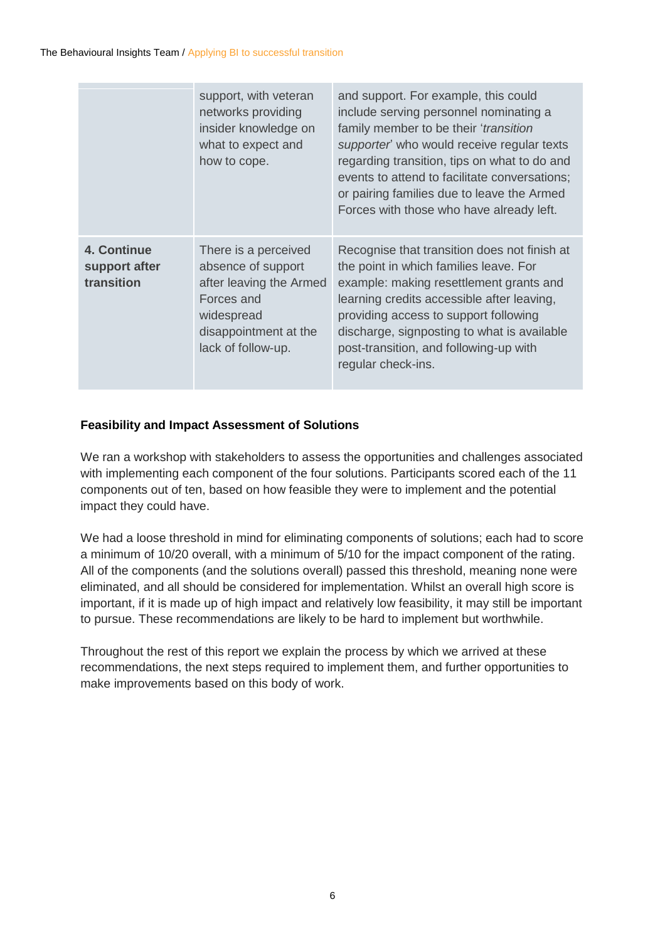|                                            | support, with veteran<br>networks providing<br>insider knowledge on<br>what to expect and<br>how to cope.                                        | and support. For example, this could<br>include serving personnel nominating a<br>family member to be their 'transition<br>supporter' who would receive regular texts<br>regarding transition, tips on what to do and<br>events to attend to facilitate conversations;<br>or pairing families due to leave the Armed<br>Forces with those who have already left. |
|--------------------------------------------|--------------------------------------------------------------------------------------------------------------------------------------------------|------------------------------------------------------------------------------------------------------------------------------------------------------------------------------------------------------------------------------------------------------------------------------------------------------------------------------------------------------------------|
| 4. Continue<br>support after<br>transition | There is a perceived<br>absence of support<br>after leaving the Armed<br>Forces and<br>widespread<br>disappointment at the<br>lack of follow-up. | Recognise that transition does not finish at<br>the point in which families leave. For<br>example: making resettlement grants and<br>learning credits accessible after leaving,<br>providing access to support following<br>discharge, signposting to what is available<br>post-transition, and following-up with<br>regular check-ins.                          |

#### **Feasibility and Impact Assessment of Solutions**

We ran a workshop with stakeholders to assess the opportunities and challenges associated with implementing each component of the four solutions. Participants scored each of the 11 components out of ten, based on how feasible they were to implement and the potential impact they could have.

We had a loose threshold in mind for eliminating components of solutions; each had to score a minimum of 10/20 overall, with a minimum of 5/10 for the impact component of the rating. All of the components (and the solutions overall) passed this threshold, meaning none were eliminated, and all should be considered for implementation. Whilst an overall high score is important, if it is made up of high impact and relatively low feasibility, it may still be important to pursue. These recommendations are likely to be hard to implement but worthwhile.

Throughout the rest of this report we explain the process by which we arrived at these recommendations, the next steps required to implement them, and further opportunities to make improvements based on this body of work.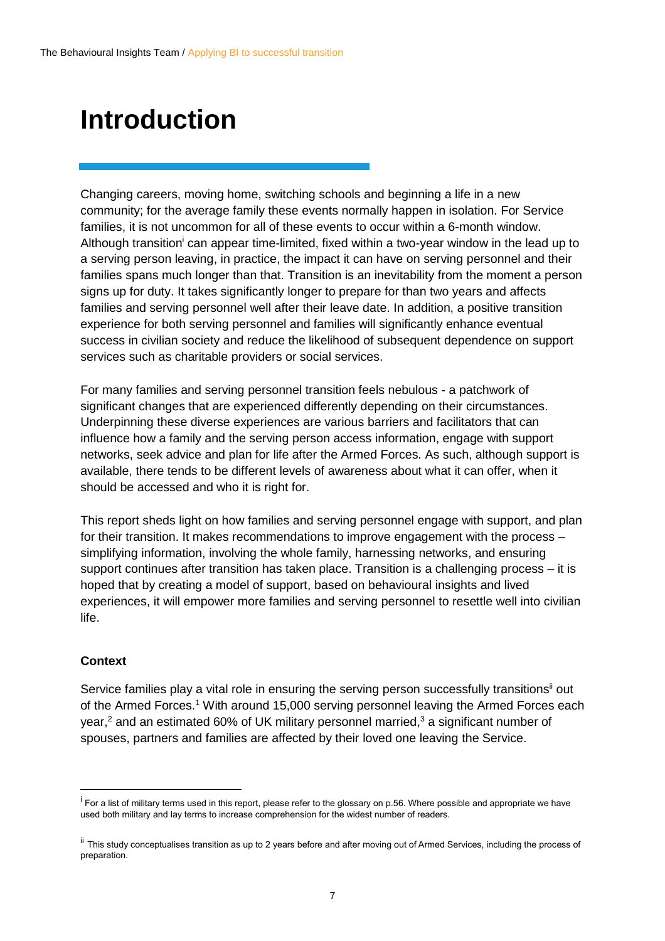### <span id="page-6-0"></span>**Introduction**

Changing careers, moving home, switching schools and beginning a life in a new community; for the average family these events normally happen in isolation. For Service families, it is not uncommon for all of these events to occur within a 6-month window. Although transition<sup>i</sup> can appear time-limited, fixed within a two-year window in the lead up to a serving person leaving, in practice, the impact it can have on serving personnel and their families spans much longer than that. Transition is an inevitability from the moment a person signs up for duty. It takes significantly longer to prepare for than two years and affects families and serving personnel well after their leave date. In addition, a positive transition experience for both serving personnel and families will significantly enhance eventual success in civilian society and reduce the likelihood of subsequent dependence on support services such as charitable providers or social services.

For many families and serving personnel transition feels nebulous - a patchwork of significant changes that are experienced differently depending on their circumstances. Underpinning these diverse experiences are various barriers and facilitators that can influence how a family and the serving person access information, engage with support networks, seek advice and plan for life after the Armed Forces. As such, although support is available, there tends to be different levels of awareness about what it can offer, when it should be accessed and who it is right for.

This report sheds light on how families and serving personnel engage with support, and plan for their transition. It makes recommendations to improve engagement with the process – simplifying information, involving the whole family, harnessing networks, and ensuring support continues after transition has taken place. Transition is a challenging process – it is hoped that by creating a model of support, based on behavioural insights and lived experiences, it will empower more families and serving personnel to resettle well into civilian life.

#### **Context**

 $\overline{a}$ 

Service families play a vital role in ensuring the serving person successfully transitions<sup>ii</sup> out of the Armed Forces. <sup>1</sup> With around 15,000 serving personnel leaving the Armed Forces each year,<sup>2</sup> and an estimated 60% of UK military personnel married,<sup>3</sup> a significant number of spouses, partners and families are affected by their loved one leaving the Service.

<sup>&</sup>lt;sup>i</sup> For a list of military terms used in this report, please refer to the glossary on p.56. Where possible and appropriate we have used both military and lay terms to increase comprehension for the widest number of readers.

ii This study conceptualises transition as up to 2 years before and after moving out of Armed Services, including the process of preparation.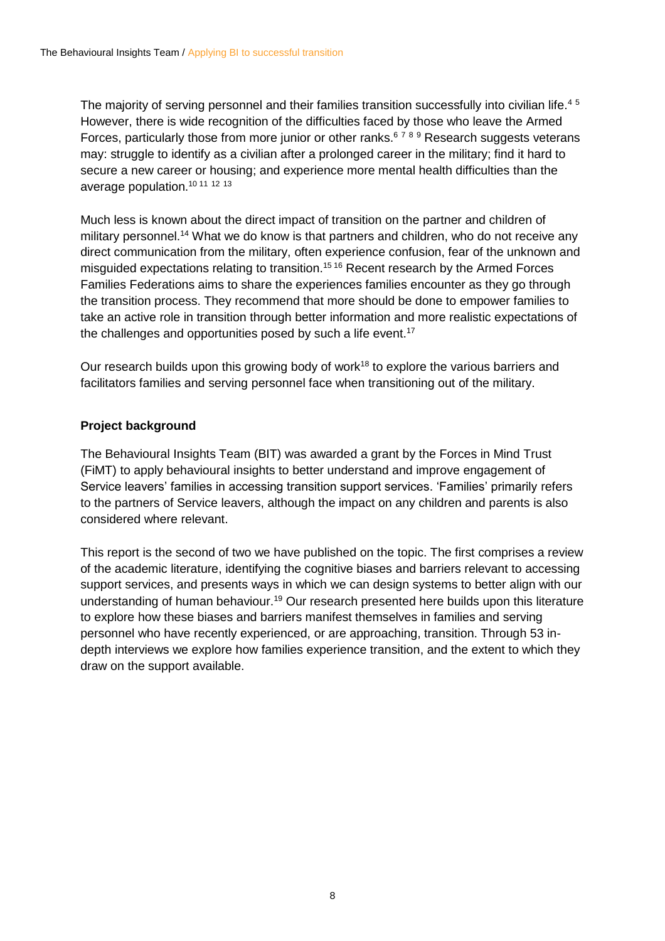The majority of serving personnel and their families transition successfully into civilian life.<sup>45</sup> However, there is wide recognition of the difficulties faced by those who leave the Armed Forces, particularly those from more junior or other ranks.<sup>6789</sup> Research suggests veterans may: struggle to identify as a civilian after a prolonged career in the military; find it hard to secure a new career or housing; and experience more mental health difficulties than the average population.<sup>10</sup> <sup>11</sup> <sup>12</sup> <sup>13</sup>

Much less is known about the direct impact of transition on the partner and children of military personnel.<sup>14</sup> What we do know is that partners and children, who do not receive any direct communication from the military, often experience confusion, fear of the unknown and misguided expectations relating to transition.<sup>15 16</sup> Recent research by the Armed Forces Families Federations aims to share the experiences families encounter as they go through the transition process. They recommend that more should be done to empower families to take an active role in transition through better information and more realistic expectations of the challenges and opportunities posed by such a life event.<sup>17</sup>

Our research builds upon this growing body of work<sup>18</sup> to explore the various barriers and facilitators families and serving personnel face when transitioning out of the military.

#### **Project background**

The Behavioural Insights Team (BIT) was awarded a grant by the Forces in Mind Trust (FiMT) to apply behavioural insights to better understand and improve engagement of Service leavers' families in accessing transition support services. 'Families' primarily refers to the partners of Service leavers, although the impact on any children and parents is also considered where relevant.

This report is the second of two we have published on the topic. The first comprises a review of the academic literature, identifying the cognitive biases and barriers relevant to accessing support services, and presents ways in which we can design systems to better align with our understanding of human behaviour.<sup>19</sup> Our research presented here builds upon this literature to explore how these biases and barriers manifest themselves in families and serving personnel who have recently experienced, or are approaching, transition. Through 53 indepth interviews we explore how families experience transition, and the extent to which they draw on the support available.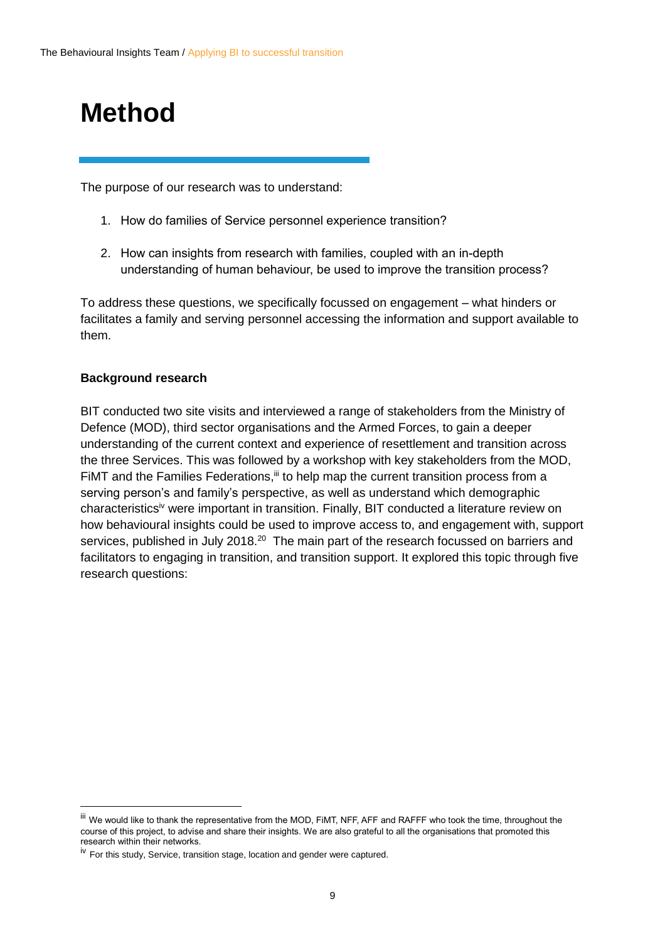## <span id="page-8-0"></span>**Method**

The purpose of our research was to understand:

- 1. How do families of Service personnel experience transition?
- 2. How can insights from research with families, coupled with an in-depth understanding of human behaviour, be used to improve the transition process?

To address these questions, we specifically focussed on engagement – what hinders or facilitates a family and serving personnel accessing the information and support available to them.

#### **Background research**

 $\overline{a}$ 

BIT conducted two site visits and interviewed a range of stakeholders from the Ministry of Defence (MOD), third sector organisations and the Armed Forces, to gain a deeper understanding of the current context and experience of resettlement and transition across the three Services. This was followed by a workshop with key stakeholders from the MOD, FiMT and the Families Federations,<sup>iii</sup> to help map the current transition process from a serving person's and family's perspective, as well as understand which demographic characteristicsiv were important in transition. Finally, BIT conducted a literature review on how behavioural insights could be used to improve access to, and engagement with, support services, published in July 2018.<sup>20</sup> The main part of the research focussed on barriers and facilitators to engaging in transition, and transition support. It explored this topic through five research questions:

iii We would like to thank the representative from the MOD, FiMT, NFF, AFF and RAFFF who took the time, throughout the course of this project, to advise and share their insights. We are also grateful to all the organisations that promoted this research within their networks.

<sup>&</sup>lt;sup>iv</sup> For this study, Service, transition stage, location and gender were captured.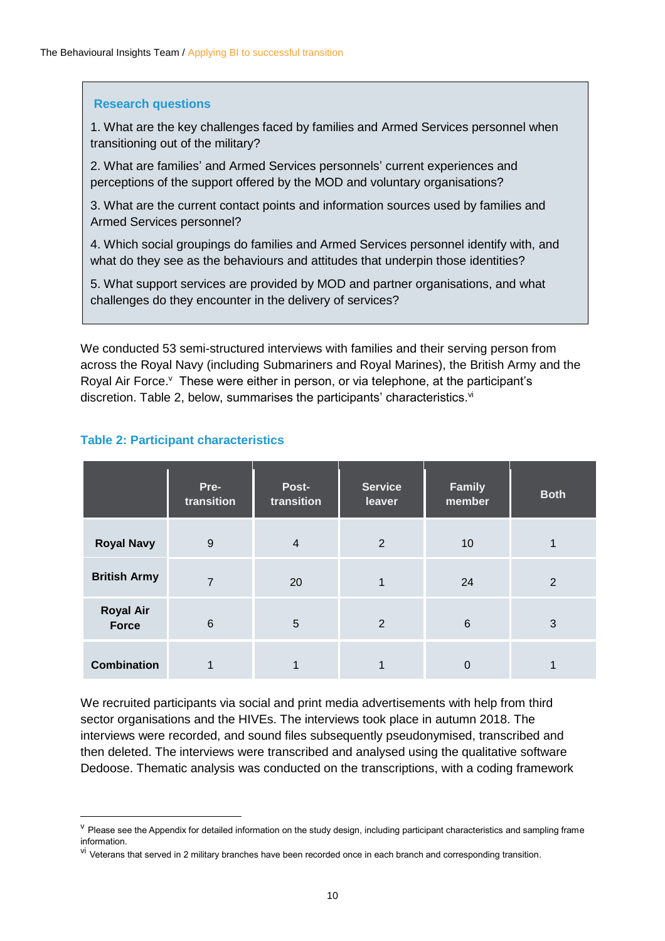#### **Research questions**

1. What are the key challenges faced by families and Armed Services personnel when transitioning out of the military?

2. What are families' and Armed Services personnels' current experiences and perceptions of the support offered by the MOD and voluntary organisations?

3. What are the current contact points and information sources used by families and Armed Services personnel?

4. Which social groupings do families and Armed Services personnel identify with, and what do they see as the behaviours and attitudes that underpin those identities?

5. What support services are provided by MOD and partner organisations, and what challenges do they encounter in the delivery of services?

We conducted 53 semi-structured interviews with families and their serving person from across the Royal Navy (including Submariners and Royal Marines), the British Army and the Royal Air Force.<sup>v</sup> These were either in person, or via telephone, at the participant's discretion. Table 2, below, summarises the participants' characteristics.<sup>vi</sup>

|                           | Pre-<br>transition | Post-<br>transition | <b>Service</b><br>leaver | <b>Family</b><br>member | <b>Both</b> |
|---------------------------|--------------------|---------------------|--------------------------|-------------------------|-------------|
| <b>Royal Navy</b>         | 9                  | $\overline{4}$      | $\overline{2}$           | 10                      |             |
| <b>British Army</b>       | $\overline{7}$     | 20                  | 1                        | 24                      | 2           |
| <b>Royal Air</b><br>Force | $6\phantom{1}6$    | 5                   | $\overline{2}$           | $6\phantom{1}6$         | 3           |
| <b>Combination</b>        |                    |                     |                          | 0                       |             |

#### **Table 2: Participant characteristics**

We recruited participants via social and print media advertisements with help from third sector organisations and the HIVEs. The interviews took place in autumn 2018. The interviews were recorded, and sound files subsequently pseudonymised, transcribed and then deleted. The interviews were transcribed and analysed using the qualitative software Dedoose. Thematic analysis was conducted on the transcriptions, with a coding framework

<sup>&</sup>lt;sup>v</sup> Please see the Appendix for detailed information on the study design, including participant characteristics and sampling frame information.

<sup>&</sup>lt;sup>vi</sup> Veterans that served in 2 military branches have been recorded once in each branch and corresponding transition.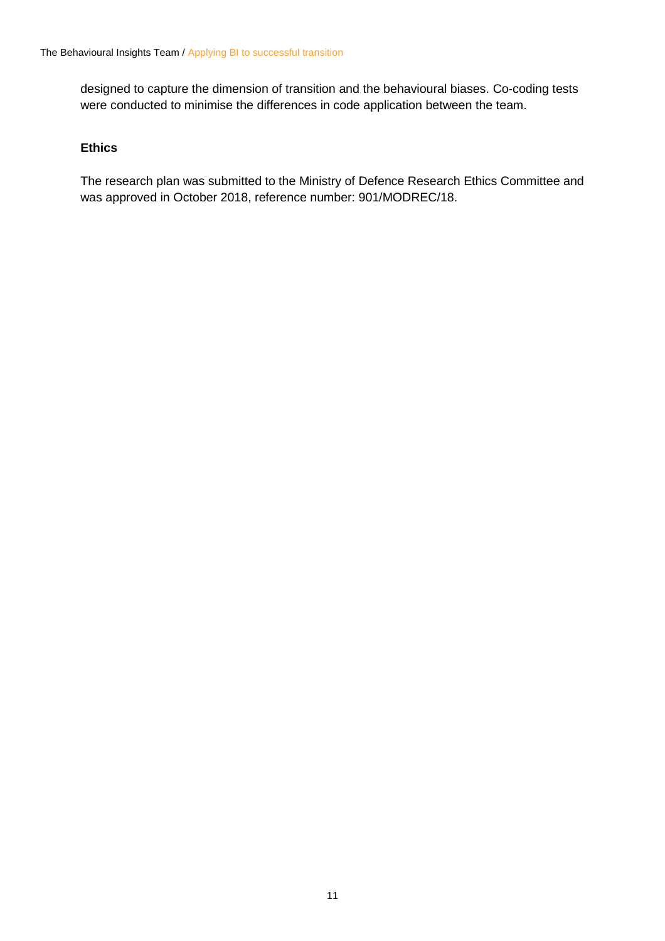designed to capture the dimension of transition and the behavioural biases. Co-coding tests were conducted to minimise the differences in code application between the team.

#### **Ethics**

The research plan was submitted to the Ministry of Defence Research Ethics Committee and was approved in October 2018, reference number: 901/MODREC/18.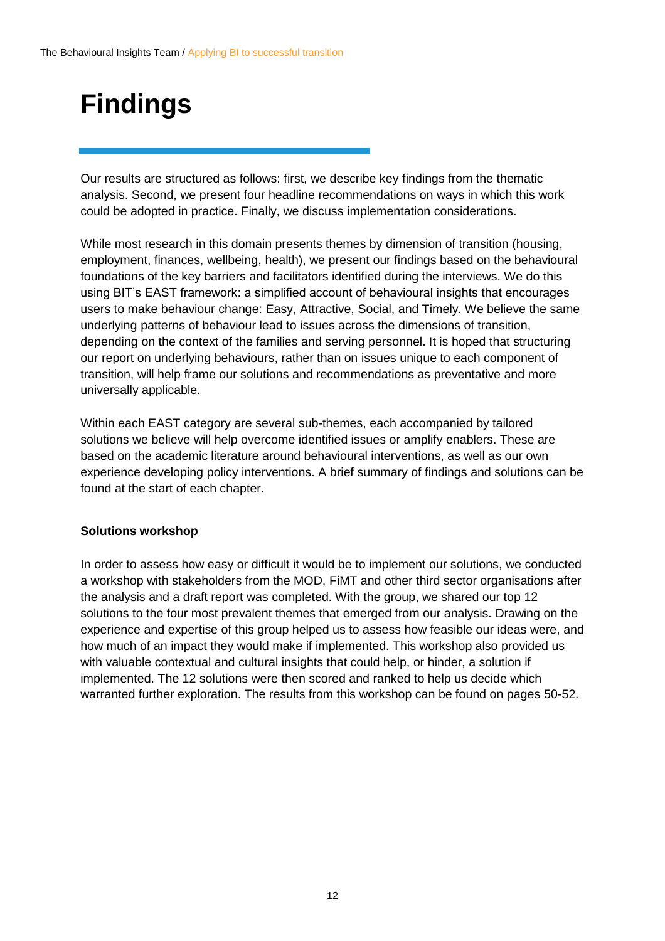## <span id="page-11-0"></span>**Findings**

Our results are structured as follows: first, we describe key findings from the thematic analysis. Second, we present four headline recommendations on ways in which this work could be adopted in practice. Finally, we discuss implementation considerations.

While most research in this domain presents themes by dimension of transition (housing, employment, finances, wellbeing, health), we present our findings based on the behavioural foundations of the key barriers and facilitators identified during the interviews. We do this using BIT's EAST framework: a simplified account of behavioural insights that encourages users to make behaviour change: Easy, Attractive, Social, and Timely. We believe the same underlying patterns of behaviour lead to issues across the dimensions of transition, depending on the context of the families and serving personnel. It is hoped that structuring our report on underlying behaviours, rather than on issues unique to each component of transition, will help frame our solutions and recommendations as preventative and more universally applicable.

Within each EAST category are several sub-themes, each accompanied by tailored solutions we believe will help overcome identified issues or amplify enablers. These are based on the academic literature around behavioural interventions, as well as our own experience developing policy interventions. A brief summary of findings and solutions can be found at the start of each chapter.

#### **Solutions workshop**

In order to assess how easy or difficult it would be to implement our solutions, we conducted a workshop with stakeholders from the MOD, FiMT and other third sector organisations after the analysis and a draft report was completed. With the group, we shared our top 12 solutions to the four most prevalent themes that emerged from our analysis. Drawing on the experience and expertise of this group helped us to assess how feasible our ideas were, and how much of an impact they would make if implemented. This workshop also provided us with valuable contextual and cultural insights that could help, or hinder, a solution if implemented. The 12 solutions were then scored and ranked to help us decide which warranted further exploration. The results from this workshop can be found on pages 50-52.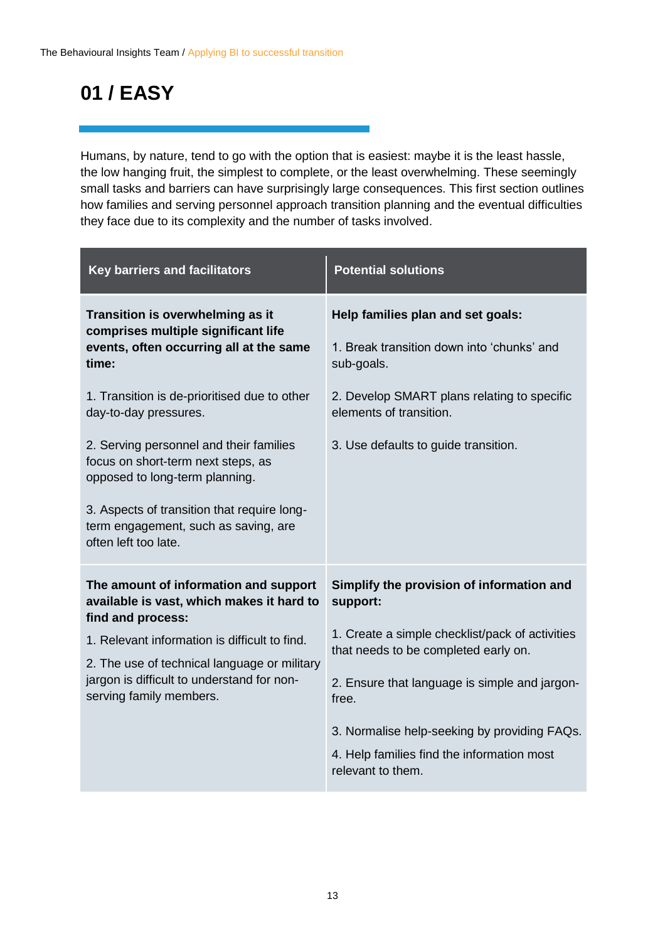### **01 / EASY**

Humans, by nature, tend to go with the option that is easiest: maybe it is the least hassle, the low hanging fruit, the simplest to complete, or the least overwhelming. These seemingly small tasks and barriers can have surprisingly large consequences. This first section outlines how families and serving personnel approach transition planning and the eventual difficulties they face due to its complexity and the number of tasks involved.

| <b>Key barriers and facilitators</b>                                                                                                                                                                                                                                                                                                                                                                                                   | <b>Potential solutions</b>                                                                                                                                                                                                                                                                                                    |
|----------------------------------------------------------------------------------------------------------------------------------------------------------------------------------------------------------------------------------------------------------------------------------------------------------------------------------------------------------------------------------------------------------------------------------------|-------------------------------------------------------------------------------------------------------------------------------------------------------------------------------------------------------------------------------------------------------------------------------------------------------------------------------|
| Transition is overwhelming as it<br>comprises multiple significant life<br>events, often occurring all at the same<br>time:<br>1. Transition is de-prioritised due to other<br>day-to-day pressures.<br>2. Serving personnel and their families<br>focus on short-term next steps, as<br>opposed to long-term planning.<br>3. Aspects of transition that require long-<br>term engagement, such as saving, are<br>often left too late. | Help families plan and set goals:<br>1. Break transition down into 'chunks' and<br>sub-goals.<br>2. Develop SMART plans relating to specific<br>elements of transition.<br>3. Use defaults to guide transition.                                                                                                               |
| The amount of information and support<br>available is vast, which makes it hard to<br>find and process:<br>1. Relevant information is difficult to find.<br>2. The use of technical language or military<br>jargon is difficult to understand for non-<br>serving family members.                                                                                                                                                      | Simplify the provision of information and<br>support:<br>1. Create a simple checklist/pack of activities<br>that needs to be completed early on.<br>2. Ensure that language is simple and jargon-<br>free.<br>3. Normalise help-seeking by providing FAQs.<br>4. Help families find the information most<br>relevant to them. |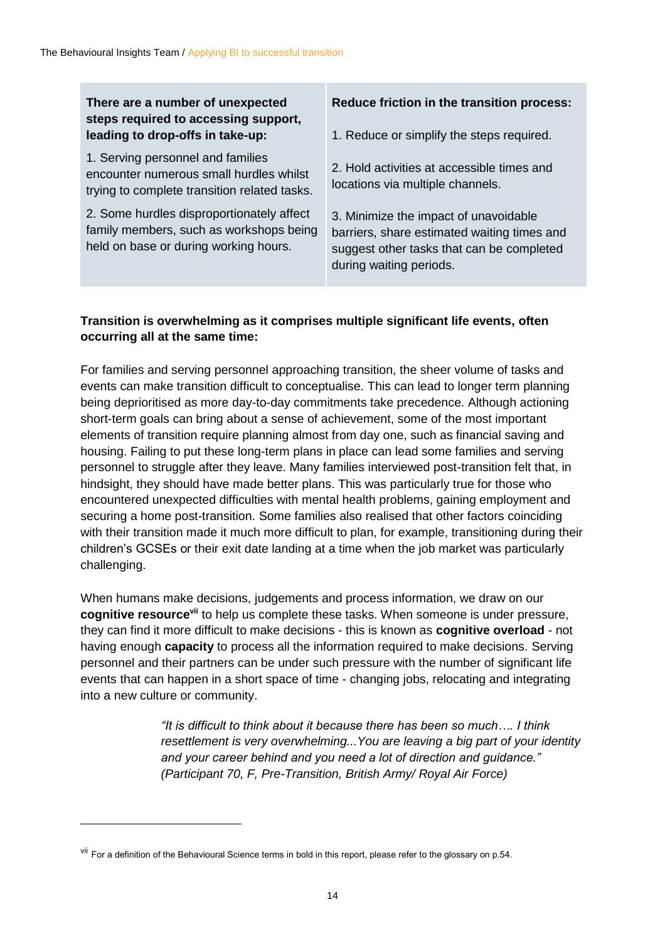#### **There are a number of unexpected steps required to accessing support, leading to drop-offs in take-up:**

1. Serving personnel and families encounter numerous small hurdles whilst trying to complete transition related tasks.

2. Some hurdles disproportionately affect family members, such as workshops being held on base or during working hours.

#### **Reduce friction in the transition process:**

1. Reduce or simplify the steps required.

2. Hold activities at accessible times and locations via multiple channels.

3. Minimize the impact of unavoidable barriers, share estimated waiting times and suggest other tasks that can be completed during waiting periods.

#### **Transition is overwhelming as it comprises multiple significant life events, often occurring all at the same time:**

For families and serving personnel approaching transition, the sheer volume of tasks and events can make transition difficult to conceptualise. This can lead to longer term planning being deprioritised as more day-to-day commitments take precedence. Although actioning short-term goals can bring about a sense of achievement, some of the most important elements of transition require planning almost from day one, such as financial saving and housing. Failing to put these long-term plans in place can lead some families and serving personnel to struggle after they leave. Many families interviewed post-transition felt that, in hindsight, they should have made better plans. This was particularly true for those who encountered unexpected difficulties with mental health problems, gaining employment and securing a home post-transition. Some families also realised that other factors coinciding with their transition made it much more difficult to plan, for example, transitioning during their children's GCSEs or their exit date landing at a time when the job market was particularly challenging.

When humans make decisions, judgements and process information, we draw on our **cognitive resourcevii** to help us complete these tasks. When someone is under pressure, they can find it more difficult to make decisions - this is known as **cognitive overload** - not having enough **capacity** to process all the information required to make decisions. Serving personnel and their partners can be under such pressure with the number of significant life events that can happen in a short space of time - changing jobs, relocating and integrating into a new culture or community.

> *"It is difficult to think about it because there has been so much…. I think resettlement is very overwhelming...You are leaving a big part of your identity and your career behind and you need a lot of direction and guidance." (Participant 70, F, Pre-Transition, British Army/ Royal Air Force)*

 $\overline{a}$ 

<sup>&</sup>lt;sup>vii</sup> For a definition of the Behavioural Science terms in bold in this report, please refer to the glossary on p.54.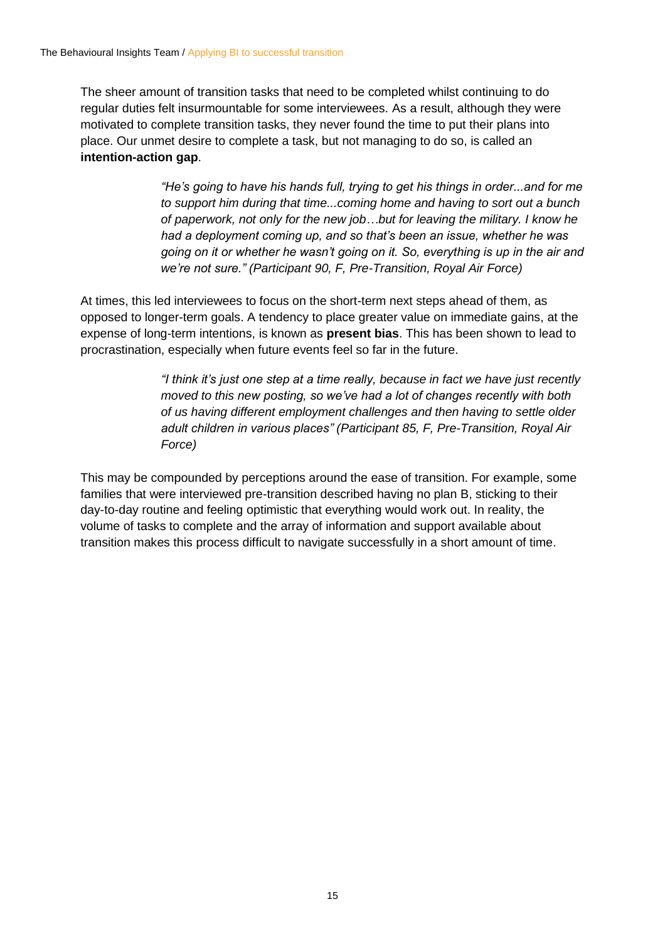The sheer amount of transition tasks that need to be completed whilst continuing to do regular duties felt insurmountable for some interviewees. As a result, although they were motivated to complete transition tasks, they never found the time to put their plans into place. Our unmet desire to complete a task, but not managing to do so, is called an **intention-action gap**.

> *"He's going to have his hands full, trying to get his things in order...and for me to support him during that time...coming home and having to sort out a bunch of paperwork, not only for the new job…but for leaving the military. I know he had a deployment coming up, and so that's been an issue, whether he was going on it or whether he wasn't going on it. So, everything is up in the air and we're not sure." (Participant 90, F, Pre-Transition, Royal Air Force)*

At times, this led interviewees to focus on the short-term next steps ahead of them, as opposed to longer-term goals. A tendency to place greater value on immediate gains, at the expense of long-term intentions, is known as **present bias**. This has been shown to lead to procrastination, especially when future events feel so far in the future.

> *"I think it's just one step at a time really, because in fact we have just recently moved to this new posting, so we've had a lot of changes recently with both of us having different employment challenges and then having to settle older adult children in various places" (Participant 85, F, Pre-Transition, Royal Air Force)*

This may be compounded by perceptions around the ease of transition. For example, some families that were interviewed pre-transition described having no plan B, sticking to their day-to-day routine and feeling optimistic that everything would work out. In reality, the volume of tasks to complete and the array of information and support available about transition makes this process difficult to navigate successfully in a short amount of time.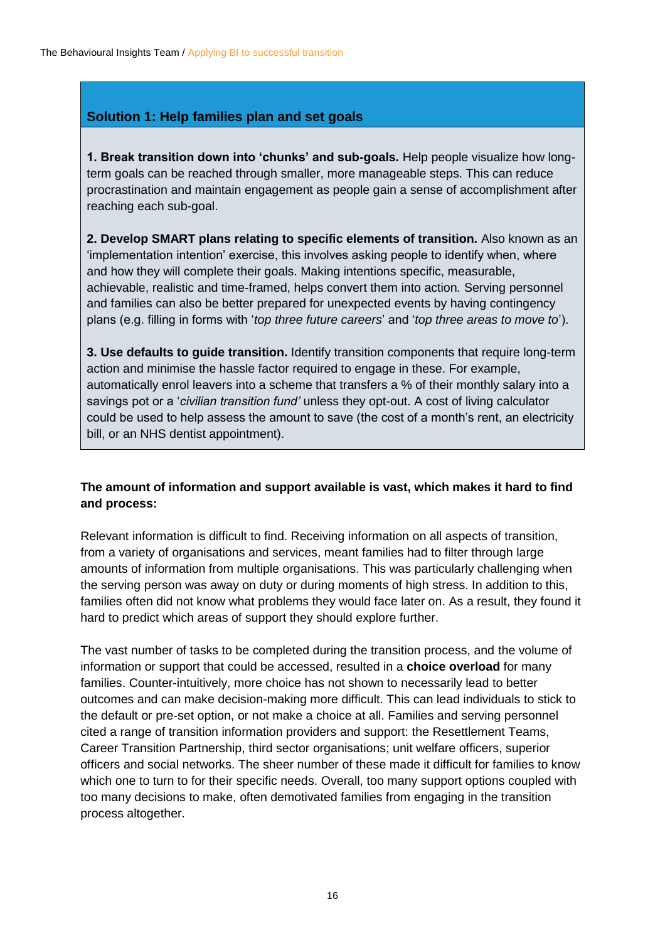#### **Solution 1: Help families plan and set goals**

**1. Break transition down into 'chunks' and sub-goals.** Help people visualize how longterm goals can be reached through smaller, more manageable steps. This can reduce procrastination and maintain engagement as people gain a sense of accomplishment after reaching each sub-goal.

**2. Develop SMART plans relating to specific elements of transition.** Also known as an 'implementation intention' exercise, this involves asking people to identify when, where and how they will complete their goals. Making intentions specific, measurable, achievable, realistic and time-framed, helps convert them into action*.* Serving personnel and families can also be better prepared for unexpected events by having contingency plans (e.g. filling in forms with '*top three future careers*' and '*top three areas to move to*').

**3. Use defaults to guide transition.** Identify transition components that require long-term action and minimise the hassle factor required to engage in these. For example, automatically enrol leavers into a scheme that transfers a % of their monthly salary into a savings pot or a '*civilian transition fund'* unless they opt-out. A cost of living calculator could be used to help assess the amount to save (the cost of a month's rent, an electricity bill, or an NHS dentist appointment).

#### **The amount of information and support available is vast, which makes it hard to find and process:**

Relevant information is difficult to find. Receiving information on all aspects of transition, from a variety of organisations and services, meant families had to filter through large amounts of information from multiple organisations. This was particularly challenging when the serving person was away on duty or during moments of high stress. In addition to this, families often did not know what problems they would face later on. As a result, they found it hard to predict which areas of support they should explore further.

The vast number of tasks to be completed during the transition process, and the volume of information or support that could be accessed, resulted in a **choice overload** for many families. Counter-intuitively, more choice has not shown to necessarily lead to better outcomes and can make decision-making more difficult. This can lead individuals to stick to the default or pre-set option, or not make a choice at all. Families and serving personnel cited a range of transition information providers and support: the Resettlement Teams, Career Transition Partnership, third sector organisations; unit welfare officers, superior officers and social networks. The sheer number of these made it difficult for families to know which one to turn to for their specific needs. Overall, too many support options coupled with too many decisions to make, often demotivated families from engaging in the transition process altogether.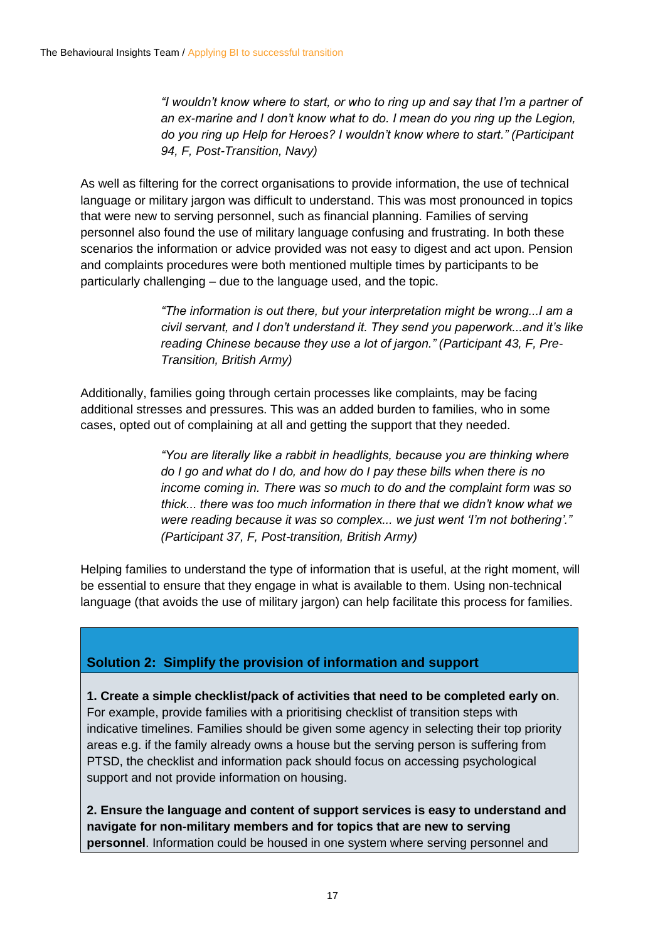*"I wouldn't know where to start, or who to ring up and say that I'm a partner of an ex-marine and I don't know what to do. I mean do you ring up the Legion, do you ring up Help for Heroes? I wouldn't know where to start." (Participant 94, F, Post-Transition, Navy)*

As well as filtering for the correct organisations to provide information, the use of technical language or military jargon was difficult to understand. This was most pronounced in topics that were new to serving personnel, such as financial planning. Families of serving personnel also found the use of military language confusing and frustrating. In both these scenarios the information or advice provided was not easy to digest and act upon. Pension and complaints procedures were both mentioned multiple times by participants to be particularly challenging – due to the language used, and the topic.

> *"The information is out there, but your interpretation might be wrong...I am a civil servant, and I don't understand it. They send you paperwork...and it's like reading Chinese because they use a lot of jargon." (Participant 43, F, Pre-Transition, British Army)*

Additionally, families going through certain processes like complaints, may be facing additional stresses and pressures. This was an added burden to families, who in some cases, opted out of complaining at all and getting the support that they needed.

> *"You are literally like a rabbit in headlights, because you are thinking where do I go and what do I do, and how do I pay these bills when there is no income coming in. There was so much to do and the complaint form was so thick... there was too much information in there that we didn't know what we were reading because it was so complex... we just went 'I'm not bothering'." (Participant 37, F, Post-transition, British Army)*

Helping families to understand the type of information that is useful, at the right moment, will be essential to ensure that they engage in what is available to them. Using non-technical language (that avoids the use of military jargon) can help facilitate this process for families.

#### **Solution 2: Simplify the provision of information and support**

**1. Create a simple checklist/pack of activities that need to be completed early on**. For example, provide families with a prioritising checklist of transition steps with indicative timelines. Families should be given some agency in selecting their top priority areas e.g. if the family already owns a house but the serving person is suffering from PTSD, the checklist and information pack should focus on accessing psychological support and not provide information on housing.

**2. Ensure the language and content of support services is easy to understand and navigate for non-military members and for topics that are new to serving personnel**. Information could be housed in one system where serving personnel and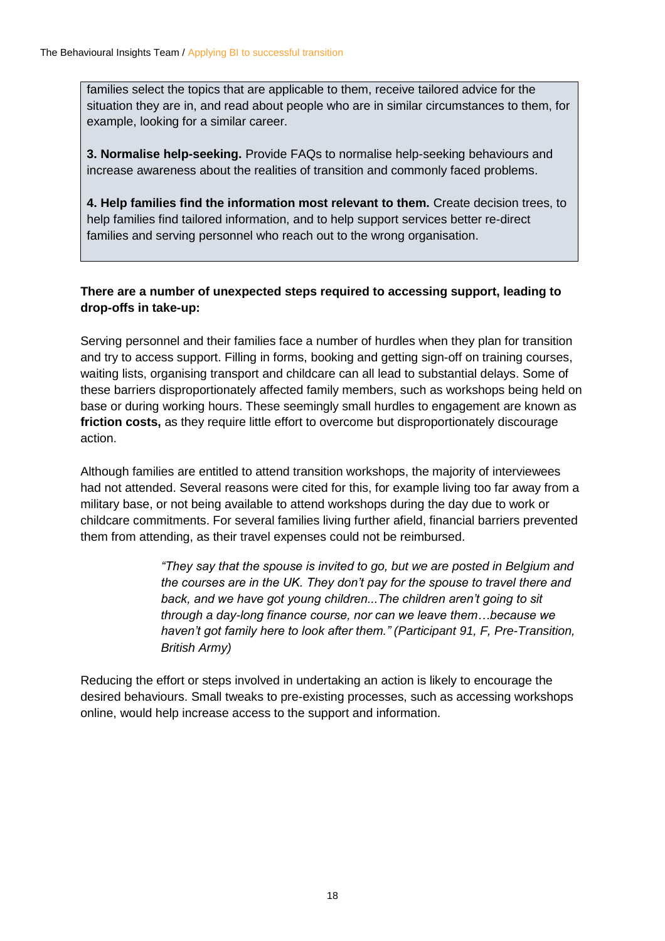families select the topics that are applicable to them, receive tailored advice for the situation they are in, and read about people who are in similar circumstances to them, for example, looking for a similar career.

**3. Normalise help-seeking.** Provide FAQs to normalise help-seeking behaviours and increase awareness about the realities of transition and commonly faced problems.

**4. Help families find the information most relevant to them.** Create decision trees, to help families find tailored information, and to help support services better re-direct families and serving personnel who reach out to the wrong organisation.

#### **There are a number of unexpected steps required to accessing support, leading to drop-offs in take-up:**

Serving personnel and their families face a number of hurdles when they plan for transition and try to access support. Filling in forms, booking and getting sign-off on training courses, waiting lists, organising transport and childcare can all lead to substantial delays. Some of these barriers disproportionately affected family members, such as workshops being held on base or during working hours. These seemingly small hurdles to engagement are known as **friction costs,** as they require little effort to overcome but disproportionately discourage action.

Although families are entitled to attend transition workshops, the majority of interviewees had not attended. Several reasons were cited for this, for example living too far away from a military base, or not being available to attend workshops during the day due to work or childcare commitments. For several families living further afield, financial barriers prevented them from attending, as their travel expenses could not be reimbursed.

> *"They say that the spouse is invited to go, but we are posted in Belgium and the courses are in the UK. They don't pay for the spouse to travel there and back, and we have got young children...The children aren't going to sit through a day-long finance course, nor can we leave them…because we haven't got family here to look after them." (Participant 91, F, Pre-Transition, British Army)*

Reducing the effort or steps involved in undertaking an action is likely to encourage the desired behaviours. Small tweaks to pre-existing processes, such as accessing workshops online, would help increase access to the support and information.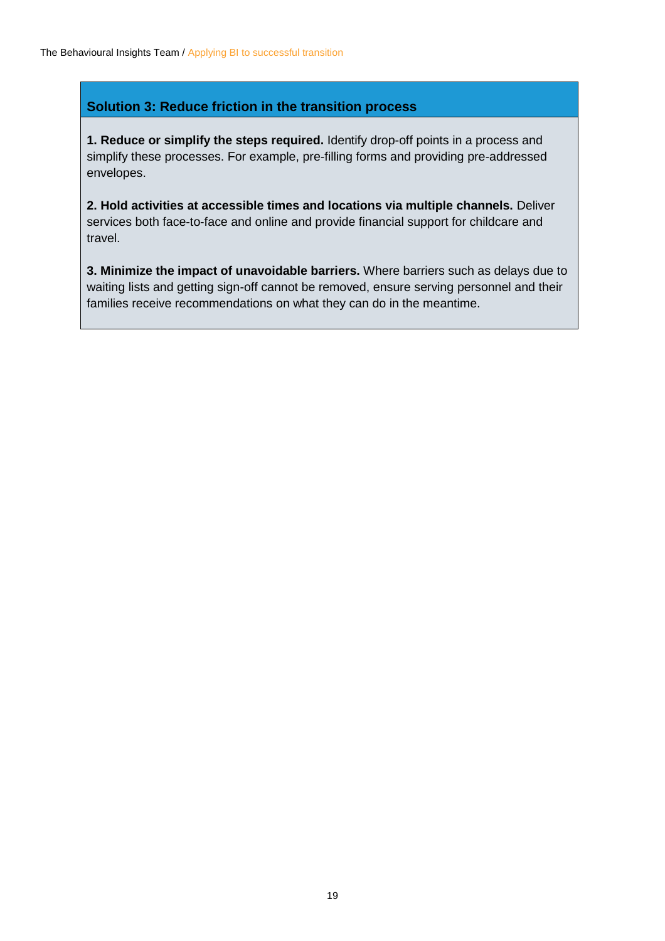#### **Solution 3: Reduce friction in the transition process**

**1. Reduce or simplify the steps required.** Identify drop-off points in a process and simplify these processes. For example, pre-filling forms and providing pre-addressed envelopes.

**2. Hold activities at accessible times and locations via multiple channels.** Deliver services both face-to-face and online and provide financial support for childcare and travel.

**3. Minimize the impact of unavoidable barriers.** Where barriers such as delays due to waiting lists and getting sign-off cannot be removed, ensure serving personnel and their families receive recommendations on what they can do in the meantime.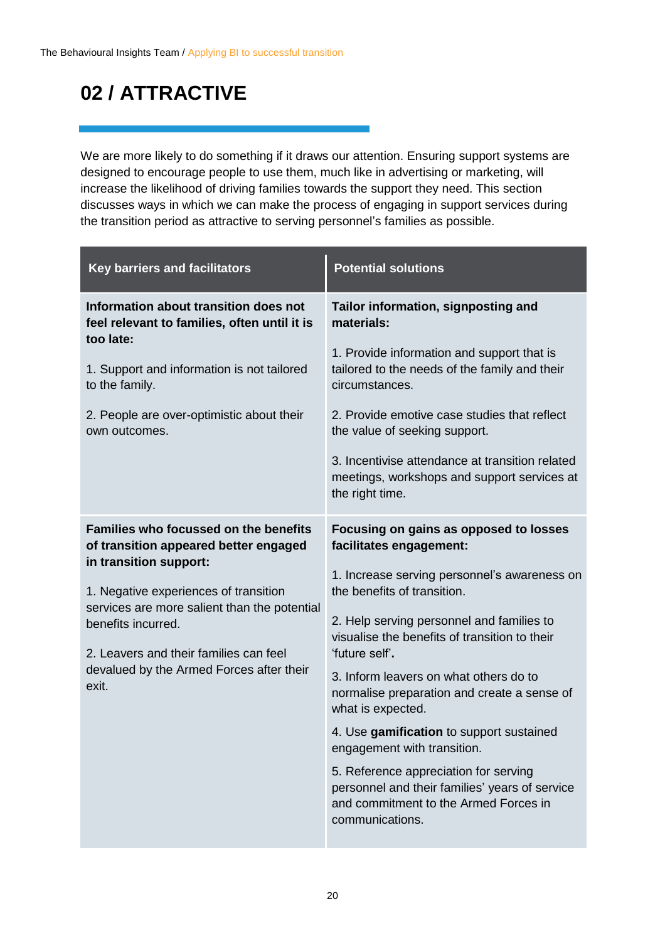### **02 / ATTRACTIVE**

We are more likely to do something if it draws our attention. Ensuring support systems are designed to encourage people to use them, much like in advertising or marketing, will increase the likelihood of driving families towards the support they need. This section discusses ways in which we can make the process of engaging in support services during the transition period as attractive to serving personnel's families as possible.

| <b>Key barriers and facilitators</b>                                                                            | <b>Potential solutions</b>                                                                                                                          |
|-----------------------------------------------------------------------------------------------------------------|-----------------------------------------------------------------------------------------------------------------------------------------------------|
| Information about transition does not<br>feel relevant to families, often until it is                           | Tailor information, signposting and<br>materials:                                                                                                   |
| too late:<br>1. Support and information is not tailored<br>to the family.                                       | 1. Provide information and support that is<br>tailored to the needs of the family and their<br>circumstances.                                       |
| 2. People are over-optimistic about their<br>own outcomes.                                                      | 2. Provide emotive case studies that reflect<br>the value of seeking support.                                                                       |
|                                                                                                                 | 3. Incentivise attendance at transition related<br>meetings, workshops and support services at<br>the right time.                                   |
| <b>Families who focussed on the benefits</b><br>of transition appeared better engaged<br>in transition support: | Focusing on gains as opposed to losses<br>facilitates engagement:                                                                                   |
| 1. Negative experiences of transition                                                                           | 1. Increase serving personnel's awareness on<br>the benefits of transition.                                                                         |
| services are more salient than the potential<br>benefits incurred.<br>2. Leavers and their families can feel    | 2. Help serving personnel and families to<br>visualise the benefits of transition to their<br>'future self'.                                        |
| devalued by the Armed Forces after their<br>exit.                                                               | 3. Inform leavers on what others do to<br>normalise preparation and create a sense of<br>what is expected.                                          |
|                                                                                                                 | 4. Use gamification to support sustained<br>engagement with transition.                                                                             |
|                                                                                                                 | 5. Reference appreciation for serving<br>personnel and their families' years of service<br>and commitment to the Armed Forces in<br>communications. |
|                                                                                                                 |                                                                                                                                                     |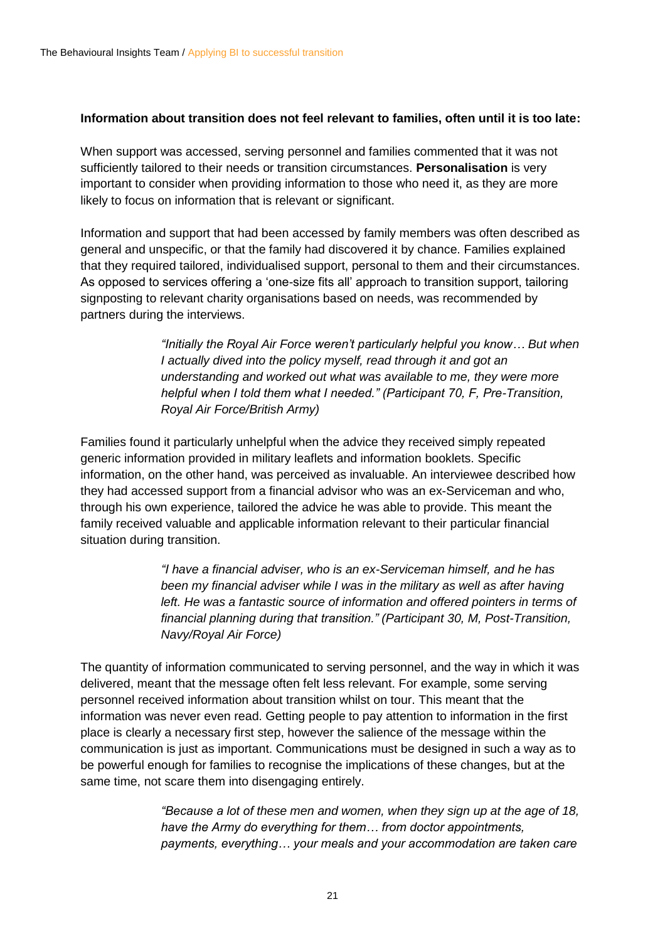#### **Information about transition does not feel relevant to families, often until it is too late:**

When support was accessed, serving personnel and families commented that it was not sufficiently tailored to their needs or transition circumstances. **Personalisation** is very important to consider when providing information to those who need it, as they are more likely to focus on information that is relevant or significant.

Information and support that had been accessed by family members was often described as general and unspecific, or that the family had discovered it by chance. Families explained that they required tailored, individualised support, personal to them and their circumstances. As opposed to services offering a 'one-size fits all' approach to transition support, tailoring signposting to relevant charity organisations based on needs, was recommended by partners during the interviews.

> *"Initially the Royal Air Force weren't particularly helpful you know… But when I actually dived into the policy myself, read through it and got an understanding and worked out what was available to me, they were more helpful when I told them what I needed." (Participant 70, F, Pre-Transition, Royal Air Force/British Army)*

Families found it particularly unhelpful when the advice they received simply repeated generic information provided in military leaflets and information booklets. Specific information, on the other hand, was perceived as invaluable. An interviewee described how they had accessed support from a financial advisor who was an ex-Serviceman and who, through his own experience, tailored the advice he was able to provide. This meant the family received valuable and applicable information relevant to their particular financial situation during transition.

> *"I have a financial adviser, who is an ex-Serviceman himself, and he has been my financial adviser while I was in the military as well as after having left. He was a fantastic source of information and offered pointers in terms of financial planning during that transition." (Participant 30, M, Post-Transition, Navy/Royal Air Force)*

The quantity of information communicated to serving personnel, and the way in which it was delivered, meant that the message often felt less relevant. For example, some serving personnel received information about transition whilst on tour. This meant that the information was never even read. Getting people to pay attention to information in the first place is clearly a necessary first step, however the salience of the message within the communication is just as important. Communications must be designed in such a way as to be powerful enough for families to recognise the implications of these changes, but at the same time, not scare them into disengaging entirely.

> *"Because a lot of these men and women, when they sign up at the age of 18, have the Army do everything for them… from doctor appointments, payments, everything… your meals and your accommodation are taken care*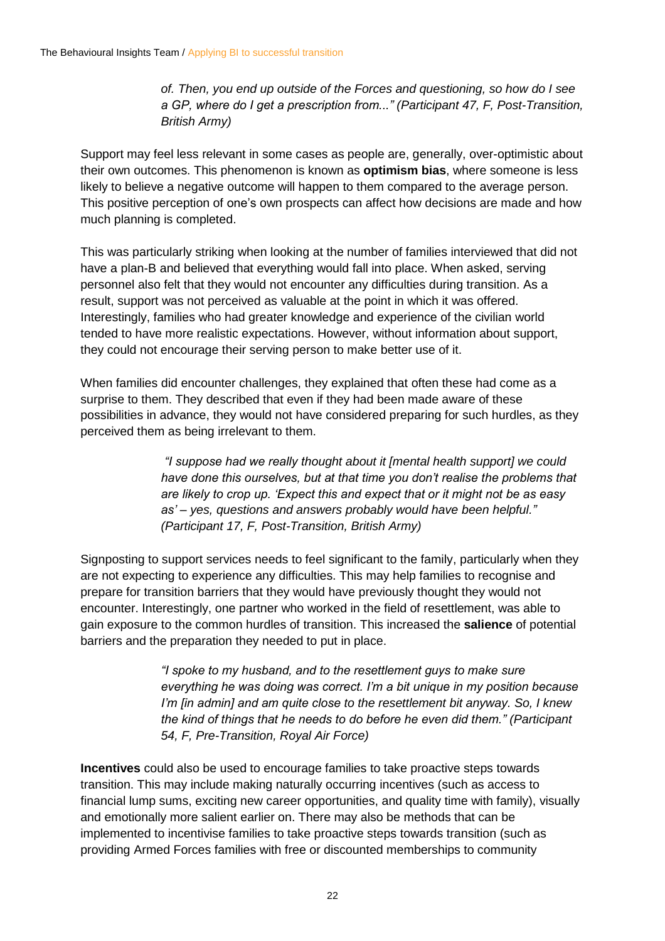*of. Then, you end up outside of the Forces and questioning, so how do I see a GP, where do I get a prescription from..." (Participant 47, F, Post-Transition, British Army)*

Support may feel less relevant in some cases as people are, generally, over-optimistic about their own outcomes. This phenomenon is known as **optimism bias**, where someone is less likely to believe a negative outcome will happen to them compared to the average person. This positive perception of one's own prospects can affect how decisions are made and how much planning is completed.

This was particularly striking when looking at the number of families interviewed that did not have a plan-B and believed that everything would fall into place. When asked, serving personnel also felt that they would not encounter any difficulties during transition. As a result, support was not perceived as valuable at the point in which it was offered. Interestingly, families who had greater knowledge and experience of the civilian world tended to have more realistic expectations. However, without information about support, they could not encourage their serving person to make better use of it.

When families did encounter challenges, they explained that often these had come as a surprise to them. They described that even if they had been made aware of these possibilities in advance, they would not have considered preparing for such hurdles, as they perceived them as being irrelevant to them.

> *"I suppose had we really thought about it [mental health support] we could have done this ourselves, but at that time you don't realise the problems that are likely to crop up. 'Expect this and expect that or it might not be as easy as' – yes, questions and answers probably would have been helpful." (Participant 17, F, Post-Transition, British Army)*

Signposting to support services needs to feel significant to the family, particularly when they are not expecting to experience any difficulties. This may help families to recognise and prepare for transition barriers that they would have previously thought they would not encounter. Interestingly, one partner who worked in the field of resettlement, was able to gain exposure to the common hurdles of transition. This increased the **salience** of potential barriers and the preparation they needed to put in place.

> *"I spoke to my husband, and to the resettlement guys to make sure everything he was doing was correct. I'm a bit unique in my position because I'm [in admin] and am quite close to the resettlement bit anyway. So, I knew the kind of things that he needs to do before he even did them." (Participant 54, F, Pre-Transition, Royal Air Force)*

**Incentives** could also be used to encourage families to take proactive steps towards transition. This may include making naturally occurring incentives (such as access to financial lump sums, exciting new career opportunities, and quality time with family), visually and emotionally more salient earlier on. There may also be methods that can be implemented to incentivise families to take proactive steps towards transition (such as providing Armed Forces families with free or discounted memberships to community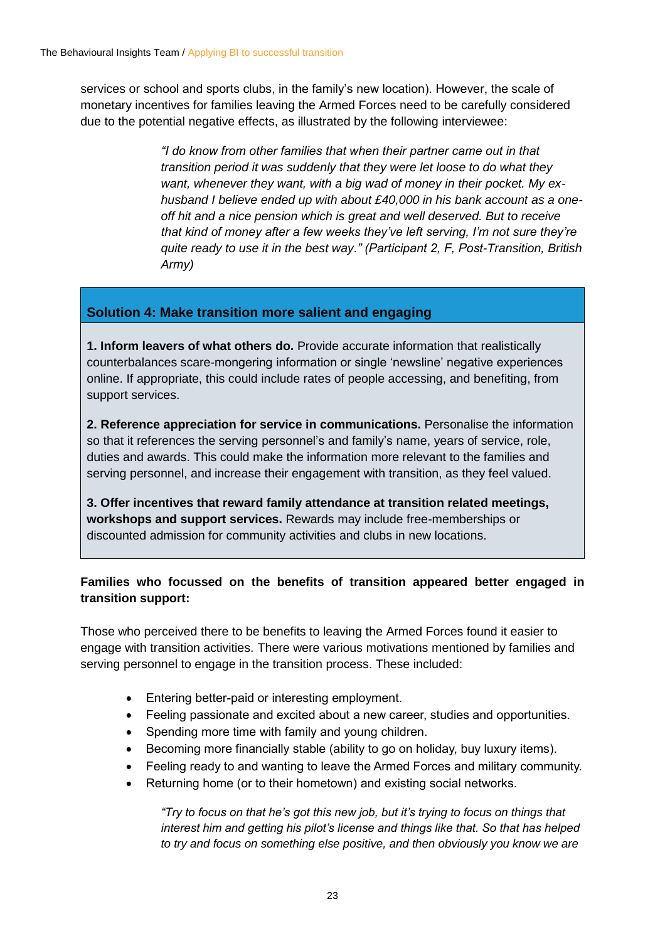services or school and sports clubs, in the family's new location). However, the scale of monetary incentives for families leaving the Armed Forces need to be carefully considered due to the potential negative effects, as illustrated by the following interviewee:

> *"I do know from other families that when their partner came out in that transition period it was suddenly that they were let loose to do what they want, whenever they want, with a big wad of money in their pocket. My exhusband I believe ended up with about £40,000 in his bank account as a oneoff hit and a nice pension which is great and well deserved. But to receive that kind of money after a few weeks they've left serving, I'm not sure they're quite ready to use it in the best way." (Participant 2, F, Post-Transition, British Army)*

#### **Solution 4: Make transition more salient and engaging**

**1. Inform leavers of what others do.** Provide accurate information that realistically counterbalances scare-mongering information or single 'newsline' negative experiences online. If appropriate, this could include rates of people accessing, and benefiting, from support services.

**2. Reference appreciation for service in communications.** Personalise the information so that it references the serving personnel's and family's name, years of service, role, duties and awards. This could make the information more relevant to the families and serving personnel, and increase their engagement with transition, as they feel valued.

**3. Offer incentives that reward family attendance at transition related meetings, workshops and support services.** Rewards may include free-memberships or discounted admission for community activities and clubs in new locations.

#### **Families who focussed on the benefits of transition appeared better engaged in transition support:**

Those who perceived there to be benefits to leaving the Armed Forces found it easier to engage with transition activities. There were various motivations mentioned by families and serving personnel to engage in the transition process. These included:

- Entering better-paid or interesting employment.
- Feeling passionate and excited about a new career, studies and opportunities.
- Spending more time with family and young children.
- Becoming more financially stable (ability to go on holiday, buy luxury items).
- Feeling ready to and wanting to leave the Armed Forces and military community.
- Returning home (or to their hometown) and existing social networks.

*"Try to focus on that he's got this new job, but it's trying to focus on things that interest him and getting his pilot's license and things like that. So that has helped to try and focus on something else positive, and then obviously you know we are*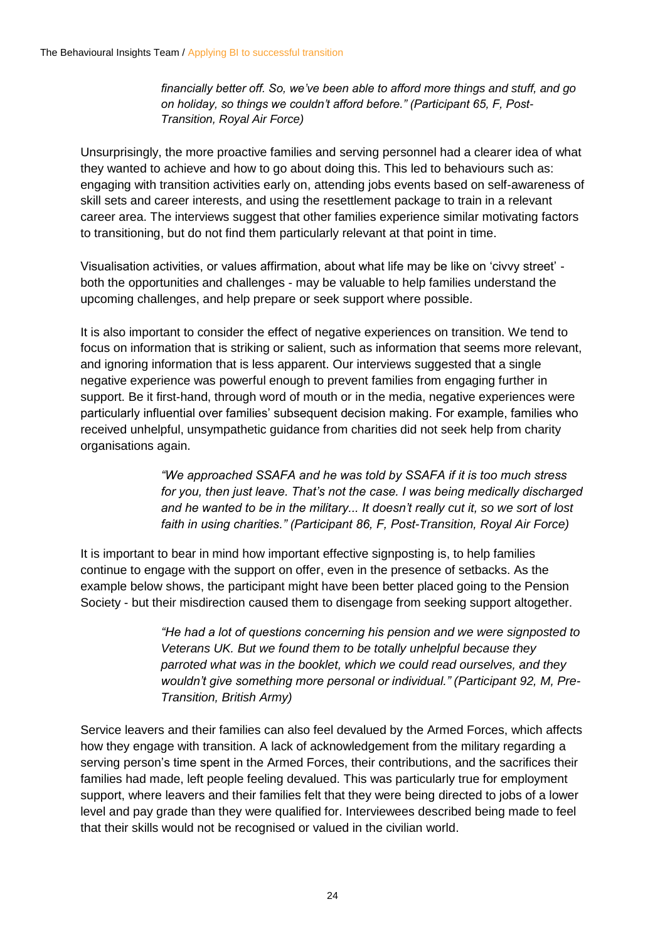*financially better off. So, we've been able to afford more things and stuff, and go on holiday, so things we couldn't afford before." (Participant 65, F, Post-Transition, Royal Air Force)*

Unsurprisingly, the more proactive families and serving personnel had a clearer idea of what they wanted to achieve and how to go about doing this. This led to behaviours such as: engaging with transition activities early on, attending jobs events based on self-awareness of skill sets and career interests, and using the resettlement package to train in a relevant career area. The interviews suggest that other families experience similar motivating factors to transitioning, but do not find them particularly relevant at that point in time.

Visualisation activities, or values affirmation, about what life may be like on 'civvy street' both the opportunities and challenges - may be valuable to help families understand the upcoming challenges, and help prepare or seek support where possible.

It is also important to consider the effect of negative experiences on transition. We tend to focus on information that is striking or salient, such as information that seems more relevant, and ignoring information that is less apparent. Our interviews suggested that a single negative experience was powerful enough to prevent families from engaging further in support. Be it first-hand, through word of mouth or in the media, negative experiences were particularly influential over families' subsequent decision making. For example, families who received unhelpful, unsympathetic guidance from charities did not seek help from charity organisations again.

> *"We approached SSAFA and he was told by SSAFA if it is too much stress for you, then just leave. That's not the case. I was being medically discharged and he wanted to be in the military... It doesn't really cut it, so we sort of lost faith in using charities." (Participant 86, F, Post-Transition, Royal Air Force)*

It is important to bear in mind how important effective signposting is, to help families continue to engage with the support on offer, even in the presence of setbacks. As the example below shows, the participant might have been better placed going to the Pension Society - but their misdirection caused them to disengage from seeking support altogether.

> *"He had a lot of questions concerning his pension and we were signposted to Veterans UK. But we found them to be totally unhelpful because they parroted what was in the booklet, which we could read ourselves, and they wouldn't give something more personal or individual." (Participant 92, M, Pre-Transition, British Army)*

Service leavers and their families can also feel devalued by the Armed Forces, which affects how they engage with transition. A lack of acknowledgement from the military regarding a serving person's time spent in the Armed Forces, their contributions, and the sacrifices their families had made, left people feeling devalued. This was particularly true for employment support, where leavers and their families felt that they were being directed to jobs of a lower level and pay grade than they were qualified for. Interviewees described being made to feel that their skills would not be recognised or valued in the civilian world.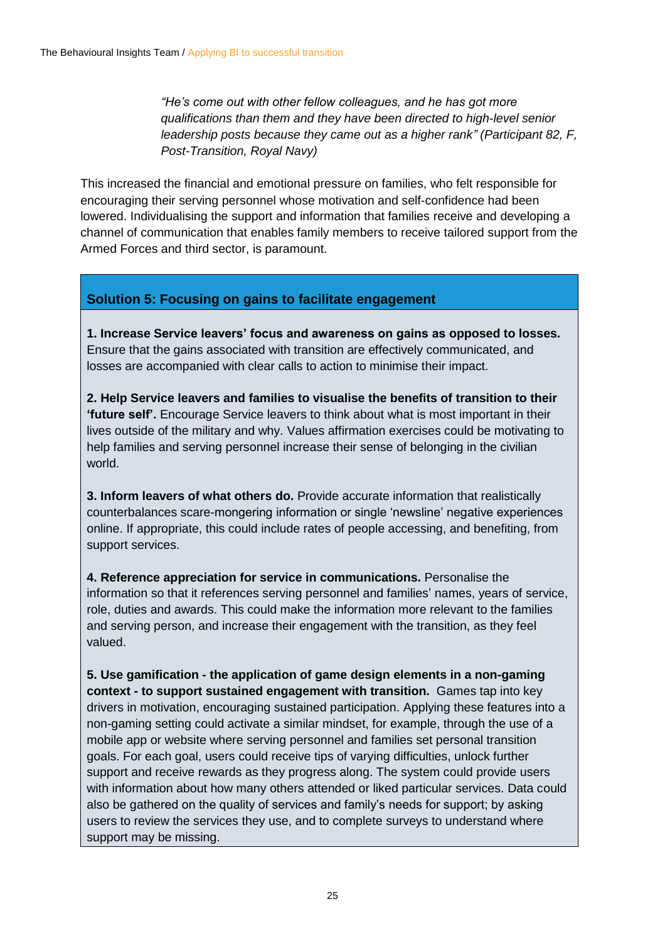*"He's come out with other fellow colleagues, and he has got more qualifications than them and they have been directed to high-level senior leadership posts because they came out as a higher rank" (Participant 82, F, Post-Transition, Royal Navy)*

This increased the financial and emotional pressure on families, who felt responsible for encouraging their serving personnel whose motivation and self-confidence had been lowered. Individualising the support and information that families receive and developing a channel of communication that enables family members to receive tailored support from the Armed Forces and third sector, is paramount.

#### **Solution 5: Focusing on gains to facilitate engagement**

1. Increase Service leavers' focus and awareness on gains as opposed to losses. Ensure that the gains associated with transition are effectively communicated, and losses are accompanied with clear calls to action to minimise their impact.

**2. Help Service leavers and families to visualise the benefits of transition to their 'future self'.** Encourage Service leavers to think about what is most important in their lives outside of the military and why. Values affirmation exercises could be motivating to help families and serving personnel increase their sense of belonging in the civilian world.

**3. Inform leavers of what others do.** Provide accurate information that realistically counterbalances scare-mongering information or single 'newsline' negative experiences online. If appropriate, this could include rates of people accessing, and benefiting, from support services.

**4. Reference appreciation for service in communications.** Personalise the information so that it references serving personnel and families' names, years of service, role, duties and awards. This could make the information more relevant to the families and serving person, and increase their engagement with the transition, as they feel valued.

**5. Use gamification - the application of game design elements in a non-gaming context - to support sustained engagement with transition.** Games tap into key drivers in motivation, encouraging sustained participation. Applying these features into a non-gaming setting could activate a similar mindset, for example, through the use of a mobile app or website where serving personnel and families set personal transition goals. For each goal, users could receive tips of varying difficulties, unlock further support and receive rewards as they progress along. The system could provide users with information about how many others attended or liked particular services. Data could also be gathered on the quality of services and family's needs for support; by asking users to review the services they use, and to complete surveys to understand where support may be missing.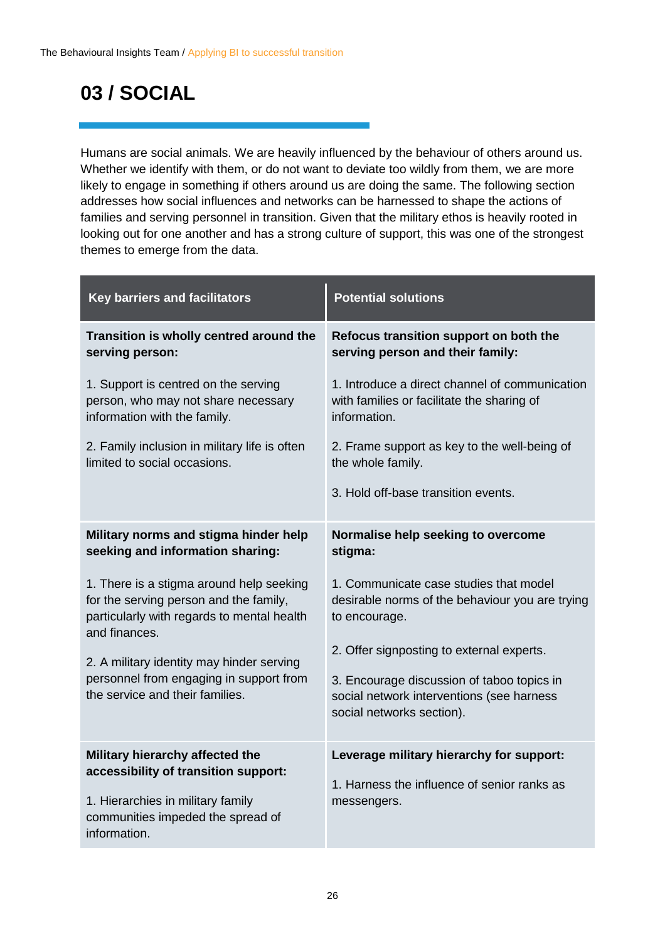### **03 / SOCIAL**

Humans are social animals. We are heavily influenced by the behaviour of others around us. Whether we identify with them, or do not want to deviate too wildly from them, we are more likely to engage in something if others around us are doing the same. The following section addresses how social influences and networks can be harnessed to shape the actions of families and serving personnel in transition. Given that the military ethos is heavily rooted in looking out for one another and has a strong culture of support, this was one of the strongest themes to emerge from the data.

| Key barriers and facilitators                                                                                                                                     | <b>Potential solutions</b>                                                                                                                                        |
|-------------------------------------------------------------------------------------------------------------------------------------------------------------------|-------------------------------------------------------------------------------------------------------------------------------------------------------------------|
| Transition is wholly centred around the<br>serving person:                                                                                                        | Refocus transition support on both the<br>serving person and their family:                                                                                        |
| 1. Support is centred on the serving<br>person, who may not share necessary<br>information with the family.                                                       | 1. Introduce a direct channel of communication<br>with families or facilitate the sharing of<br>information.                                                      |
| 2. Family inclusion in military life is often<br>limited to social occasions.                                                                                     | 2. Frame support as key to the well-being of<br>the whole family.                                                                                                 |
|                                                                                                                                                                   | 3. Hold off-base transition events.                                                                                                                               |
| Military norms and stigma hinder help<br>seeking and information sharing:                                                                                         | Normalise help seeking to overcome<br>stigma:                                                                                                                     |
| 1. There is a stigma around help seeking<br>for the serving person and the family,<br>particularly with regards to mental health<br>and finances.                 | 1. Communicate case studies that model<br>desirable norms of the behaviour you are trying<br>to encourage.                                                        |
| 2. A military identity may hinder serving<br>personnel from engaging in support from<br>the service and their families.                                           | 2. Offer signposting to external experts.<br>3. Encourage discussion of taboo topics in<br>social network interventions (see harness<br>social networks section). |
| Military hierarchy affected the<br>accessibility of transition support:<br>1. Hierarchies in military family<br>communities impeded the spread of<br>information. | Leverage military hierarchy for support:<br>1. Harness the influence of senior ranks as<br>messengers.                                                            |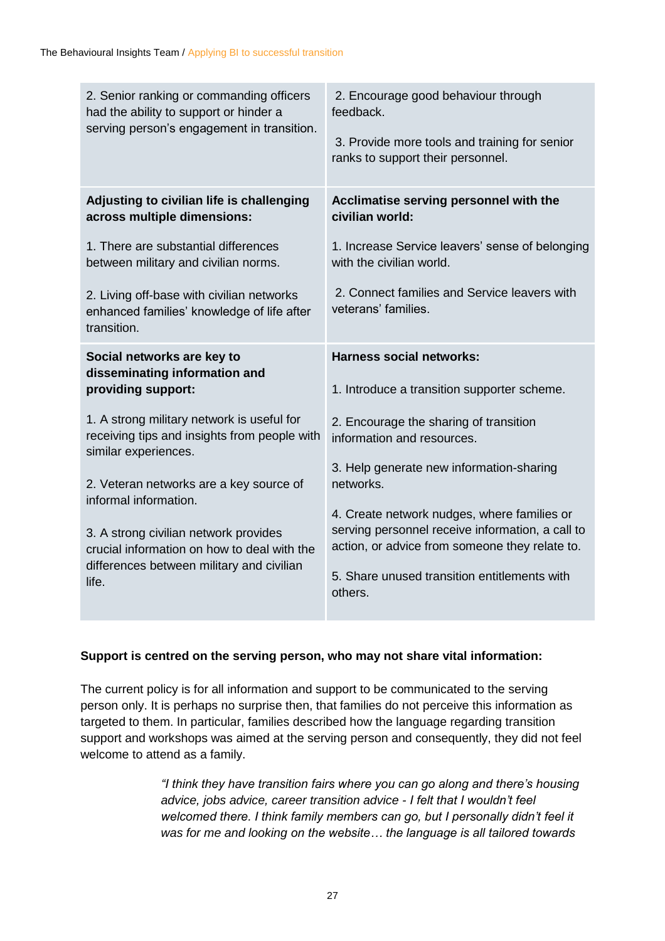| 2. Senior ranking or commanding officers<br>had the ability to support or hinder a<br>serving person's engagement in transition.                                                                                                                                                                                                                                                                                          | 2. Encourage good behaviour through<br>feedback.<br>3. Provide more tools and training for senior<br>ranks to support their personnel.                                                                                                                                                                                                                                                                                          |
|---------------------------------------------------------------------------------------------------------------------------------------------------------------------------------------------------------------------------------------------------------------------------------------------------------------------------------------------------------------------------------------------------------------------------|---------------------------------------------------------------------------------------------------------------------------------------------------------------------------------------------------------------------------------------------------------------------------------------------------------------------------------------------------------------------------------------------------------------------------------|
| Adjusting to civilian life is challenging<br>across multiple dimensions:                                                                                                                                                                                                                                                                                                                                                  | Acclimatise serving personnel with the<br>civilian world:                                                                                                                                                                                                                                                                                                                                                                       |
| 1. There are substantial differences<br>between military and civilian norms.                                                                                                                                                                                                                                                                                                                                              | 1. Increase Service leavers' sense of belonging<br>with the civilian world.                                                                                                                                                                                                                                                                                                                                                     |
| 2. Living off-base with civilian networks<br>enhanced families' knowledge of life after<br>transition.                                                                                                                                                                                                                                                                                                                    | 2. Connect families and Service leavers with<br>veterans' families.                                                                                                                                                                                                                                                                                                                                                             |
| Social networks are key to<br>disseminating information and<br>providing support:<br>1. A strong military network is useful for<br>receiving tips and insights from people with<br>similar experiences.<br>2. Veteran networks are a key source of<br>informal information.<br>3. A strong civilian network provides<br>crucial information on how to deal with the<br>differences between military and civilian<br>life. | <b>Harness social networks:</b><br>1. Introduce a transition supporter scheme.<br>2. Encourage the sharing of transition<br>information and resources.<br>3. Help generate new information-sharing<br>networks.<br>4. Create network nudges, where families or<br>serving personnel receive information, a call to<br>action, or advice from someone they relate to.<br>5. Share unused transition entitlements with<br>others. |

#### **Support is centred on the serving person, who may not share vital information:**

The current policy is for all information and support to be communicated to the serving person only. It is perhaps no surprise then, that families do not perceive this information as targeted to them. In particular, families described how the language regarding transition support and workshops was aimed at the serving person and consequently, they did not feel welcome to attend as a family.

> *"I think they have transition fairs where you can go along and there's housing advice, jobs advice, career transition advice - I felt that I wouldn't feel welcomed there. I think family members can go, but I personally didn't feel it was for me and looking on the website… the language is all tailored towards*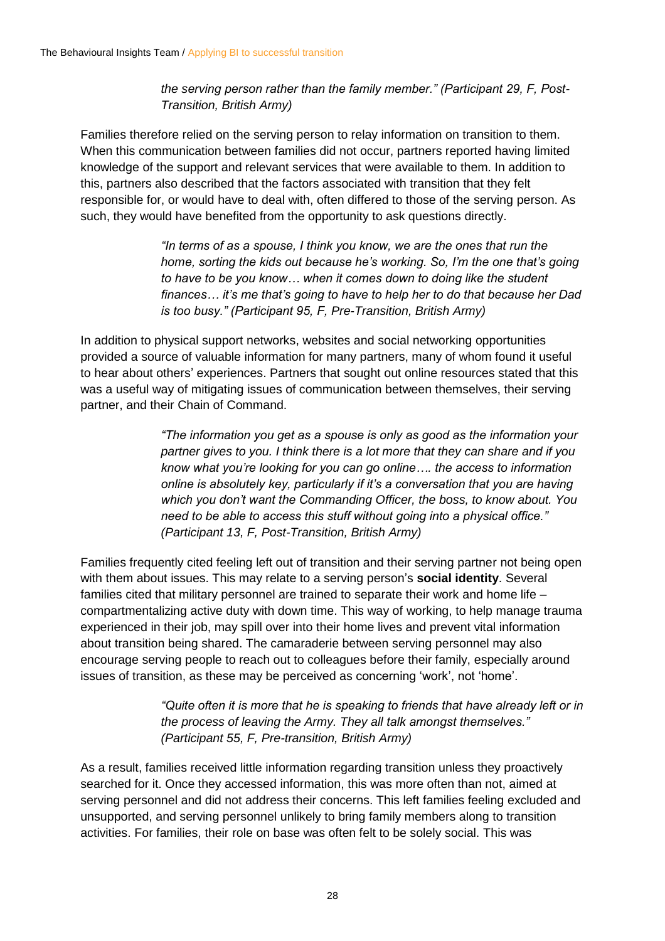*the serving person rather than the family member." (Participant 29, F, Post-Transition, British Army)*

Families therefore relied on the serving person to relay information on transition to them. When this communication between families did not occur, partners reported having limited knowledge of the support and relevant services that were available to them. In addition to this, partners also described that the factors associated with transition that they felt responsible for, or would have to deal with, often differed to those of the serving person. As such, they would have benefited from the opportunity to ask questions directly.

> *"In terms of as a spouse, I think you know, we are the ones that run the home, sorting the kids out because he's working. So, I'm the one that's going to have to be you know… when it comes down to doing like the student finances… it's me that's going to have to help her to do that because her Dad is too busy." (Participant 95, F, Pre-Transition, British Army)*

In addition to physical support networks, websites and social networking opportunities provided a source of valuable information for many partners, many of whom found it useful to hear about others' experiences. Partners that sought out online resources stated that this was a useful way of mitigating issues of communication between themselves, their serving partner, and their Chain of Command.

> *"The information you get as a spouse is only as good as the information your partner gives to you. I think there is a lot more that they can share and if you know what you're looking for you can go online…. the access to information online is absolutely key, particularly if it's a conversation that you are having which you don't want the Commanding Officer, the boss, to know about. You need to be able to access this stuff without going into a physical office." (Participant 13, F, Post-Transition, British Army)*

Families frequently cited feeling left out of transition and their serving partner not being open with them about issues. This may relate to a serving person's **social identity**. Several families cited that military personnel are trained to separate their work and home life – compartmentalizing active duty with down time. This way of working, to help manage trauma experienced in their job, may spill over into their home lives and prevent vital information about transition being shared. The camaraderie between serving personnel may also encourage serving people to reach out to colleagues before their family, especially around issues of transition, as these may be perceived as concerning 'work', not 'home'.

> *"Quite often it is more that he is speaking to friends that have already left or in the process of leaving the Army. They all talk amongst themselves." (Participant 55, F, Pre-transition, British Army)*

As a result, families received little information regarding transition unless they proactively searched for it. Once they accessed information, this was more often than not, aimed at serving personnel and did not address their concerns. This left families feeling excluded and unsupported, and serving personnel unlikely to bring family members along to transition activities. For families, their role on base was often felt to be solely social. This was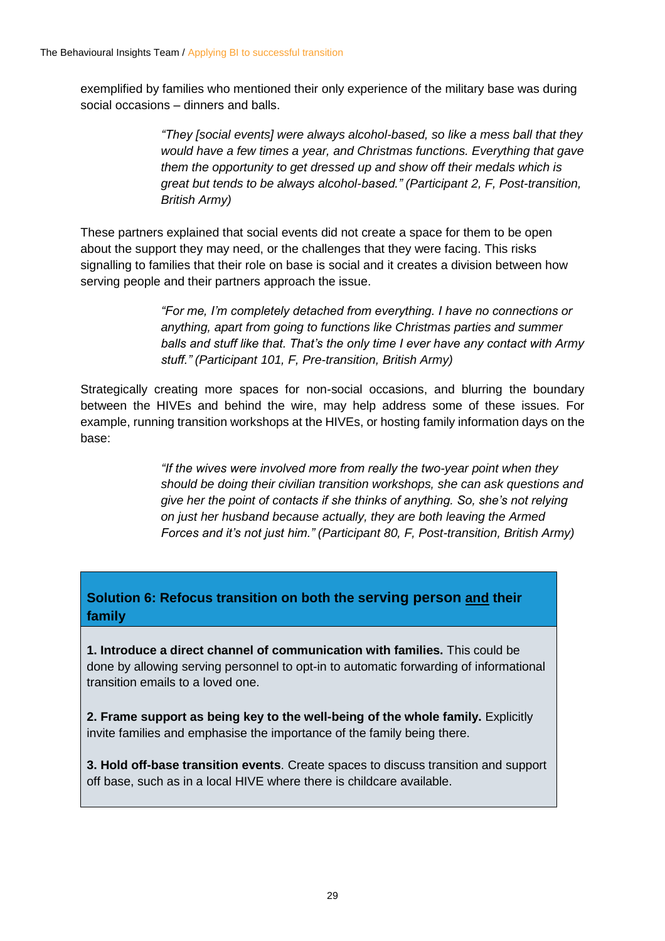exemplified by families who mentioned their only experience of the military base was during social occasions – dinners and balls.

> *"They [social events] were always alcohol-based, so like a mess ball that they would have a few times a year, and Christmas functions. Everything that gave them the opportunity to get dressed up and show off their medals which is great but tends to be always alcohol-based." (Participant 2, F, Post-transition, British Army)*

These partners explained that social events did not create a space for them to be open about the support they may need, or the challenges that they were facing. This risks signalling to families that their role on base is social and it creates a division between how serving people and their partners approach the issue.

> *"For me, I'm completely detached from everything. I have no connections or anything, apart from going to functions like Christmas parties and summer balls and stuff like that. That's the only time I ever have any contact with Army stuff." (Participant 101, F, Pre-transition, British Army)*

Strategically creating more spaces for non-social occasions, and blurring the boundary between the HIVEs and behind the wire, may help address some of these issues. For example, running transition workshops at the HIVEs, or hosting family information days on the base:

> *"If the wives were involved more from really the two-year point when they should be doing their civilian transition workshops, she can ask questions and give her the point of contacts if she thinks of anything. So, she's not relying on just her husband because actually, they are both leaving the Armed Forces and it's not just him." (Participant 80, F, Post-transition, British Army)*

#### **Solution 6: Refocus transition on both the serving person and their family**

**1. Introduce a direct channel of communication with families.** This could be done by allowing serving personnel to opt-in to automatic forwarding of informational transition emails to a loved one.

**2. Frame support as being key to the well-being of the whole family.** Explicitly invite families and emphasise the importance of the family being there.

**3. Hold off-base transition events**. Create spaces to discuss transition and support off base, such as in a local HIVE where there is childcare available.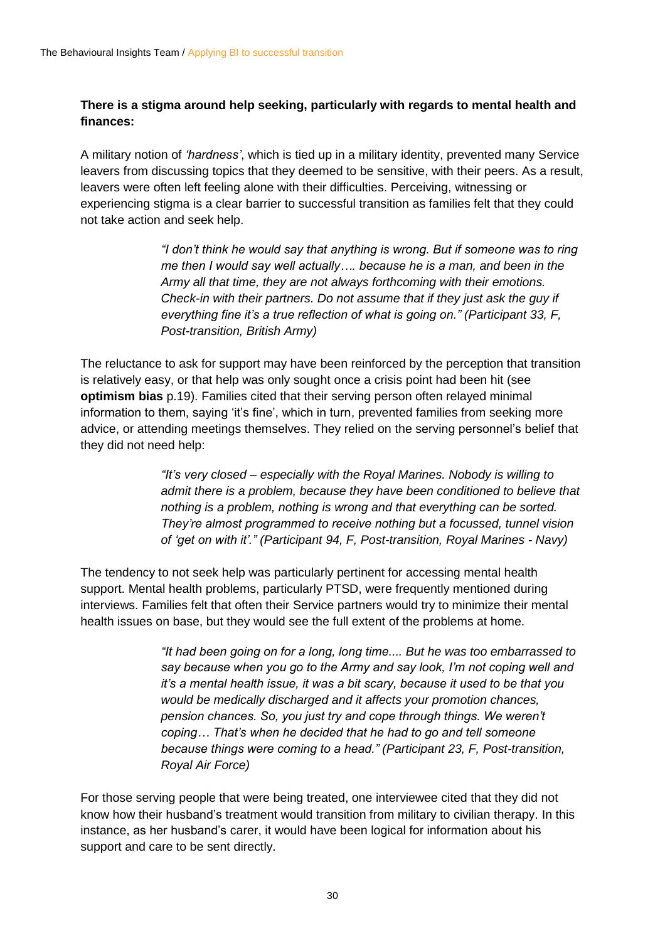#### **There is a stigma around help seeking, particularly with regards to mental health and finances:**

A military notion of *'hardness'*, which is tied up in a military identity, prevented many Service leavers from discussing topics that they deemed to be sensitive, with their peers. As a result, leavers were often left feeling alone with their difficulties. Perceiving, witnessing or experiencing stigma is a clear barrier to successful transition as families felt that they could not take action and seek help.

> *"I don't think he would say that anything is wrong. But if someone was to ring me then I would say well actually…. because he is a man, and been in the Army all that time, they are not always forthcoming with their emotions. Check-in with their partners. Do not assume that if they just ask the guy if everything fine it's a true reflection of what is going on." (Participant 33, F, Post-transition, British Army)*

The reluctance to ask for support may have been reinforced by the perception that transition is relatively easy, or that help was only sought once a crisis point had been hit (see **optimism bias** p.19). Families cited that their serving person often relayed minimal information to them, saying 'it's fine', which in turn, prevented families from seeking more advice, or attending meetings themselves. They relied on the serving personnel's belief that they did not need help:

> *"It's very closed – especially with the Royal Marines. Nobody is willing to admit there is a problem, because they have been conditioned to believe that nothing is a problem, nothing is wrong and that everything can be sorted. They're almost programmed to receive nothing but a focussed, tunnel vision of 'get on with it'." (Participant 94, F, Post-transition, Royal Marines - Navy)*

The tendency to not seek help was particularly pertinent for accessing mental health support. Mental health problems, particularly PTSD, were frequently mentioned during interviews. Families felt that often their Service partners would try to minimize their mental health issues on base, but they would see the full extent of the problems at home.

> *"It had been going on for a long, long time.... But he was too embarrassed to say because when you go to the Army and say look, I'm not coping well and it's a mental health issue, it was a bit scary, because it used to be that you would be medically discharged and it affects your promotion chances, pension chances. So, you just try and cope through things. We weren't coping… That's when he decided that he had to go and tell someone because things were coming to a head." (Participant 23, F, Post-transition, Royal Air Force)*

For those serving people that were being treated, one interviewee cited that they did not know how their husband's treatment would transition from military to civilian therapy. In this instance, as her husband's carer, it would have been logical for information about his support and care to be sent directly.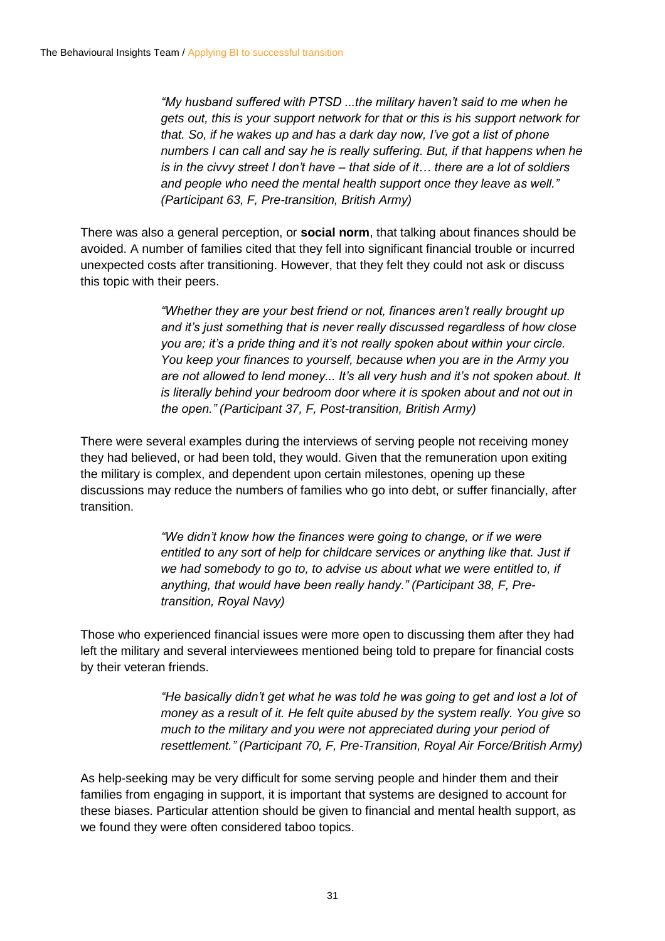*"My husband suffered with PTSD ...the military haven't said to me when he gets out, this is your support network for that or this is his support network for that. So, if he wakes up and has a dark day now, I've got a list of phone numbers I can call and say he is really suffering. But, if that happens when he is in the civvy street I don't have – that side of it… there are a lot of soldiers and people who need the mental health support once they leave as well." (Participant 63, F, Pre-transition, British Army)*

There was also a general perception, or **social norm**, that talking about finances should be avoided. A number of families cited that they fell into significant financial trouble or incurred unexpected costs after transitioning. However, that they felt they could not ask or discuss this topic with their peers.

> *"Whether they are your best friend or not, finances aren't really brought up and it's just something that is never really discussed regardless of how close you are; it's a pride thing and it's not really spoken about within your circle. You keep your finances to yourself, because when you are in the Army you are not allowed to lend money... It's all very hush and it's not spoken about. It is literally behind your bedroom door where it is spoken about and not out in the open." (Participant 37, F, Post-transition, British Army)*

There were several examples during the interviews of serving people not receiving money they had believed, or had been told, they would. Given that the remuneration upon exiting the military is complex, and dependent upon certain milestones, opening up these discussions may reduce the numbers of families who go into debt, or suffer financially, after transition.

> *"We didn't know how the finances were going to change, or if we were entitled to any sort of help for childcare services or anything like that. Just if we had somebody to go to, to advise us about what we were entitled to, if anything, that would have been really handy." (Participant 38, F, Pretransition, Royal Navy)*

Those who experienced financial issues were more open to discussing them after they had left the military and several interviewees mentioned being told to prepare for financial costs by their veteran friends.

> *"He basically didn't get what he was told he was going to get and lost a lot of money as a result of it. He felt quite abused by the system really. You give so much to the military and you were not appreciated during your period of resettlement." (Participant 70, F, Pre-Transition, Royal Air Force/British Army)*

As help-seeking may be very difficult for some serving people and hinder them and their families from engaging in support, it is important that systems are designed to account for these biases. Particular attention should be given to financial and mental health support, as we found they were often considered taboo topics.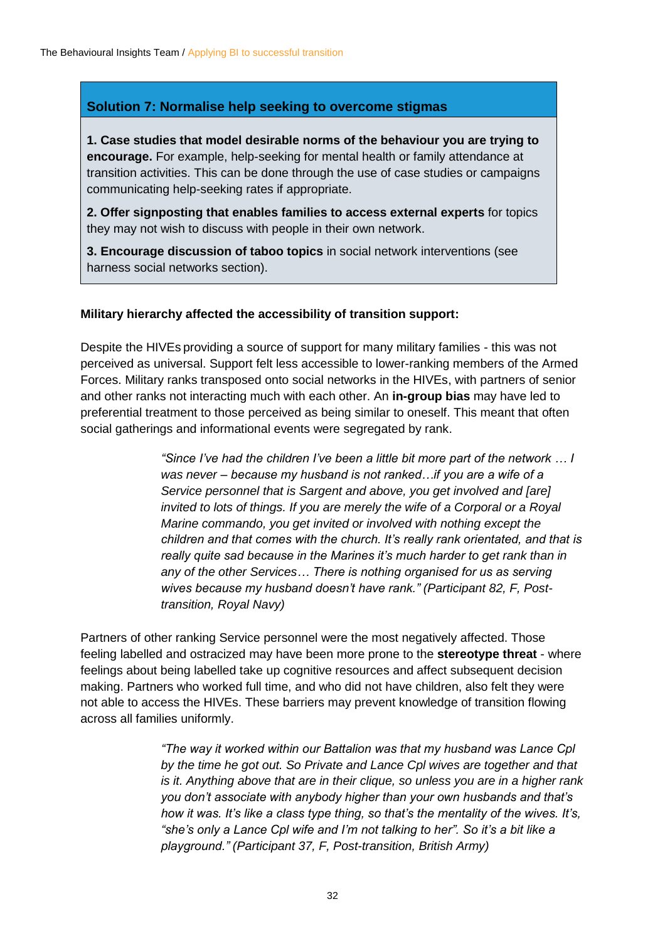#### **Solution 7: Normalise help seeking to overcome stigmas**

**1. Case studies that model desirable norms of the behaviour you are trying to encourage.** For example, help-seeking for mental health or family attendance at transition activities. This can be done through the use of case studies or campaigns communicating help-seeking rates if appropriate.

**2. Offer signposting that enables families to access external experts** for topics they may not wish to discuss with people in their own network.

**3. Encourage discussion of taboo topics** in social network interventions (see harness social networks section).

#### **Military hierarchy affected the accessibility of transition support:**

Despite the HIVEs providing a source of support for many military families - this was not perceived as universal. Support felt less accessible to lower-ranking members of the Armed Forces. Military ranks transposed onto social networks in the HIVEs, with partners of senior and other ranks not interacting much with each other. An **in-group bias** may have led to preferential treatment to those perceived as being similar to oneself. This meant that often social gatherings and informational events were segregated by rank.

> *"Since I've had the children I've been a little bit more part of the network … I was never – because my husband is not ranked…if you are a wife of a Service personnel that is Sargent and above, you get involved and [are] invited to lots of things. If you are merely the wife of a Corporal or a Royal Marine commando, you get invited or involved with nothing except the children and that comes with the church. It's really rank orientated, and that is really quite sad because in the Marines it's much harder to get rank than in any of the other Services… There is nothing organised for us as serving wives because my husband doesn't have rank." (Participant 82, F, Posttransition, Royal Navy)*

Partners of other ranking Service personnel were the most negatively affected. Those feeling labelled and ostracized may have been more prone to the **stereotype threat** - where feelings about being labelled take up cognitive resources and affect subsequent decision making. Partners who worked full time, and who did not have children, also felt they were not able to access the HIVEs. These barriers may prevent knowledge of transition flowing across all families uniformly.

> *"The way it worked within our Battalion was that my husband was Lance Cpl by the time he got out. So Private and Lance Cpl wives are together and that is it. Anything above that are in their clique, so unless you are in a higher rank you don't associate with anybody higher than your own husbands and that's how it was. It's like a class type thing, so that's the mentality of the wives. It's, "she's only a Lance Cpl wife and I'm not talking to her". So it's a bit like a playground." (Participant 37, F, Post-transition, British Army)*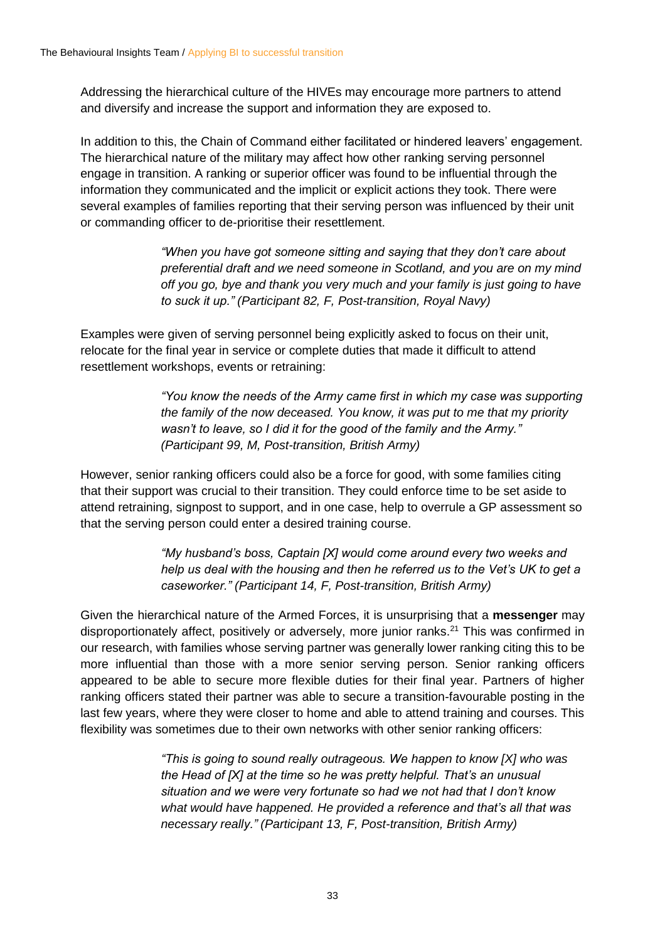Addressing the hierarchical culture of the HIVEs may encourage more partners to attend and diversify and increase the support and information they are exposed to.

In addition to this, the Chain of Command either facilitated or hindered leavers' engagement. The hierarchical nature of the military may affect how other ranking serving personnel engage in transition. A ranking or superior officer was found to be influential through the information they communicated and the implicit or explicit actions they took. There were several examples of families reporting that their serving person was influenced by their unit or commanding officer to de-prioritise their resettlement.

> *"When you have got someone sitting and saying that they don't care about preferential draft and we need someone in Scotland, and you are on my mind off you go, bye and thank you very much and your family is just going to have to suck it up." (Participant 82, F, Post-transition, Royal Navy)*

Examples were given of serving personnel being explicitly asked to focus on their unit, relocate for the final year in service or complete duties that made it difficult to attend resettlement workshops, events or retraining:

> *"You know the needs of the Army came first in which my case was supporting the family of the now deceased. You know, it was put to me that my priority wasn't to leave, so I did it for the good of the family and the Army." (Participant 99, M, Post-transition, British Army)*

However, senior ranking officers could also be a force for good, with some families citing that their support was crucial to their transition. They could enforce time to be set aside to attend retraining, signpost to support, and in one case, help to overrule a GP assessment so that the serving person could enter a desired training course.

> *"My husband's boss, Captain [X] would come around every two weeks and help us deal with the housing and then he referred us to the Vet's UK to get a caseworker." (Participant 14, F, Post-transition, British Army)*

Given the hierarchical nature of the Armed Forces, it is unsurprising that a **messenger** may disproportionately affect, positively or adversely, more junior ranks.<sup>21</sup> This was confirmed in our research, with families whose serving partner was generally lower ranking citing this to be more influential than those with a more senior serving person. Senior ranking officers appeared to be able to secure more flexible duties for their final year. Partners of higher ranking officers stated their partner was able to secure a transition-favourable posting in the last few years, where they were closer to home and able to attend training and courses. This flexibility was sometimes due to their own networks with other senior ranking officers:

> *"This is going to sound really outrageous. We happen to know [X] who was the Head of [X] at the time so he was pretty helpful. That's an unusual situation and we were very fortunate so had we not had that I don't know what would have happened. He provided a reference and that's all that was necessary really." (Participant 13, F, Post-transition, British Army)*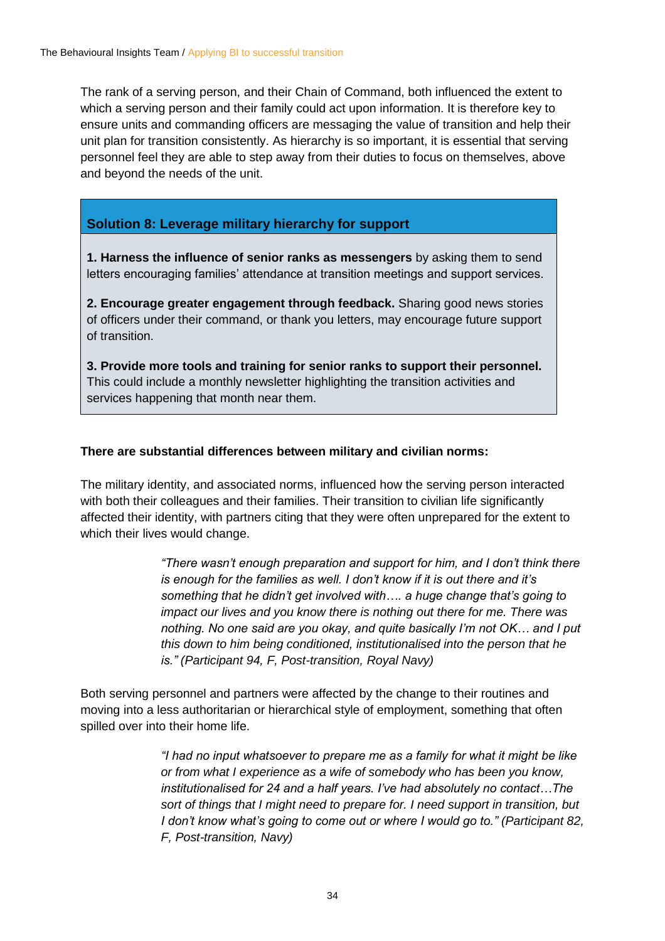The rank of a serving person, and their Chain of Command, both influenced the extent to which a serving person and their family could act upon information. It is therefore key to ensure units and commanding officers are messaging the value of transition and help their unit plan for transition consistently. As hierarchy is so important, it is essential that serving personnel feel they are able to step away from their duties to focus on themselves, above and beyond the needs of the unit.

#### **Solution 8: Leverage military hierarchy for support**

**1. Harness the influence of senior ranks as messengers** by asking them to send letters encouraging families' attendance at transition meetings and support services.

**2. Encourage greater engagement through feedback.** Sharing good news stories of officers under their command, or thank you letters, may encourage future support of transition.

**3. Provide more tools and training for senior ranks to support their personnel.**  This could include a monthly newsletter highlighting the transition activities and services happening that month near them.

#### **There are substantial differences between military and civilian norms:**

The military identity, and associated norms, influenced how the serving person interacted with both their colleagues and their families. Their transition to civilian life significantly affected their identity, with partners citing that they were often unprepared for the extent to which their lives would change.

> *"There wasn't enough preparation and support for him, and I don't think there is enough for the families as well. I don't know if it is out there and it's something that he didn't get involved with…. a huge change that's going to impact our lives and you know there is nothing out there for me. There was nothing. No one said are you okay, and quite basically I'm not OK… and I put this down to him being conditioned, institutionalised into the person that he is." (Participant 94, F, Post-transition, Royal Navy)*

Both serving personnel and partners were affected by the change to their routines and moving into a less authoritarian or hierarchical style of employment, something that often spilled over into their home life.

> *"I had no input whatsoever to prepare me as a family for what it might be like or from what I experience as a wife of somebody who has been you know, institutionalised for 24 and a half years. I've had absolutely no contact…The sort of things that I might need to prepare for. I need support in transition, but I don't know what's going to come out or where I would go to." (Participant 82, F, Post-transition, Navy)*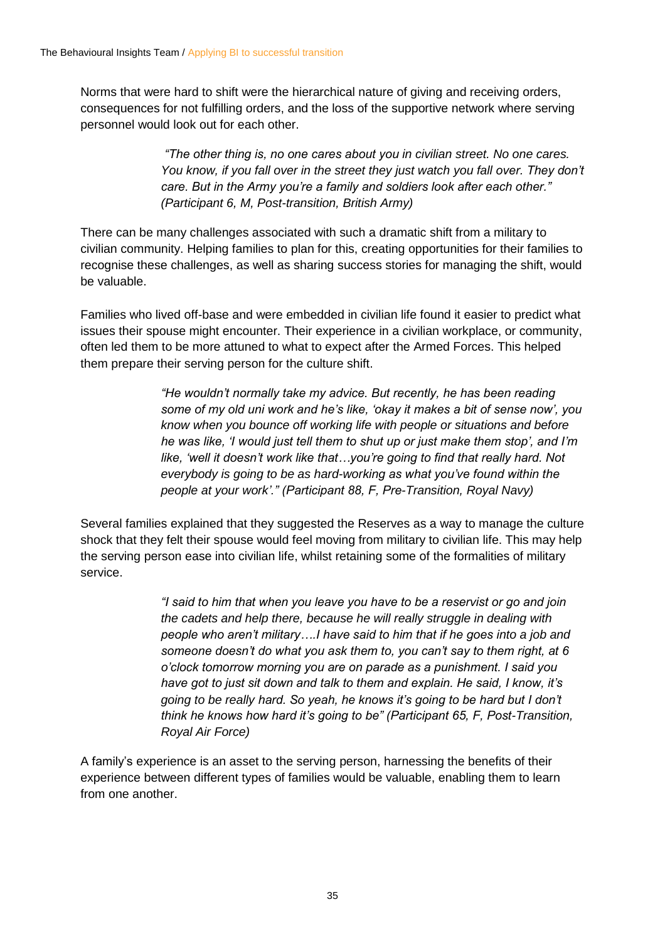Norms that were hard to shift were the hierarchical nature of giving and receiving orders, consequences for not fulfilling orders, and the loss of the supportive network where serving personnel would look out for each other.

> *"The other thing is, no one cares about you in civilian street. No one cares. You know, if you fall over in the street they just watch you fall over. They don't care. But in the Army you're a family and soldiers look after each other." (Participant 6, M, Post-transition, British Army)*

There can be many challenges associated with such a dramatic shift from a military to civilian community. Helping families to plan for this, creating opportunities for their families to recognise these challenges, as well as sharing success stories for managing the shift, would be valuable.

Families who lived off-base and were embedded in civilian life found it easier to predict what issues their spouse might encounter. Their experience in a civilian workplace, or community, often led them to be more attuned to what to expect after the Armed Forces. This helped them prepare their serving person for the culture shift.

> *"He wouldn't normally take my advice. But recently, he has been reading some of my old uni work and he's like, 'okay it makes a bit of sense now', you know when you bounce off working life with people or situations and before he was like, 'I would just tell them to shut up or just make them stop', and I'm like, 'well it doesn't work like that…you're going to find that really hard. Not everybody is going to be as hard-working as what you've found within the people at your work'." (Participant 88, F, Pre-Transition, Royal Navy)*

Several families explained that they suggested the Reserves as a way to manage the culture shock that they felt their spouse would feel moving from military to civilian life. This may help the serving person ease into civilian life, whilst retaining some of the formalities of military service.

> *"I said to him that when you leave you have to be a reservist or go and join the cadets and help there, because he will really struggle in dealing with people who aren't military….I have said to him that if he goes into a job and someone doesn't do what you ask them to, you can't say to them right, at 6 o'clock tomorrow morning you are on parade as a punishment. I said you have got to just sit down and talk to them and explain. He said, I know, it's going to be really hard. So yeah, he knows it's going to be hard but I don't think he knows how hard it's going to be" (Participant 65, F, Post-Transition, Royal Air Force)*

A family's experience is an asset to the serving person, harnessing the benefits of their experience between different types of families would be valuable, enabling them to learn from one another.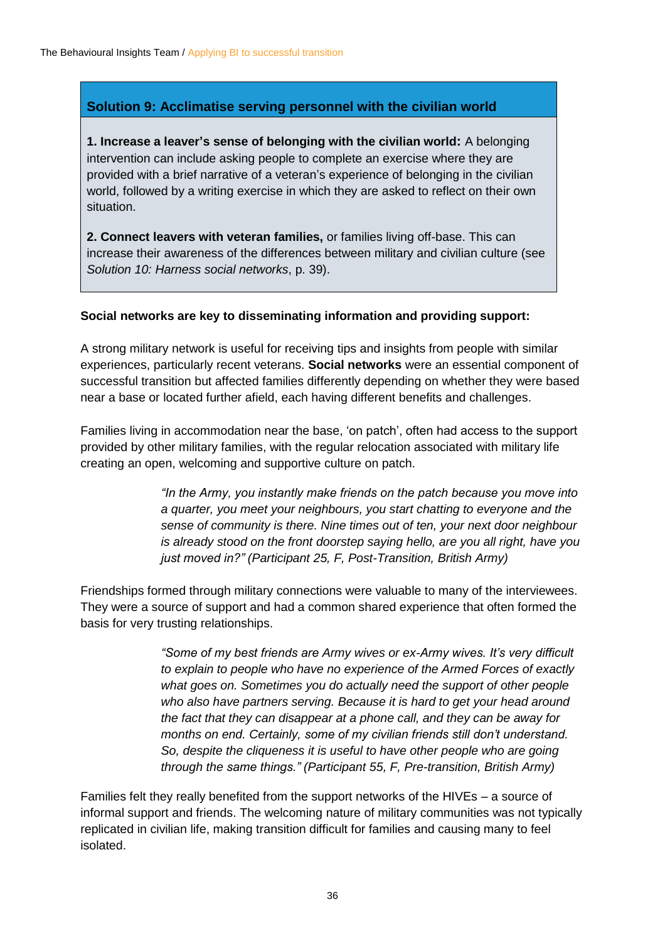#### **Solution 9: Acclimatise serving personnel with the civilian world**

**1. Increase a leaver's sense of belonging with the civilian world:** A belonging intervention can include asking people to complete an exercise where they are provided with a brief narrative of a veteran's experience of belonging in the civilian world, followed by a writing exercise in which they are asked to reflect on their own situation.

**2. Connect leavers with veteran families,** or families living off-base. This can increase their awareness of the differences between military and civilian culture (see *Solution 10: Harness social networks*, p. 39).

#### **Social networks are key to disseminating information and providing support:**

A strong military network is useful for receiving tips and insights from people with similar experiences, particularly recent veterans. **Social networks** were an essential component of successful transition but affected families differently depending on whether they were based near a base or located further afield, each having different benefits and challenges.

Families living in accommodation near the base, 'on patch', often had access to the support provided by other military families, with the regular relocation associated with military life creating an open, welcoming and supportive culture on patch.

> *"In the Army, you instantly make friends on the patch because you move into a quarter, you meet your neighbours, you start chatting to everyone and the sense of community is there. Nine times out of ten, your next door neighbour is already stood on the front doorstep saying hello, are you all right, have you just moved in?" (Participant 25, F, Post-Transition, British Army)*

Friendships formed through military connections were valuable to many of the interviewees. They were a source of support and had a common shared experience that often formed the basis for very trusting relationships.

> *"Some of my best friends are Army wives or ex-Army wives. It's very difficult to explain to people who have no experience of the Armed Forces of exactly what goes on. Sometimes you do actually need the support of other people who also have partners serving. Because it is hard to get your head around the fact that they can disappear at a phone call, and they can be away for months on end. Certainly, some of my civilian friends still don't understand.*  So, despite the cliqueness it is useful to have other people who are going *through the same things." (Participant 55, F, Pre-transition, British Army)*

Families felt they really benefited from the support networks of the HIVEs – a source of informal support and friends. The welcoming nature of military communities was not typically replicated in civilian life, making transition difficult for families and causing many to feel isolated.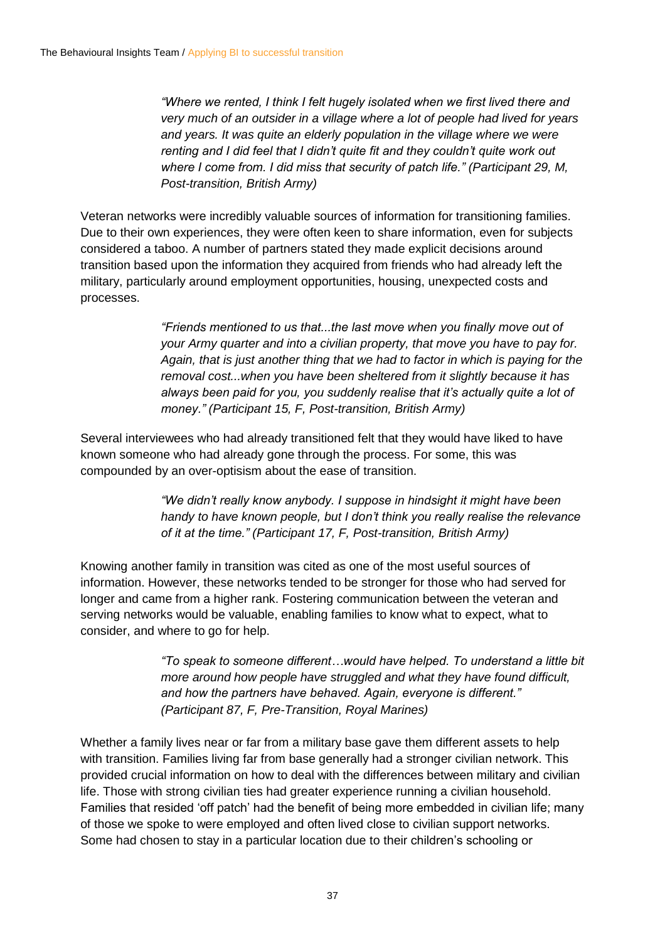*"Where we rented, I think I felt hugely isolated when we first lived there and very much of an outsider in a village where a lot of people had lived for years*  and years. It was quite an elderly population in the village where we were *renting and I did feel that I didn't quite fit and they couldn't quite work out where I come from. I did miss that security of patch life." (Participant 29, M, Post-transition, British Army)*

Veteran networks were incredibly valuable sources of information for transitioning families. Due to their own experiences, they were often keen to share information, even for subjects considered a taboo. A number of partners stated they made explicit decisions around transition based upon the information they acquired from friends who had already left the military, particularly around employment opportunities, housing, unexpected costs and processes.

> *"Friends mentioned to us that...the last move when you finally move out of your Army quarter and into a civilian property, that move you have to pay for. Again, that is just another thing that we had to factor in which is paying for the removal cost...when you have been sheltered from it slightly because it has always been paid for you, you suddenly realise that it's actually quite a lot of money." (Participant 15, F, Post-transition, British Army)*

Several interviewees who had already transitioned felt that they would have liked to have known someone who had already gone through the process. For some, this was compounded by an over-optisism about the ease of transition.

> *"We didn't really know anybody. I suppose in hindsight it might have been handy to have known people, but I don't think you really realise the relevance of it at the time." (Participant 17, F, Post-transition, British Army)*

Knowing another family in transition was cited as one of the most useful sources of information. However, these networks tended to be stronger for those who had served for longer and came from a higher rank. Fostering communication between the veteran and serving networks would be valuable, enabling families to know what to expect, what to consider, and where to go for help.

> *"To speak to someone different…would have helped. To understand a little bit more around how people have struggled and what they have found difficult, and how the partners have behaved. Again, everyone is different." (Participant 87, F, Pre-Transition, Royal Marines)*

Whether a family lives near or far from a military base gave them different assets to help with transition. Families living far from base generally had a stronger civilian network. This provided crucial information on how to deal with the differences between military and civilian life. Those with strong civilian ties had greater experience running a civilian household. Families that resided 'off patch' had the benefit of being more embedded in civilian life; many of those we spoke to were employed and often lived close to civilian support networks. Some had chosen to stay in a particular location due to their children's schooling or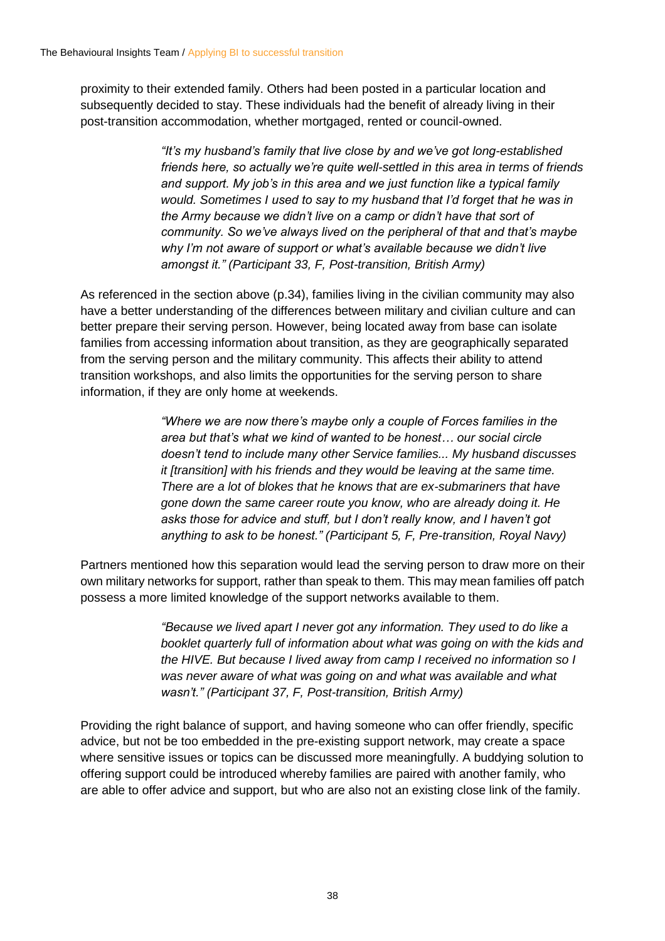proximity to their extended family. Others had been posted in a particular location and subsequently decided to stay. These individuals had the benefit of already living in their post-transition accommodation, whether mortgaged, rented or council-owned.

> *"It's my husband's family that live close by and we've got long-established friends here, so actually we're quite well-settled in this area in terms of friends and support. My job's in this area and we just function like a typical family would. Sometimes I used to say to my husband that I'd forget that he was in the Army because we didn't live on a camp or didn't have that sort of community. So we've always lived on the peripheral of that and that's maybe why I'm not aware of support or what's available because we didn't live amongst it." (Participant 33, F, Post-transition, British Army)*

As referenced in the section above (p.34), families living in the civilian community may also have a better understanding of the differences between military and civilian culture and can better prepare their serving person. However, being located away from base can isolate families from accessing information about transition, as they are geographically separated from the serving person and the military community. This affects their ability to attend transition workshops, and also limits the opportunities for the serving person to share information, if they are only home at weekends.

> *"Where we are now there's maybe only a couple of Forces families in the area but that's what we kind of wanted to be honest… our social circle doesn't tend to include many other Service families... My husband discusses it [transition] with his friends and they would be leaving at the same time. There are a lot of blokes that he knows that are ex-submariners that have gone down the same career route you know, who are already doing it. He asks those for advice and stuff, but I don't really know, and I haven't got anything to ask to be honest." (Participant 5, F, Pre-transition, Royal Navy)*

Partners mentioned how this separation would lead the serving person to draw more on their own military networks for support, rather than speak to them. This may mean families off patch possess a more limited knowledge of the support networks available to them.

> *"Because we lived apart I never got any information. They used to do like a booklet quarterly full of information about what was going on with the kids and the HIVE. But because I lived away from camp I received no information so I was never aware of what was going on and what was available and what wasn't." (Participant 37, F, Post-transition, British Army)*

Providing the right balance of support, and having someone who can offer friendly, specific advice, but not be too embedded in the pre-existing support network, may create a space where sensitive issues or topics can be discussed more meaningfully. A buddying solution to offering support could be introduced whereby families are paired with another family, who are able to offer advice and support, but who are also not an existing close link of the family.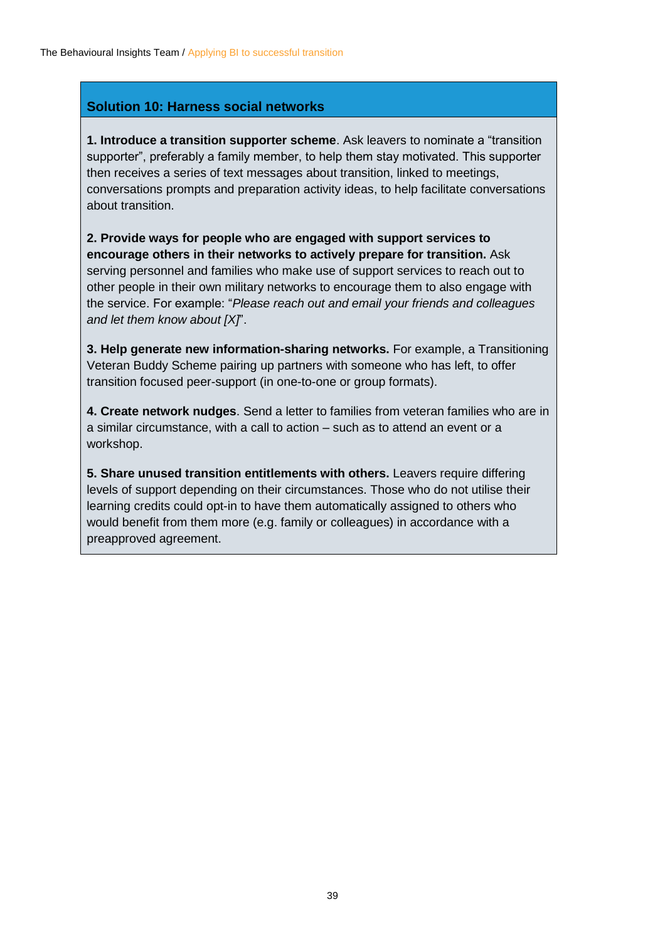#### **Solution 10: Harness social networks**

**1. Introduce a transition supporter scheme**. Ask leavers to nominate a "transition supporter", preferably a family member, to help them stay motivated. This supporter then receives a series of text messages about transition, linked to meetings, conversations prompts and preparation activity ideas, to help facilitate conversations about transition.

**2. Provide ways for people who are engaged with support services to encourage others in their networks to actively prepare for transition.** Ask serving personnel and families who make use of support services to reach out to other people in their own military networks to encourage them to also engage with the service. For example: "*Please reach out and email your friends and colleagues and let them know about [X]*".

**3. Help generate new information-sharing networks.** For example, a Transitioning Veteran Buddy Scheme pairing up partners with someone who has left, to offer transition focused peer-support (in one-to-one or group formats).

**4. Create network nudges**. Send a letter to families from veteran families who are in a similar circumstance, with a call to action – such as to attend an event or a workshop.

**5. Share unused transition entitlements with others.** Leavers require differing levels of support depending on their circumstances. Those who do not utilise their learning credits could opt-in to have them automatically assigned to others who would benefit from them more (e.g. family or colleagues) in accordance with a preapproved agreement.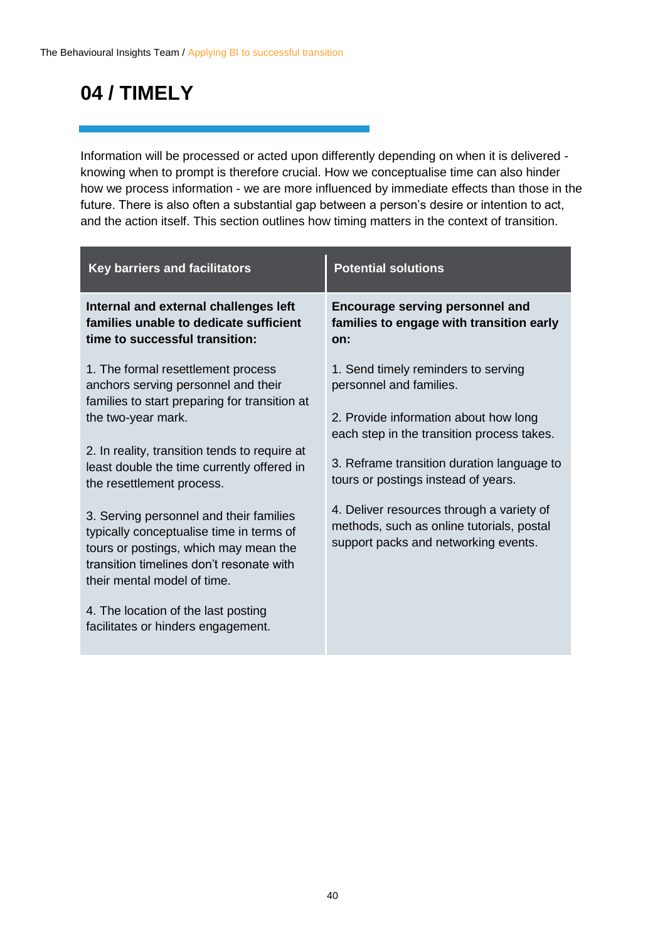### **04 / TIMELY**

Information will be processed or acted upon differently depending on when it is delivered knowing when to prompt is therefore crucial. How we conceptualise time can also hinder how we process information - we are more influenced by immediate effects than those in the future. There is also often a substantial gap between a person's desire or intention to act, and the action itself. This section outlines how timing matters in the context of transition.

| <b>Key barriers and facilitators</b>                                                                                                                                                                                                                                                                                                                                                                                                                     | <b>Potential solutions</b>                                                                                                                                                                                                                                                                                                                                                   |
|----------------------------------------------------------------------------------------------------------------------------------------------------------------------------------------------------------------------------------------------------------------------------------------------------------------------------------------------------------------------------------------------------------------------------------------------------------|------------------------------------------------------------------------------------------------------------------------------------------------------------------------------------------------------------------------------------------------------------------------------------------------------------------------------------------------------------------------------|
| Internal and external challenges left<br>families unable to dedicate sufficient<br>time to successful transition:                                                                                                                                                                                                                                                                                                                                        | <b>Encourage serving personnel and</b><br>families to engage with transition early<br>on:                                                                                                                                                                                                                                                                                    |
| 1. The formal resettlement process<br>anchors serving personnel and their<br>families to start preparing for transition at<br>the two-year mark.<br>2. In reality, transition tends to require at<br>least double the time currently offered in<br>the resettlement process.<br>3. Serving personnel and their families<br>typically conceptualise time in terms of<br>tours or postings, which may mean the<br>transition timelines don't resonate with | 1. Send timely reminders to serving<br>personnel and families.<br>2. Provide information about how long<br>each step in the transition process takes.<br>3. Reframe transition duration language to<br>tours or postings instead of years.<br>4. Deliver resources through a variety of<br>methods, such as online tutorials, postal<br>support packs and networking events. |
| their mental model of time.<br>4. The location of the last posting<br>facilitates or hinders engagement.                                                                                                                                                                                                                                                                                                                                                 |                                                                                                                                                                                                                                                                                                                                                                              |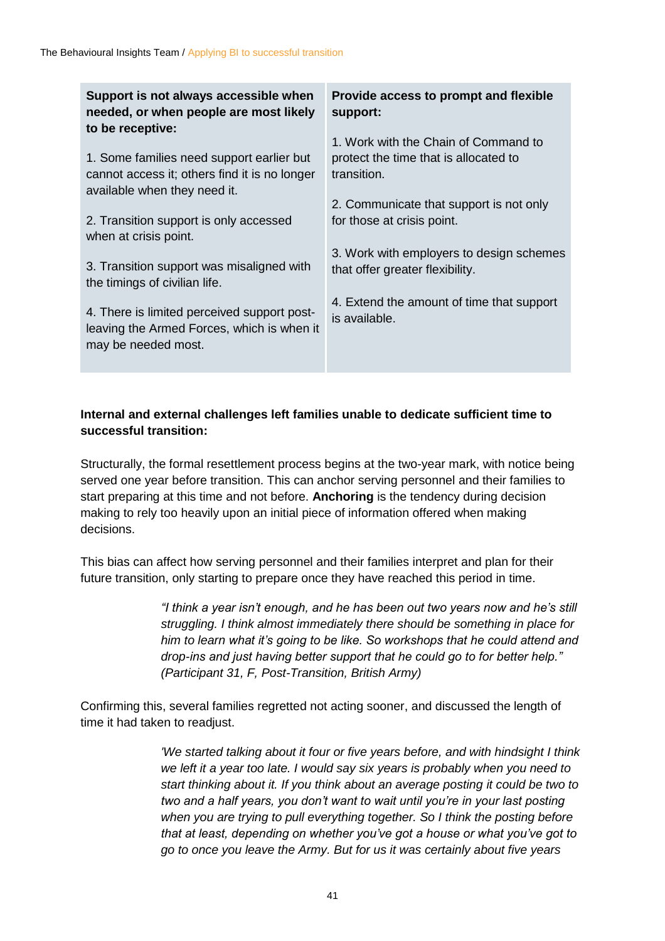| to be receptive:<br>1. Work with the Chain of Command to<br>1. Some families need support earlier but<br>protect the time that is allocated to<br>transition.<br>cannot access it; others find it is no longer<br>available when they need it.<br>2. Communicate that support is not only<br>2. Transition support is only accessed<br>for those at crisis point.<br>when at crisis point.<br>3. Work with employers to design schemes<br>3. Transition support was misaligned with<br>that offer greater flexibility.<br>the timings of civilian life.<br>4. Extend the amount of time that support<br>4. There is limited perceived support post-<br>is available.<br>leaving the Armed Forces, which is when it<br>may be needed most. |
|-------------------------------------------------------------------------------------------------------------------------------------------------------------------------------------------------------------------------------------------------------------------------------------------------------------------------------------------------------------------------------------------------------------------------------------------------------------------------------------------------------------------------------------------------------------------------------------------------------------------------------------------------------------------------------------------------------------------------------------------|
|-------------------------------------------------------------------------------------------------------------------------------------------------------------------------------------------------------------------------------------------------------------------------------------------------------------------------------------------------------------------------------------------------------------------------------------------------------------------------------------------------------------------------------------------------------------------------------------------------------------------------------------------------------------------------------------------------------------------------------------------|

#### **Internal and external challenges left families unable to dedicate sufficient time to successful transition:**

Structurally, the formal resettlement process begins at the two-year mark, with notice being served one year before transition. This can anchor serving personnel and their families to start preparing at this time and not before. **Anchoring** is the tendency during decision making to rely too heavily upon an initial piece of information offered when making decisions.

This bias can affect how serving personnel and their families interpret and plan for their future transition, only starting to prepare once they have reached this period in time.

> *"I think a year isn't enough, and he has been out two years now and he's still struggling. I think almost immediately there should be something in place for him to learn what it's going to be like. So workshops that he could attend and drop-ins and just having better support that he could go to for better help." (Participant 31, F, Post-Transition, British Army)*

Confirming this, several families regretted not acting sooner, and discussed the length of time it had taken to readjust.

> *'We started talking about it four or five years before, and with hindsight I think we left it a year too late. I would say six years is probably when you need to start thinking about it. If you think about an average posting it could be two to two and a half years, you don't want to wait until you're in your last posting when you are trying to pull everything together. So I think the posting before that at least, depending on whether you've got a house or what you've got to go to once you leave the Army. But for us it was certainly about five years*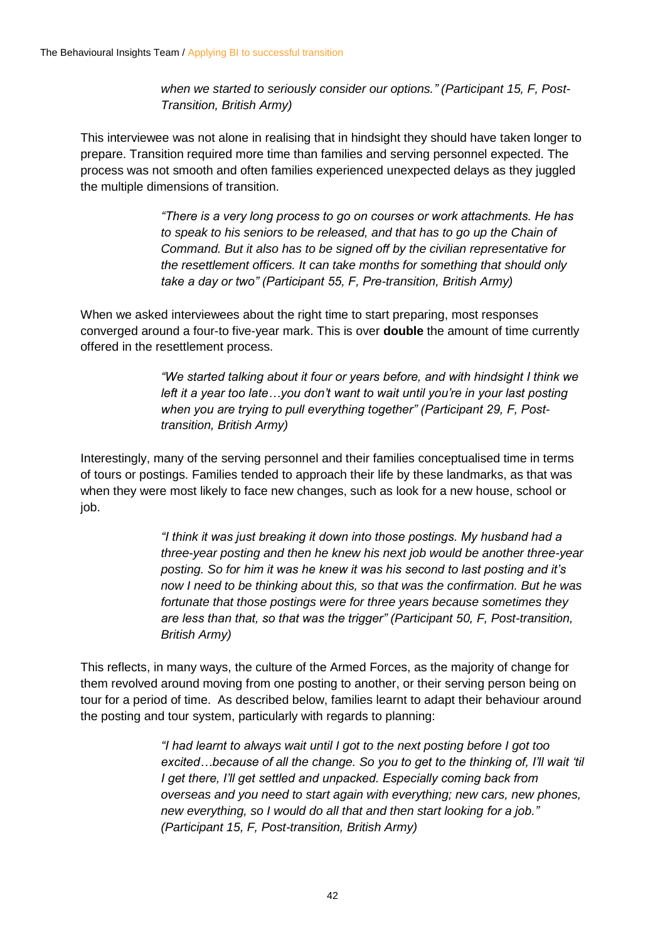*when we started to seriously consider our options." (Participant 15, F, Post-Transition, British Army)*

This interviewee was not alone in realising that in hindsight they should have taken longer to prepare. Transition required more time than families and serving personnel expected. The process was not smooth and often families experienced unexpected delays as they juggled the multiple dimensions of transition.

> *"There is a very long process to go on courses or work attachments. He has to speak to his seniors to be released, and that has to go up the Chain of Command. But it also has to be signed off by the civilian representative for the resettlement officers. It can take months for something that should only take a day or two" (Participant 55, F, Pre-transition, British Army)*

When we asked interviewees about the right time to start preparing, most responses converged around a four-to five-year mark. This is over **double** the amount of time currently offered in the resettlement process.

> *"We started talking about it four or years before, and with hindsight I think we left it a year too late…you don't want to wait until you're in your last posting when you are trying to pull everything together" (Participant 29, F, Posttransition, British Army)*

Interestingly, many of the serving personnel and their families conceptualised time in terms of tours or postings. Families tended to approach their life by these landmarks, as that was when they were most likely to face new changes, such as look for a new house, school or job.

> *"I think it was just breaking it down into those postings. My husband had a three-year posting and then he knew his next job would be another three-year posting. So for him it was he knew it was his second to last posting and it's now I need to be thinking about this, so that was the confirmation. But he was fortunate that those postings were for three years because sometimes they are less than that, so that was the trigger" (Participant 50, F, Post-transition, British Army)*

This reflects, in many ways, the culture of the Armed Forces, as the majority of change for them revolved around moving from one posting to another, or their serving person being on tour for a period of time. As described below, families learnt to adapt their behaviour around the posting and tour system, particularly with regards to planning:

> *"I had learnt to always wait until I got to the next posting before I got too excited…because of all the change. So you to get to the thinking of, I'll wait 'til I get there, I'll get settled and unpacked. Especially coming back from overseas and you need to start again with everything; new cars, new phones, new everything, so I would do all that and then start looking for a job." (Participant 15, F, Post-transition, British Army)*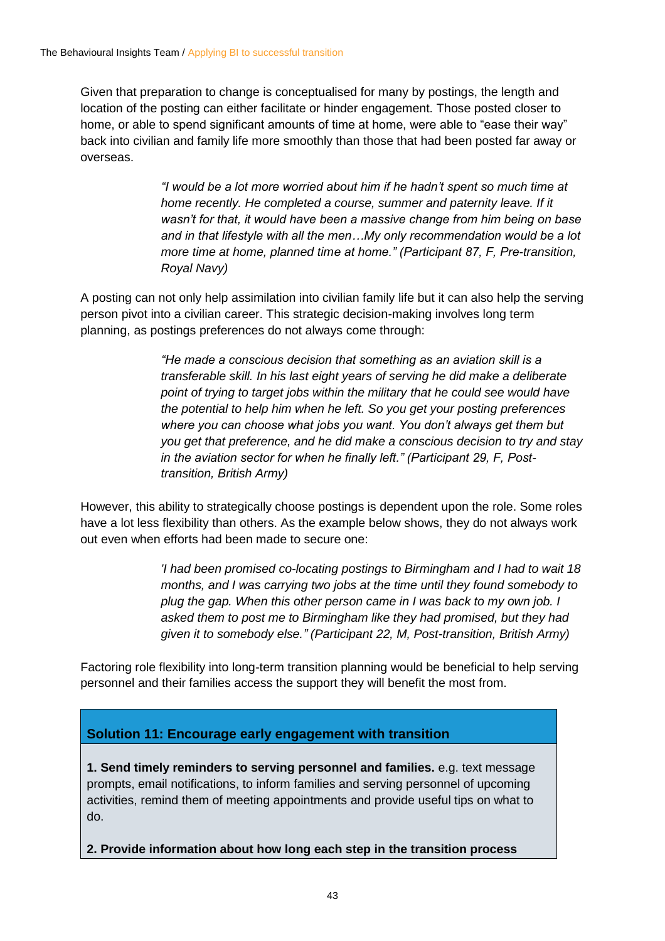Given that preparation to change is conceptualised for many by postings, the length and location of the posting can either facilitate or hinder engagement. Those posted closer to home, or able to spend significant amounts of time at home, were able to "ease their way" back into civilian and family life more smoothly than those that had been posted far away or overseas.

> *"I would be a lot more worried about him if he hadn't spent so much time at home recently. He completed a course, summer and paternity leave. If it wasn't for that, it would have been a massive change from him being on base and in that lifestyle with all the men…My only recommendation would be a lot more time at home, planned time at home." (Participant 87, F, Pre-transition, Royal Navy)*

A posting can not only help assimilation into civilian family life but it can also help the serving person pivot into a civilian career. This strategic decision-making involves long term planning, as postings preferences do not always come through:

> *"He made a conscious decision that something as an aviation skill is a transferable skill. In his last eight years of serving he did make a deliberate point of trying to target jobs within the military that he could see would have the potential to help him when he left. So you get your posting preferences where you can choose what jobs you want. You don't always get them but you get that preference, and he did make a conscious decision to try and stay in the aviation sector for when he finally left." (Participant 29, F, Posttransition, British Army)*

However, this ability to strategically choose postings is dependent upon the role. Some roles have a lot less flexibility than others. As the example below shows, they do not always work out even when efforts had been made to secure one:

> *'I had been promised co-locating postings to Birmingham and I had to wait 18 months, and I was carrying two jobs at the time until they found somebody to plug the gap. When this other person came in I was back to my own job. I asked them to post me to Birmingham like they had promised, but they had given it to somebody else." (Participant 22, M, Post-transition, British Army)*

Factoring role flexibility into long-term transition planning would be beneficial to help serving personnel and their families access the support they will benefit the most from.

#### **Solution 11: Encourage early engagement with transition**

**1. Send timely reminders to serving personnel and families.** e.g. text message prompts, email notifications, to inform families and serving personnel of upcoming activities, remind them of meeting appointments and provide useful tips on what to do.

**2. Provide information about how long each step in the transition process**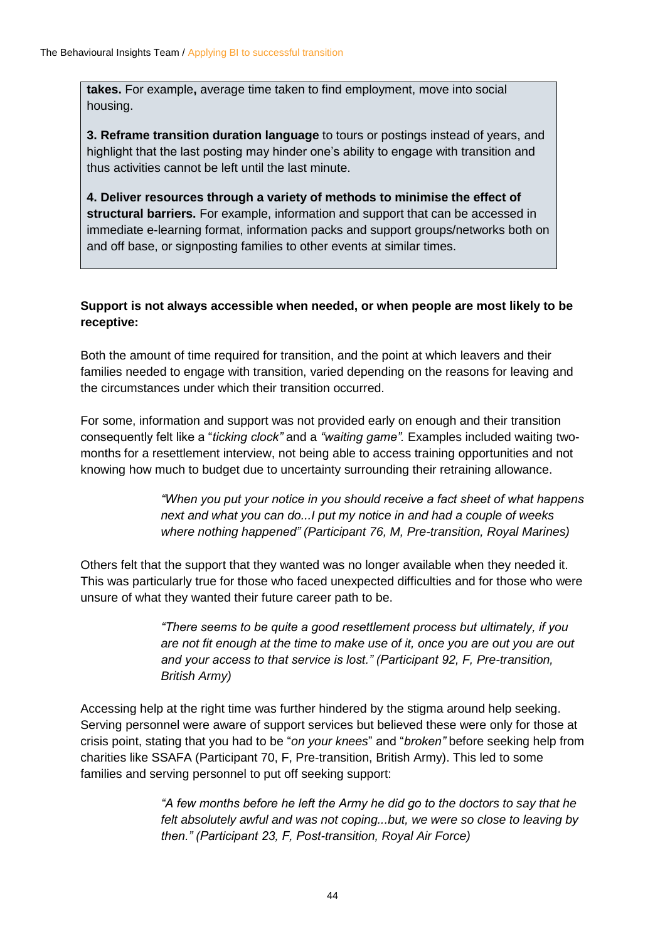**takes.** For example**,** average time taken to find employment, move into social housing.

**3. Reframe transition duration language** to tours or postings instead of years, and highlight that the last posting may hinder one's ability to engage with transition and thus activities cannot be left until the last minute.

**4. Deliver resources through a variety of methods to minimise the effect of structural barriers.** For example, information and support that can be accessed in immediate e-learning format, information packs and support groups/networks both on and off base, or signposting families to other events at similar times.

#### **Support is not always accessible when needed, or when people are most likely to be receptive:**

Both the amount of time required for transition, and the point at which leavers and their families needed to engage with transition, varied depending on the reasons for leaving and the circumstances under which their transition occurred.

For some, information and support was not provided early on enough and their transition consequently felt like a "*ticking clock"* and a *"waiting game".* Examples included waiting twomonths for a resettlement interview, not being able to access training opportunities and not knowing how much to budget due to uncertainty surrounding their retraining allowance.

> *"When you put your notice in you should receive a fact sheet of what happens next and what you can do...I put my notice in and had a couple of weeks where nothing happened" (Participant 76, M, Pre-transition, Royal Marines)*

Others felt that the support that they wanted was no longer available when they needed it. This was particularly true for those who faced unexpected difficulties and for those who were unsure of what they wanted their future career path to be.

> *"There seems to be quite a good resettlement process but ultimately, if you are not fit enough at the time to make use of it, once you are out you are out and your access to that service is lost." (Participant 92, F, Pre-transition, British Army)*

Accessing help at the right time was further hindered by the stigma around help seeking. Serving personnel were aware of support services but believed these were only for those at crisis point, stating that you had to be "*on your knees*" and "*broken"* before seeking help from charities like SSAFA (Participant 70, F, Pre-transition, British Army). This led to some families and serving personnel to put off seeking support:

> *"A few months before he left the Army he did go to the doctors to say that he felt absolutely awful and was not coping...but, we were so close to leaving by then." (Participant 23, F, Post-transition, Royal Air Force)*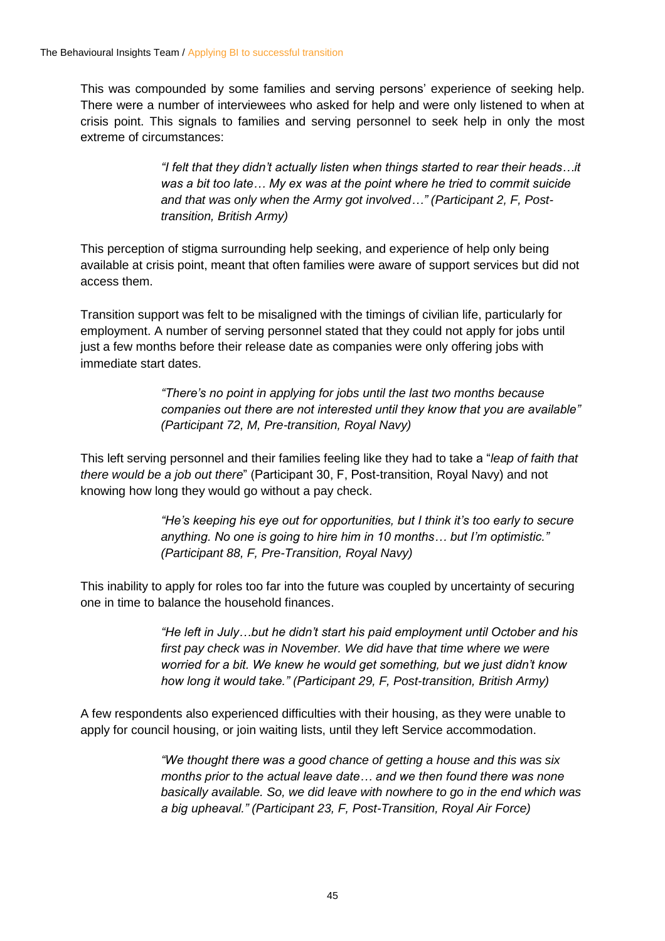This was compounded by some families and serving persons' experience of seeking help. There were a number of interviewees who asked for help and were only listened to when at crisis point. This signals to families and serving personnel to seek help in only the most extreme of circumstances:

> *"I felt that they didn't actually listen when things started to rear their heads…it was a bit too late… My ex was at the point where he tried to commit suicide and that was only when the Army got involved…" (Participant 2, F, Posttransition, British Army)*

This perception of stigma surrounding help seeking, and experience of help only being available at crisis point, meant that often families were aware of support services but did not access them.

Transition support was felt to be misaligned with the timings of civilian life, particularly for employment. A number of serving personnel stated that they could not apply for jobs until just a few months before their release date as companies were only offering jobs with immediate start dates.

> *"There's no point in applying for jobs until the last two months because companies out there are not interested until they know that you are available" (Participant 72, M, Pre-transition, Royal Navy)*

This left serving personnel and their families feeling like they had to take a "*leap of faith that there would be a job out there*" (Participant 30, F, Post-transition, Royal Navy) and not knowing how long they would go without a pay check.

> *"He's keeping his eye out for opportunities, but I think it's too early to secure anything. No one is going to hire him in 10 months… but I'm optimistic." (Participant 88, F, Pre-Transition, Royal Navy)*

This inability to apply for roles too far into the future was coupled by uncertainty of securing one in time to balance the household finances.

> *"He left in July…but he didn't start his paid employment until October and his first pay check was in November. We did have that time where we were worried for a bit. We knew he would get something, but we just didn't know how long it would take." (Participant 29, F, Post-transition, British Army)*

A few respondents also experienced difficulties with their housing, as they were unable to apply for council housing, or join waiting lists, until they left Service accommodation.

> *"We thought there was a good chance of getting a house and this was six months prior to the actual leave date… and we then found there was none basically available. So, we did leave with nowhere to go in the end which was a big upheaval." (Participant 23, F, Post-Transition, Royal Air Force)*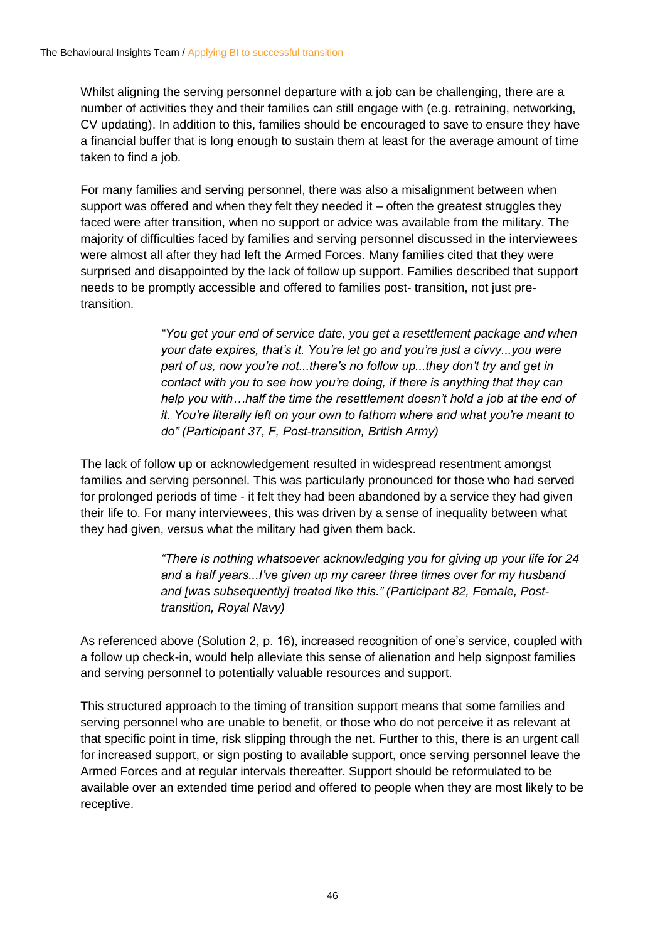Whilst aligning the serving personnel departure with a job can be challenging, there are a number of activities they and their families can still engage with (e.g. retraining, networking, CV updating). In addition to this, families should be encouraged to save to ensure they have a financial buffer that is long enough to sustain them at least for the average amount of time taken to find a job.

For many families and serving personnel, there was also a misalignment between when support was offered and when they felt they needed it – often the greatest struggles they faced were after transition, when no support or advice was available from the military. The majority of difficulties faced by families and serving personnel discussed in the interviewees were almost all after they had left the Armed Forces. Many families cited that they were surprised and disappointed by the lack of follow up support. Families described that support needs to be promptly accessible and offered to families post- transition, not just pretransition.

> *"You get your end of service date, you get a resettlement package and when your date expires, that's it. You're let go and you're just a civvy...you were part of us, now you're not...there's no follow up...they don't try and get in contact with you to see how you're doing, if there is anything that they can help you with…half the time the resettlement doesn't hold a job at the end of it. You're literally left on your own to fathom where and what you're meant to do" (Participant 37, F, Post-transition, British Army)*

The lack of follow up or acknowledgement resulted in widespread resentment amongst families and serving personnel. This was particularly pronounced for those who had served for prolonged periods of time - it felt they had been abandoned by a service they had given their life to. For many interviewees, this was driven by a sense of inequality between what they had given, versus what the military had given them back.

> *"There is nothing whatsoever acknowledging you for giving up your life for 24 and a half years...I've given up my career three times over for my husband and [was subsequently] treated like this." (Participant 82, Female, Posttransition, Royal Navy)*

As referenced above (Solution 2, p. 16), increased recognition of one's service, coupled with a follow up check-in, would help alleviate this sense of alienation and help signpost families and serving personnel to potentially valuable resources and support.

This structured approach to the timing of transition support means that some families and serving personnel who are unable to benefit, or those who do not perceive it as relevant at that specific point in time, risk slipping through the net. Further to this, there is an urgent call for increased support, or sign posting to available support, once serving personnel leave the Armed Forces and at regular intervals thereafter. Support should be reformulated to be available over an extended time period and offered to people when they are most likely to be receptive.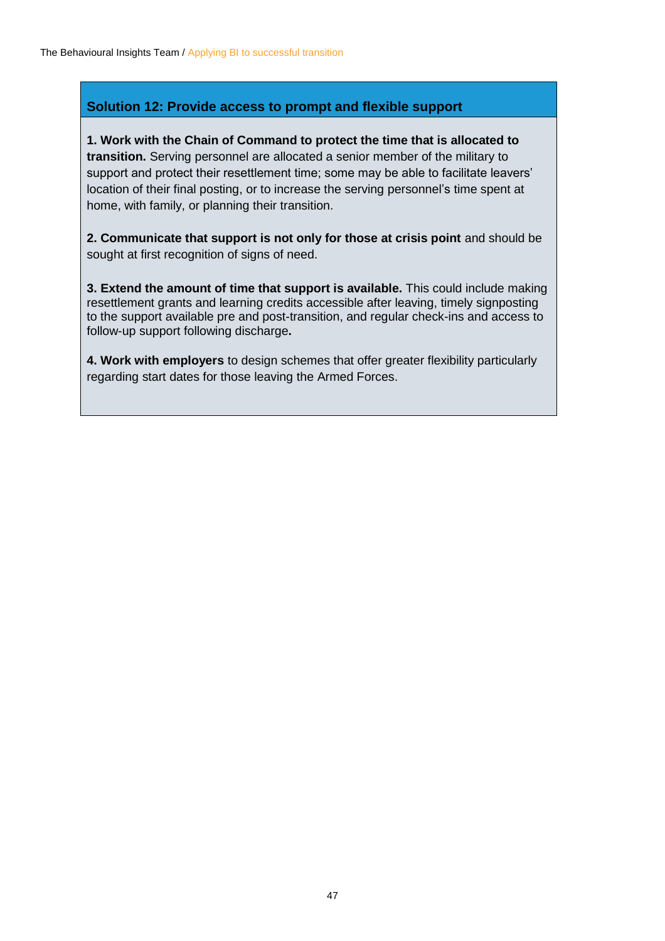#### **Solution 12: Provide access to prompt and flexible support**

**1. Work with the Chain of Command to protect the time that is allocated to transition.** Serving personnel are allocated a senior member of the military to support and protect their resettlement time; some may be able to facilitate leavers' location of their final posting, or to increase the serving personnel's time spent at home, with family, or planning their transition.

**2. Communicate that support is not only for those at crisis point** and should be sought at first recognition of signs of need.

**3. Extend the amount of time that support is available.** This could include making resettlement grants and learning credits accessible after leaving, timely signposting to the support available pre and post-transition, and regular check-ins and access to follow-up support following discharge**.**

**4. Work with employers** to design schemes that offer greater flexibility particularly regarding start dates for those leaving the Armed Forces.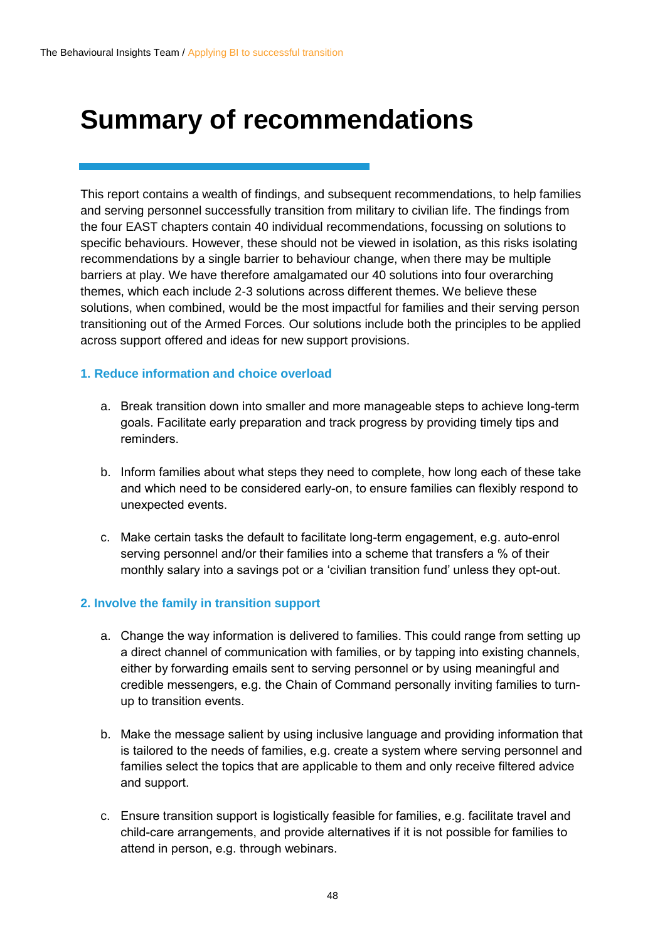### <span id="page-47-0"></span>**Summary of recommendations**

This report contains a wealth of findings, and subsequent recommendations, to help families and serving personnel successfully transition from military to civilian life. The findings from the four EAST chapters contain 40 individual recommendations, focussing on solutions to specific behaviours. However, these should not be viewed in isolation, as this risks isolating recommendations by a single barrier to behaviour change, when there may be multiple barriers at play. We have therefore amalgamated our 40 solutions into four overarching themes, which each include 2-3 solutions across different themes. We believe these solutions, when combined, would be the most impactful for families and their serving person transitioning out of the Armed Forces. Our solutions include both the principles to be applied across support offered and ideas for new support provisions.

#### **1. Reduce information and choice overload**

- a. Break transition down into smaller and more manageable steps to achieve long-term goals. Facilitate early preparation and track progress by providing timely tips and reminders.
- b. Inform families about what steps they need to complete, how long each of these take and which need to be considered early-on, to ensure families can flexibly respond to unexpected events.
- c. Make certain tasks the default to facilitate long-term engagement, e.g. auto-enrol serving personnel and/or their families into a scheme that transfers a % of their monthly salary into a savings pot or a 'civilian transition fund' unless they opt-out.

#### **2. Involve the family in transition support**

- a. Change the way information is delivered to families. This could range from setting up a direct channel of communication with families, or by tapping into existing channels, either by forwarding emails sent to serving personnel or by using meaningful and credible messengers, e.g. the Chain of Command personally inviting families to turnup to transition events.
- b. Make the message salient by using inclusive language and providing information that is tailored to the needs of families, e.g. create a system where serving personnel and families select the topics that are applicable to them and only receive filtered advice and support.
- c. Ensure transition support is logistically feasible for families, e.g. facilitate travel and child-care arrangements, and provide alternatives if it is not possible for families to attend in person, e.g. through webinars.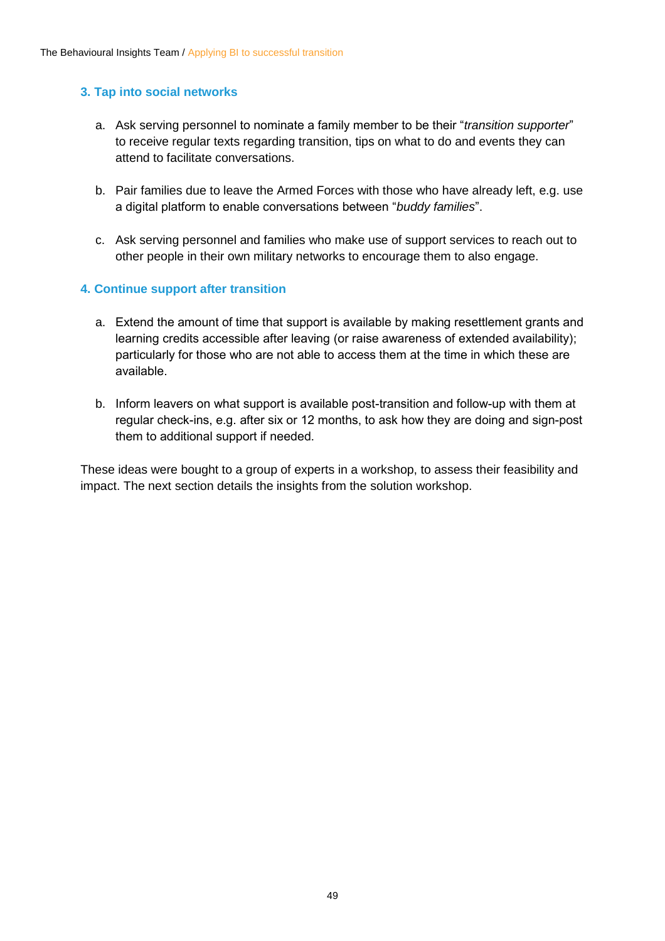#### **3. Tap into social networks**

- a. Ask serving personnel to nominate a family member to be their "*transition supporter*" to receive regular texts regarding transition, tips on what to do and events they can attend to facilitate conversations.
- b. Pair families due to leave the Armed Forces with those who have already left, e.g. use a digital platform to enable conversations between "*buddy families*".
- c. Ask serving personnel and families who make use of support services to reach out to other people in their own military networks to encourage them to also engage.

#### **4. Continue support after transition**

- a. Extend the amount of time that support is available by making resettlement grants and learning credits accessible after leaving (or raise awareness of extended availability); particularly for those who are not able to access them at the time in which these are available.
- b. Inform leavers on what support is available post-transition and follow-up with them at regular check-ins, e.g. after six or 12 months, to ask how they are doing and sign-post them to additional support if needed.

These ideas were bought to a group of experts in a workshop, to assess their feasibility and impact. The next section details the insights from the solution workshop.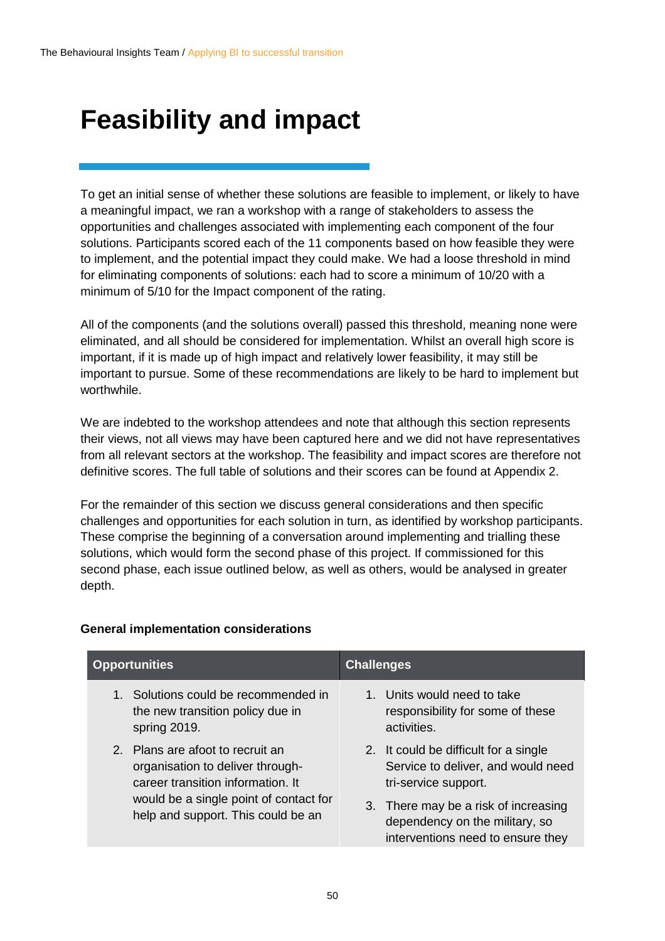### <span id="page-49-0"></span>**Feasibility and impact**

To get an initial sense of whether these solutions are feasible to implement, or likely to have a meaningful impact, we ran a workshop with a range of stakeholders to assess the opportunities and challenges associated with implementing each component of the four solutions. Participants scored each of the 11 components based on how feasible they were to implement, and the potential impact they could make. We had a loose threshold in mind for eliminating components of solutions: each had to score a minimum of 10/20 with a minimum of 5/10 for the Impact component of the rating.

All of the components (and the solutions overall) passed this threshold, meaning none were eliminated, and all should be considered for implementation. Whilst an overall high score is important, if it is made up of high impact and relatively lower feasibility, it may still be important to pursue. Some of these recommendations are likely to be hard to implement but worthwhile.

We are indebted to the workshop attendees and note that although this section represents their views, not all views may have been captured here and we did not have representatives from all relevant sectors at the workshop. The feasibility and impact scores are therefore not definitive scores. The full table of solutions and their scores can be found at Appendix 2.

For the remainder of this section we discuss general considerations and then specific challenges and opportunities for each solution in turn, as identified by workshop participants. These comprise the beginning of a conversation around implementing and trialling these solutions, which would form the second phase of this project. If commissioned for this second phase, each issue outlined below, as well as others, would be analysed in greater depth.

|         | <b>Opportunities</b>                                                                                      | <b>Challenges</b> |                                                                                                             |
|---------|-----------------------------------------------------------------------------------------------------------|-------------------|-------------------------------------------------------------------------------------------------------------|
| $1_{-}$ | Solutions could be recommended in<br>the new transition policy due in<br>spring 2019.                     |                   | 1. Units would need to take<br>responsibility for some of these<br>activities.                              |
|         | 2. Plans are afoot to recruit an<br>organisation to deliver through-<br>career transition information. It |                   | 2. It could be difficult for a single<br>Service to deliver, and would need<br>tri-service support.         |
|         | would be a single point of contact for<br>help and support. This could be an                              |                   | 3. There may be a risk of increasing<br>dependency on the military, so<br>interventions need to ensure they |

#### **General implementation considerations**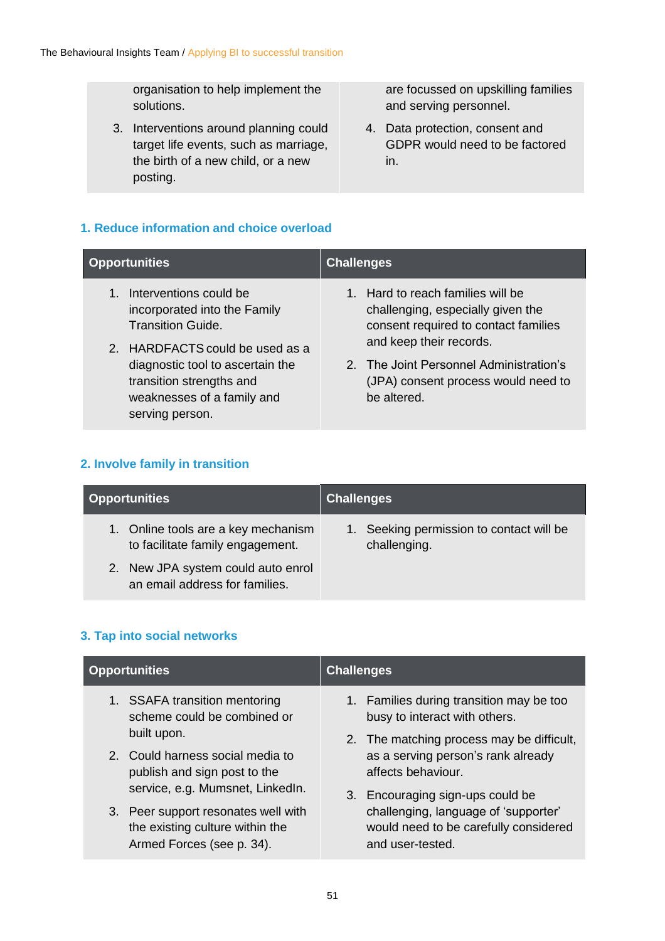organisation to help implement the solutions.

3. Interventions around planning could target life events, such as marriage, the birth of a new child, or a new posting.

are focussed on upskilling families and serving personnel.

4. Data protection, consent and GDPR would need to be factored in.

#### **1. Reduce information and choice overload**

| <b>Opportunities</b>                                                                                                                                                                                                                              | <b>Challenges</b>                                                                                                                                                                                                                          |
|---------------------------------------------------------------------------------------------------------------------------------------------------------------------------------------------------------------------------------------------------|--------------------------------------------------------------------------------------------------------------------------------------------------------------------------------------------------------------------------------------------|
| Interventions could be<br>$1_{-}$<br>incorporated into the Family<br><b>Transition Guide.</b><br>2. HARDFACTS could be used as a<br>diagnostic tool to ascertain the<br>transition strengths and<br>weaknesses of a family and<br>serving person. | 1. Hard to reach families will be<br>challenging, especially given the<br>consent required to contact families<br>and keep their records.<br>2. The Joint Personnel Administration's<br>(JPA) consent process would need to<br>be altered. |

#### **2. Involve family in transition**

| <b>Opportunities</b>                                                    | <b>Challenges</b>                                        |
|-------------------------------------------------------------------------|----------------------------------------------------------|
| 1. Online tools are a key mechanism<br>to facilitate family engagement. | 1. Seeking permission to contact will be<br>challenging. |
| 2. New JPA system could auto enrol<br>an email address for families.    |                                                          |

#### **3. Tap into social networks**

| <b>Opportunities</b>                | <b>Challenges</b>                         |
|-------------------------------------|-------------------------------------------|
| 1. SSAFA transition mentoring       | 1. Families during transition may be too  |
| scheme could be combined or         | busy to interact with others.             |
| built upon.                         | 2. The matching process may be difficult, |
| 2. Could harness social media to    | as a serving person's rank already        |
| publish and sign post to the        | affects behaviour.                        |
| service, e.g. Mumsnet, LinkedIn.    | 3. Encouraging sign-ups could be          |
| 3. Peer support resonates well with | challenging, language of 'supporter'      |
| the existing culture within the     | would need to be carefully considered     |
| Armed Forces (see p. 34).           | and user-tested.                          |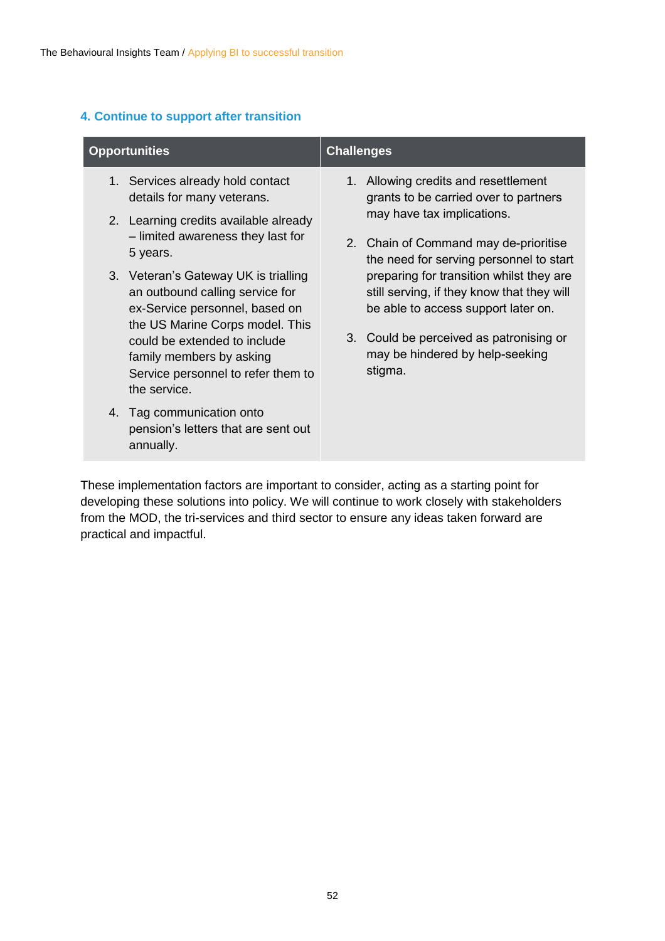#### **4. Continue to support after transition**

| <b>Opportunities</b>                                                                                                                         | <b>Challenges</b>                                                                                                             |  |
|----------------------------------------------------------------------------------------------------------------------------------------------|-------------------------------------------------------------------------------------------------------------------------------|--|
| 1. Services already hold contact<br>details for many veterans.                                                                               | 1. Allowing credits and resettlement<br>grants to be carried over to partners                                                 |  |
| 2. Learning credits available already<br>- limited awareness they last for<br>5 years.                                                       | may have tax implications.<br>2. Chain of Command may de-prioritise<br>the need for serving personnel to start                |  |
| 3. Veteran's Gateway UK is trialling<br>an outbound calling service for<br>ex-Service personnel, based on<br>the US Marine Corps model. This | preparing for transition whilst they are<br>still serving, if they know that they will<br>be able to access support later on. |  |
| could be extended to include<br>family members by asking<br>Service personnel to refer them to<br>the service.                               | 3. Could be perceived as patronising or<br>may be hindered by help-seeking<br>stigma.                                         |  |
| 4. Tag communication onto<br>pension's letters that are sent out<br>annually.                                                                |                                                                                                                               |  |

These implementation factors are important to consider, acting as a starting point for developing these solutions into policy. We will continue to work closely with stakeholders from the MOD, the tri-services and third sector to ensure any ideas taken forward are practical and impactful.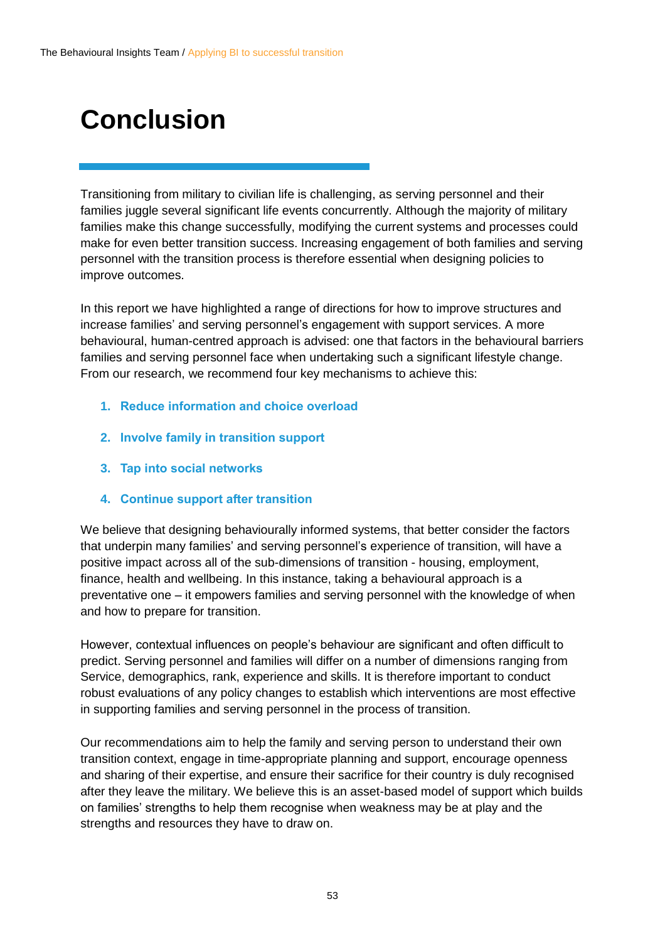## <span id="page-52-0"></span>**Conclusion**

Transitioning from military to civilian life is challenging, as serving personnel and their families juggle several significant life events concurrently. Although the majority of military families make this change successfully, modifying the current systems and processes could make for even better transition success. Increasing engagement of both families and serving personnel with the transition process is therefore essential when designing policies to improve outcomes.

In this report we have highlighted a range of directions for how to improve structures and increase families' and serving personnel's engagement with support services. A more behavioural, human-centred approach is advised: one that factors in the behavioural barriers families and serving personnel face when undertaking such a significant lifestyle change. From our research, we recommend four key mechanisms to achieve this:

- **1. Reduce information and choice overload**
- **2. Involve family in transition support**
- **3. Tap into social networks**
- **4. Continue support after transition**

We believe that designing behaviourally informed systems, that better consider the factors that underpin many families' and serving personnel's experience of transition, will have a positive impact across all of the sub-dimensions of transition - housing, employment, finance, health and wellbeing. In this instance, taking a behavioural approach is a preventative one – it empowers families and serving personnel with the knowledge of when and how to prepare for transition.

However, contextual influences on people's behaviour are significant and often difficult to predict. Serving personnel and families will differ on a number of dimensions ranging from Service, demographics, rank, experience and skills. It is therefore important to conduct robust evaluations of any policy changes to establish which interventions are most effective in supporting families and serving personnel in the process of transition.

Our recommendations aim to help the family and serving person to understand their own transition context, engage in time-appropriate planning and support, encourage openness and sharing of their expertise, and ensure their sacrifice for their country is duly recognised after they leave the military. We believe this is an asset-based model of support which builds on families' strengths to help them recognise when weakness may be at play and the strengths and resources they have to draw on.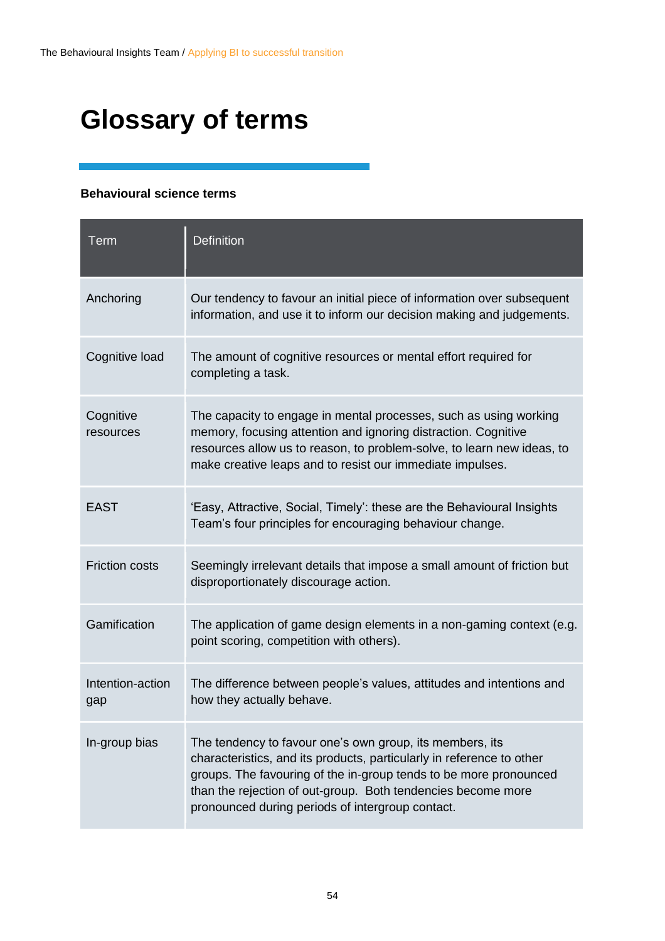## <span id="page-53-0"></span>**Glossary of terms**

#### **Behavioural science terms**

| Term                    | <b>Definition</b>                                                                                                                                                                                                                                                                                                          |
|-------------------------|----------------------------------------------------------------------------------------------------------------------------------------------------------------------------------------------------------------------------------------------------------------------------------------------------------------------------|
| Anchoring               | Our tendency to favour an initial piece of information over subsequent<br>information, and use it to inform our decision making and judgements.                                                                                                                                                                            |
| Cognitive load          | The amount of cognitive resources or mental effort required for<br>completing a task.                                                                                                                                                                                                                                      |
| Cognitive<br>resources  | The capacity to engage in mental processes, such as using working<br>memory, focusing attention and ignoring distraction. Cognitive<br>resources allow us to reason, to problem-solve, to learn new ideas, to<br>make creative leaps and to resist our immediate impulses.                                                 |
| <b>EAST</b>             | 'Easy, Attractive, Social, Timely': these are the Behavioural Insights<br>Team's four principles for encouraging behaviour change.                                                                                                                                                                                         |
| <b>Friction costs</b>   | Seemingly irrelevant details that impose a small amount of friction but<br>disproportionately discourage action.                                                                                                                                                                                                           |
| Gamification            | The application of game design elements in a non-gaming context (e.g.<br>point scoring, competition with others).                                                                                                                                                                                                          |
| Intention-action<br>gap | The difference between people's values, attitudes and intentions and<br>how they actually behave.                                                                                                                                                                                                                          |
| In-group bias           | The tendency to favour one's own group, its members, its<br>characteristics, and its products, particularly in reference to other<br>groups. The favouring of the in-group tends to be more pronounced<br>than the rejection of out-group. Both tendencies become more<br>pronounced during periods of intergroup contact. |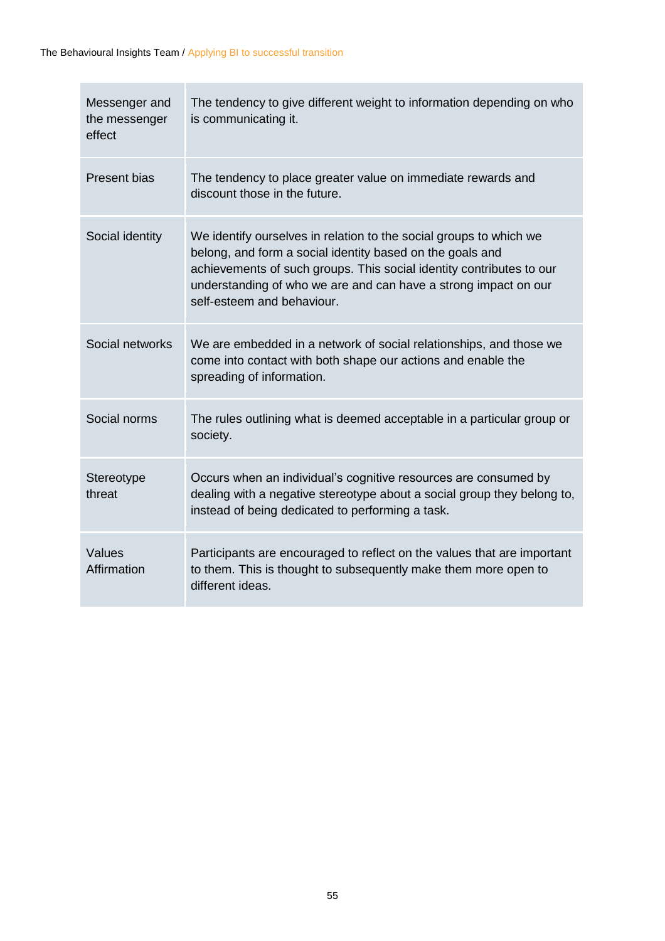| Messenger and<br>the messenger<br>effect | The tendency to give different weight to information depending on who<br>is communicating it.                                                                                                                                                                                                            |
|------------------------------------------|----------------------------------------------------------------------------------------------------------------------------------------------------------------------------------------------------------------------------------------------------------------------------------------------------------|
| <b>Present bias</b>                      | The tendency to place greater value on immediate rewards and<br>discount those in the future.                                                                                                                                                                                                            |
| Social identity                          | We identify ourselves in relation to the social groups to which we<br>belong, and form a social identity based on the goals and<br>achievements of such groups. This social identity contributes to our<br>understanding of who we are and can have a strong impact on our<br>self-esteem and behaviour. |
| Social networks                          | We are embedded in a network of social relationships, and those we<br>come into contact with both shape our actions and enable the<br>spreading of information.                                                                                                                                          |
| Social norms                             | The rules outlining what is deemed acceptable in a particular group or<br>society.                                                                                                                                                                                                                       |
| Stereotype<br>threat                     | Occurs when an individual's cognitive resources are consumed by<br>dealing with a negative stereotype about a social group they belong to,<br>instead of being dedicated to performing a task.                                                                                                           |
| Values<br>Affirmation                    | Participants are encouraged to reflect on the values that are important<br>to them. This is thought to subsequently make them more open to<br>different ideas.                                                                                                                                           |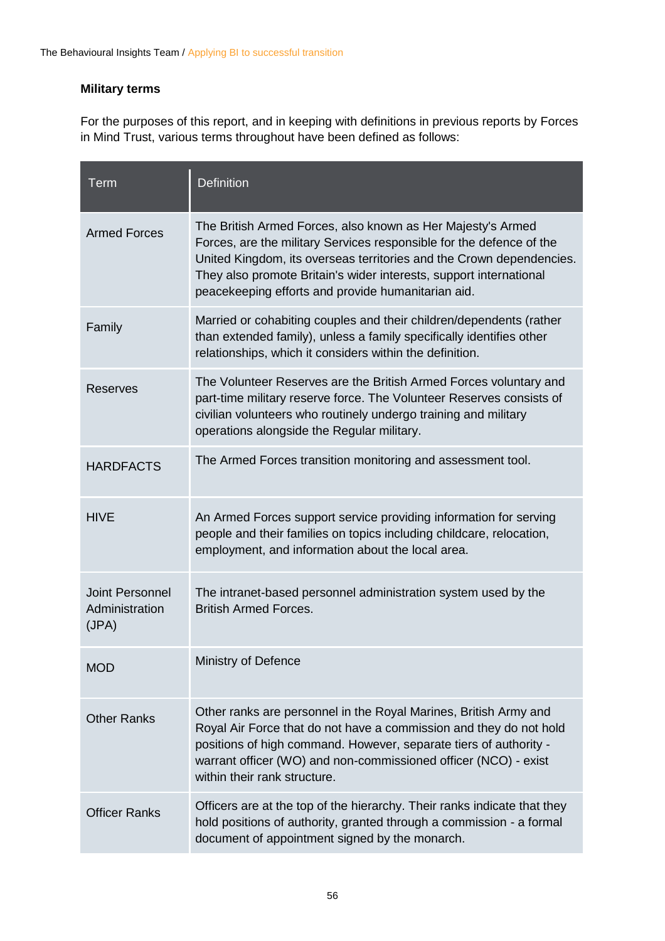#### **Military terms**

For the purposes of this report, and in keeping with definitions in previous reports by Forces in Mind Trust, various terms throughout have been defined as follows:

| <b>Term</b>                                       | <b>Definition</b>                                                                                                                                                                                                                                                                                                                       |
|---------------------------------------------------|-----------------------------------------------------------------------------------------------------------------------------------------------------------------------------------------------------------------------------------------------------------------------------------------------------------------------------------------|
| <b>Armed Forces</b>                               | The British Armed Forces, also known as Her Majesty's Armed<br>Forces, are the military Services responsible for the defence of the<br>United Kingdom, its overseas territories and the Crown dependencies.<br>They also promote Britain's wider interests, support international<br>peacekeeping efforts and provide humanitarian aid. |
| Family                                            | Married or cohabiting couples and their children/dependents (rather<br>than extended family), unless a family specifically identifies other<br>relationships, which it considers within the definition.                                                                                                                                 |
| <b>Reserves</b>                                   | The Volunteer Reserves are the British Armed Forces voluntary and<br>part-time military reserve force. The Volunteer Reserves consists of<br>civilian volunteers who routinely undergo training and military<br>operations alongside the Regular military.                                                                              |
| <b>HARDFACTS</b>                                  | The Armed Forces transition monitoring and assessment tool.                                                                                                                                                                                                                                                                             |
| <b>HIVE</b>                                       | An Armed Forces support service providing information for serving<br>people and their families on topics including childcare, relocation,<br>employment, and information about the local area.                                                                                                                                          |
| <b>Joint Personnel</b><br>Administration<br>(JPA) | The intranet-based personnel administration system used by the<br><b>British Armed Forces.</b>                                                                                                                                                                                                                                          |
| <b>MOD</b>                                        | Ministry of Defence                                                                                                                                                                                                                                                                                                                     |
| <b>Other Ranks</b>                                | Other ranks are personnel in the Royal Marines, British Army and<br>Royal Air Force that do not have a commission and they do not hold<br>positions of high command. However, separate tiers of authority -<br>warrant officer (WO) and non-commissioned officer (NCO) - exist<br>within their rank structure.                          |
| <b>Officer Ranks</b>                              | Officers are at the top of the hierarchy. Their ranks indicate that they<br>hold positions of authority, granted through a commission - a formal<br>document of appointment signed by the monarch.                                                                                                                                      |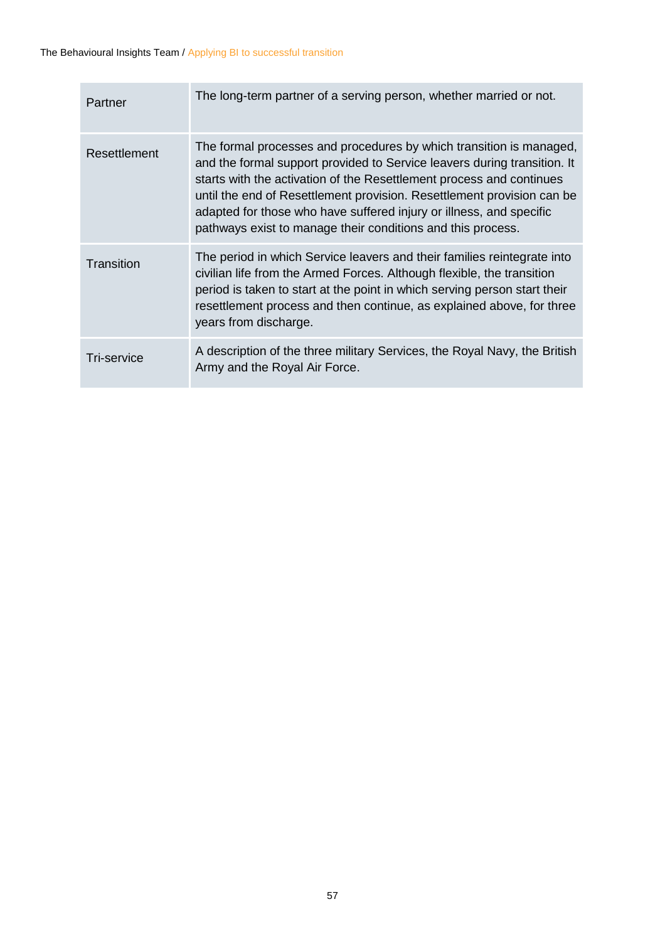| Partner            | The long-term partner of a serving person, whether married or not.                                                                                                                                                                                                                                                                                                                                                                      |
|--------------------|-----------------------------------------------------------------------------------------------------------------------------------------------------------------------------------------------------------------------------------------------------------------------------------------------------------------------------------------------------------------------------------------------------------------------------------------|
| Resettlement       | The formal processes and procedures by which transition is managed,<br>and the formal support provided to Service leavers during transition. It<br>starts with the activation of the Resettlement process and continues<br>until the end of Resettlement provision. Resettlement provision can be<br>adapted for those who have suffered injury or illness, and specific<br>pathways exist to manage their conditions and this process. |
| Transition         | The period in which Service leavers and their families reintegrate into<br>civilian life from the Armed Forces. Although flexible, the transition<br>period is taken to start at the point in which serving person start their<br>resettlement process and then continue, as explained above, for three<br>years from discharge.                                                                                                        |
| <b>Tri-service</b> | A description of the three military Services, the Royal Navy, the British<br>Army and the Royal Air Force.                                                                                                                                                                                                                                                                                                                              |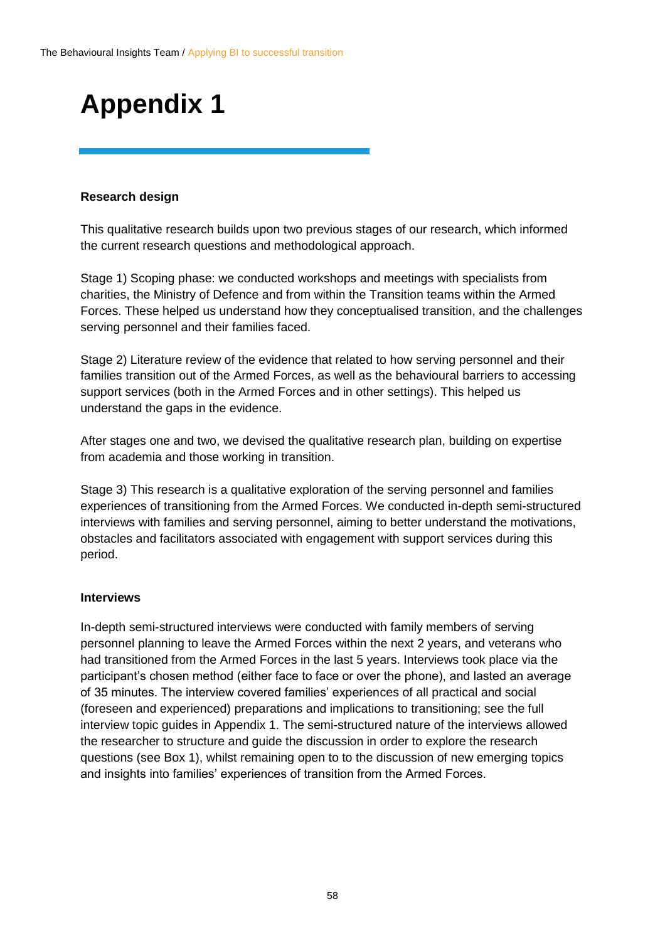## <span id="page-57-0"></span>**Appendix 1**

#### **Research design**

This qualitative research builds upon two previous stages of our research, which informed the current research questions and methodological approach.

Stage 1) Scoping phase: we conducted workshops and meetings with specialists from charities, the Ministry of Defence and from within the Transition teams within the Armed Forces. These helped us understand how they conceptualised transition, and the challenges serving personnel and their families faced.

Stage 2) Literature review of the evidence that related to how serving personnel and their families transition out of the Armed Forces, as well as the behavioural barriers to accessing support services (both in the Armed Forces and in other settings). This helped us understand the gaps in the evidence.

After stages one and two, we devised the qualitative research plan, building on expertise from academia and those working in transition.

Stage 3) This research is a qualitative exploration of the serving personnel and families experiences of transitioning from the Armed Forces. We conducted in-depth semi-structured interviews with families and serving personnel, aiming to better understand the motivations, obstacles and facilitators associated with engagement with support services during this period.

#### **Interviews**

In-depth semi-structured interviews were conducted with family members of serving personnel planning to leave the Armed Forces within the next 2 years, and veterans who had transitioned from the Armed Forces in the last 5 years. Interviews took place via the participant's chosen method (either face to face or over the phone), and lasted an average of 35 minutes. The interview covered families' experiences of all practical and social (foreseen and experienced) preparations and implications to transitioning; see the full interview topic guides in Appendix 1. The semi-structured nature of the interviews allowed the researcher to structure and guide the discussion in order to explore the research questions (see Box 1), whilst remaining open to to the discussion of new emerging topics and insights into families' experiences of transition from the Armed Forces.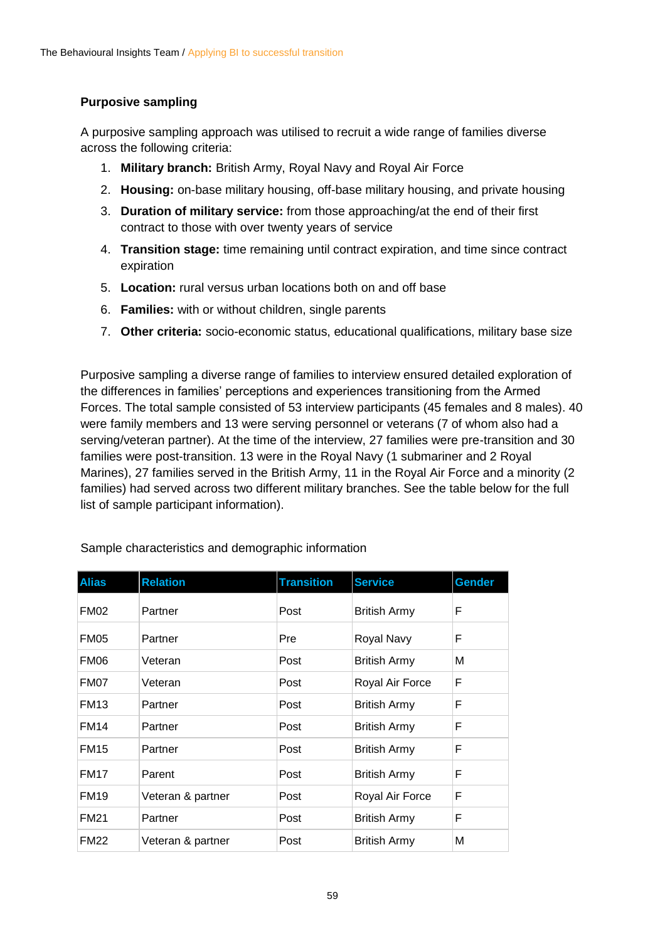#### **Purposive sampling**

A purposive sampling approach was utilised to recruit a wide range of families diverse across the following criteria:

- 1. **Military branch:** British Army, Royal Navy and Royal Air Force
- 2. **Housing:** on-base military housing, off-base military housing, and private housing
- 3. **Duration of military service:** from those approaching/at the end of their first contract to those with over twenty years of service
- 4. **Transition stage:** time remaining until contract expiration, and time since contract expiration
- 5. **Location:** rural versus urban locations both on and off base
- 6. **Families:** with or without children, single parents
- 7. **Other criteria:** socio-economic status, educational qualifications, military base size

Purposive sampling a diverse range of families to interview ensured detailed exploration of the differences in families' perceptions and experiences transitioning from the Armed Forces. The total sample consisted of 53 interview participants (45 females and 8 males). 40 were family members and 13 were serving personnel or veterans (7 of whom also had a serving/veteran partner). At the time of the interview, 27 families were pre-transition and 30 families were post-transition. 13 were in the Royal Navy (1 submariner and 2 Royal Marines), 27 families served in the British Army, 11 in the Royal Air Force and a minority (2 families) had served across two different military branches. See the table below for the full list of sample participant information).

| <b>Alias</b>     | <b>Relation</b>   | <b>Transition</b> | <b>Service</b>      | <b>Gender</b> |
|------------------|-------------------|-------------------|---------------------|---------------|
| FM <sub>02</sub> | Partner           | Post              | <b>British Army</b> | F             |
| <b>FM05</b>      | Partner           | Pre               | Royal Navy          | F             |
| FM06             | Veteran           | Post              | <b>British Army</b> | М             |
| FM07             | Veteran           | Post              | Royal Air Force     | F             |
| <b>FM13</b>      | Partner           | Post              | <b>British Army</b> | F             |
| <b>FM14</b>      | Partner           | Post              | <b>British Army</b> | F             |
| <b>FM15</b>      | Partner           | Post              | <b>British Army</b> | F             |
| <b>FM17</b>      | Parent            | Post              | <b>British Army</b> | F             |
| <b>FM19</b>      | Veteran & partner | Post              | Royal Air Force     | F             |
| <b>FM21</b>      | Partner           | Post              | <b>British Army</b> | F             |
| <b>FM22</b>      | Veteran & partner | Post              | <b>British Army</b> | Μ             |

Sample characteristics and demographic information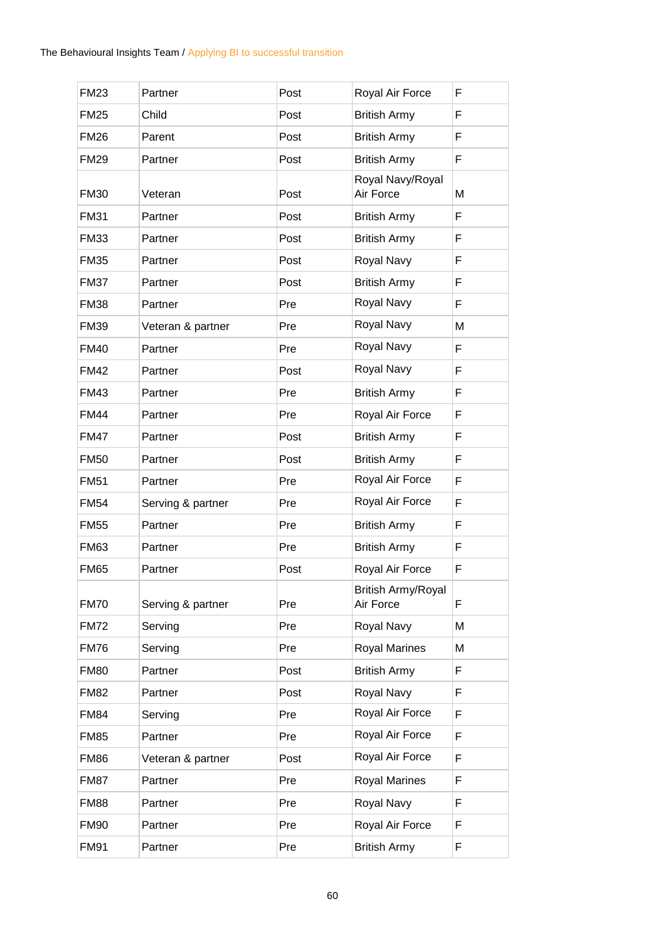| <b>FM23</b> | Partner           | Post | Royal Air Force                        | F |
|-------------|-------------------|------|----------------------------------------|---|
| <b>FM25</b> | Child             | Post | <b>British Army</b>                    | F |
| <b>FM26</b> | Parent            | Post | <b>British Army</b>                    | F |
| <b>FM29</b> | Partner           | Post | <b>British Army</b>                    | F |
| <b>FM30</b> | Veteran           | Post | Royal Navy/Royal<br>Air Force          | M |
| <b>FM31</b> | Partner           | Post | <b>British Army</b>                    | F |
| <b>FM33</b> | Partner           | Post | <b>British Army</b>                    | F |
| <b>FM35</b> | Partner           | Post | Royal Navy                             | F |
| <b>FM37</b> | Partner           | Post | <b>British Army</b>                    | F |
| <b>FM38</b> | Partner           | Pre  | Royal Navy                             | F |
| <b>FM39</b> | Veteran & partner | Pre  | Royal Navy                             | M |
| <b>FM40</b> | Partner           | Pre  | Royal Navy                             | F |
| <b>FM42</b> | Partner           | Post | Royal Navy                             | F |
| <b>FM43</b> | Partner           | Pre  | <b>British Army</b>                    | F |
| <b>FM44</b> | Partner           | Pre  | Royal Air Force                        | F |
| <b>FM47</b> | Partner           | Post | <b>British Army</b>                    | F |
| <b>FM50</b> | Partner           | Post | <b>British Army</b>                    | F |
| <b>FM51</b> | Partner           | Pre  | Royal Air Force                        | F |
| <b>FM54</b> | Serving & partner | Pre  | Royal Air Force                        | F |
| <b>FM55</b> | Partner           | Pre  | <b>British Army</b>                    | F |
| <b>FM63</b> | Partner           | Pre  | <b>British Army</b>                    | F |
| <b>FM65</b> | Partner           | Post | Royal Air Force                        | F |
| <b>FM70</b> | Serving & partner | Pre  | <b>British Army/Royal</b><br>Air Force | F |
| <b>FM72</b> | Serving           | Pre  | Royal Navy                             | М |
| <b>FM76</b> | Serving           | Pre  | <b>Royal Marines</b>                   | M |
| <b>FM80</b> | Partner           | Post | <b>British Army</b>                    | F |
| <b>FM82</b> | Partner           | Post | Royal Navy                             | F |
| <b>FM84</b> | Serving           | Pre  | Royal Air Force                        | F |
| <b>FM85</b> | Partner           | Pre  | Royal Air Force                        | F |
| <b>FM86</b> | Veteran & partner | Post | Royal Air Force                        | F |
| <b>FM87</b> | Partner           | Pre  | Royal Marines                          | F |
| <b>FM88</b> | Partner           | Pre  | Royal Navy                             | F |
| <b>FM90</b> | Partner           | Pre  | Royal Air Force                        | F |
| <b>FM91</b> | Partner           | Pre  | <b>British Army</b>                    | F |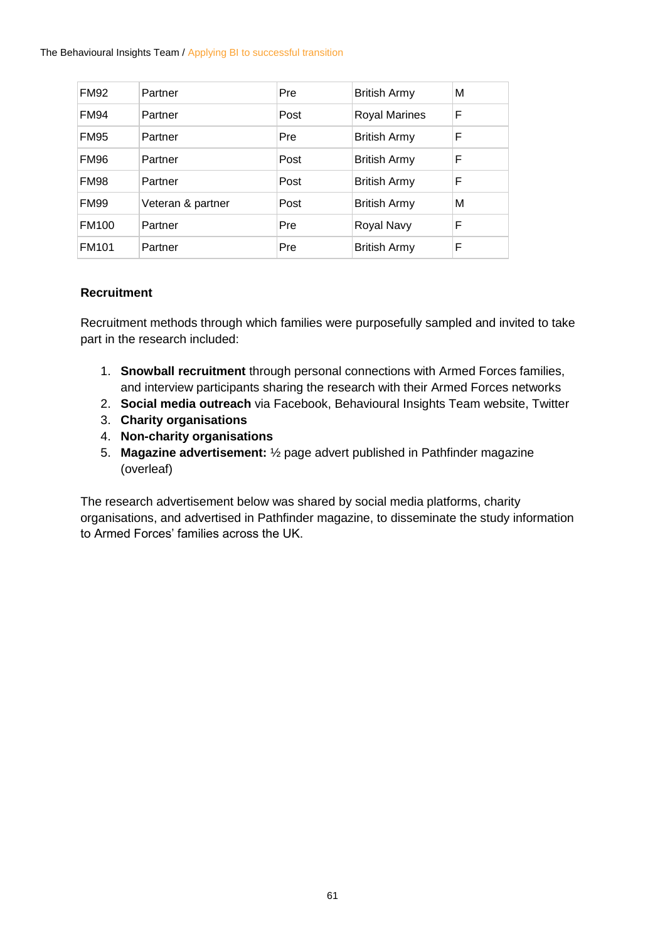The Behavioural Insights Team / Applying BI to successful transition

| <b>FM92</b>  | Partner           | Pre  | <b>British Army</b>  | М |
|--------------|-------------------|------|----------------------|---|
| <b>FM94</b>  | Partner           | Post | <b>Royal Marines</b> | F |
| <b>FM95</b>  | Partner           | Pre  | <b>British Army</b>  | F |
| <b>FM96</b>  | Partner           | Post | <b>British Army</b>  | F |
| <b>FM98</b>  | Partner           | Post | <b>British Army</b>  | F |
| <b>FM99</b>  | Veteran & partner | Post | <b>British Army</b>  | М |
| <b>FM100</b> | Partner           | Pre  | Royal Navy           | F |
| <b>FM101</b> | Partner           | Pre  | <b>British Army</b>  | F |

#### **Recruitment**

Recruitment methods through which families were purposefully sampled and invited to take part in the research included:

- 1. **Snowball recruitment** through personal connections with Armed Forces families, and interview participants sharing the research with their Armed Forces networks
- 2. **Social media outreach** via Facebook, Behavioural Insights Team website, Twitter
- 3. **Charity organisations**
- 4. **Non-charity organisations**
- 5. **Magazine advertisement:** ½ page advert published in Pathfinder magazine (overleaf)

The research advertisement below was shared by social media platforms, charity organisations, and advertised in Pathfinder magazine, to disseminate the study information to Armed Forces' families across the UK.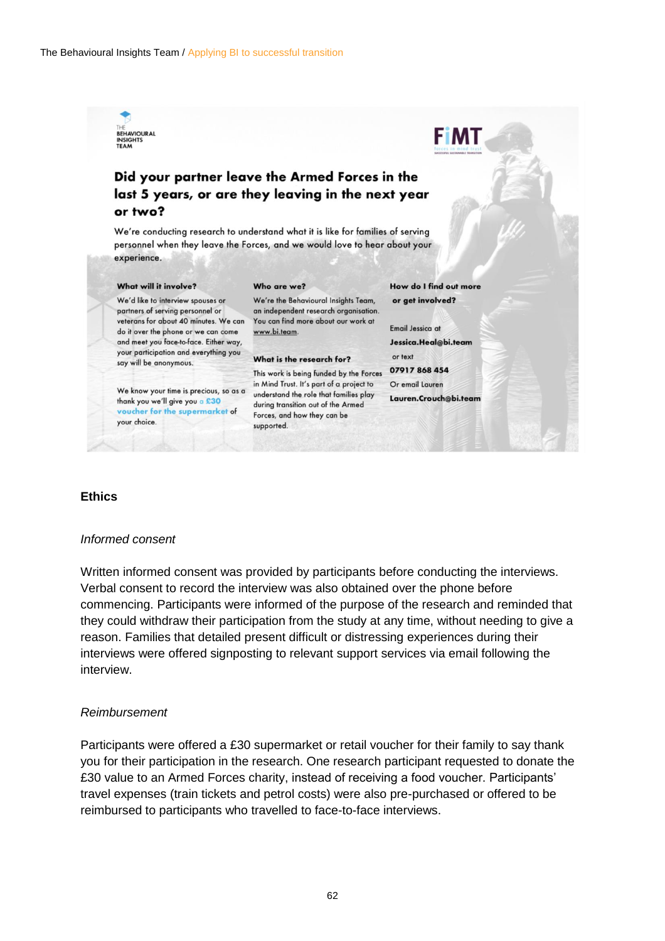

#### Did your partner leave the Armed Forces in the last 5 years, or are they leaving in the next year or two?

We're conducting research to understand what it is like for families of serving personnel when they leave the Forces, and we would love to hear about your experience.

#### What will it involve?

We'd like to interview spouses or partners of serving personnel or veterans for about 40 minutes. We can do it over the phone or we can come and meet you face-to-face. Either way, your participation and everything you say will be anonymous.

thank you we'll give you a £30 voucher for the supermarket of your choice.

#### Who are we?

We're the Behavioural Insights Team, an independent research organisation. You can find more about our work at www.bi.team.

#### What is the research for?

This work is being funded by the Forces in Mind Trust. It's part of a project to We know your time is precious, so as a in Mind Trust. It's part of a project to<br>thank you wa'll give you a \$30. during transition out of the Armed Forces, and how they can be supported.

How do I find out more or get involved?

**FIMT** 

**Email Jessica at** Jessica.Heal@bi.team or text

07917 868 454 Or email Lauren Lauren.Crouch@bi.team

#### **Ethics**

#### *Informed consent*

Written informed consent was provided by participants before conducting the interviews. Verbal consent to record the interview was also obtained over the phone before commencing. Participants were informed of the purpose of the research and reminded that they could withdraw their participation from the study at any time, without needing to give a reason. Families that detailed present difficult or distressing experiences during their interviews were offered signposting to relevant support services via email following the interview.

#### *Reimbursement*

Participants were offered a £30 supermarket or retail voucher for their family to say thank you for their participation in the research. One research participant requested to donate the £30 value to an Armed Forces charity, instead of receiving a food voucher. Participants' travel expenses (train tickets and petrol costs) were also pre-purchased or offered to be reimbursed to participants who travelled to face-to-face interviews.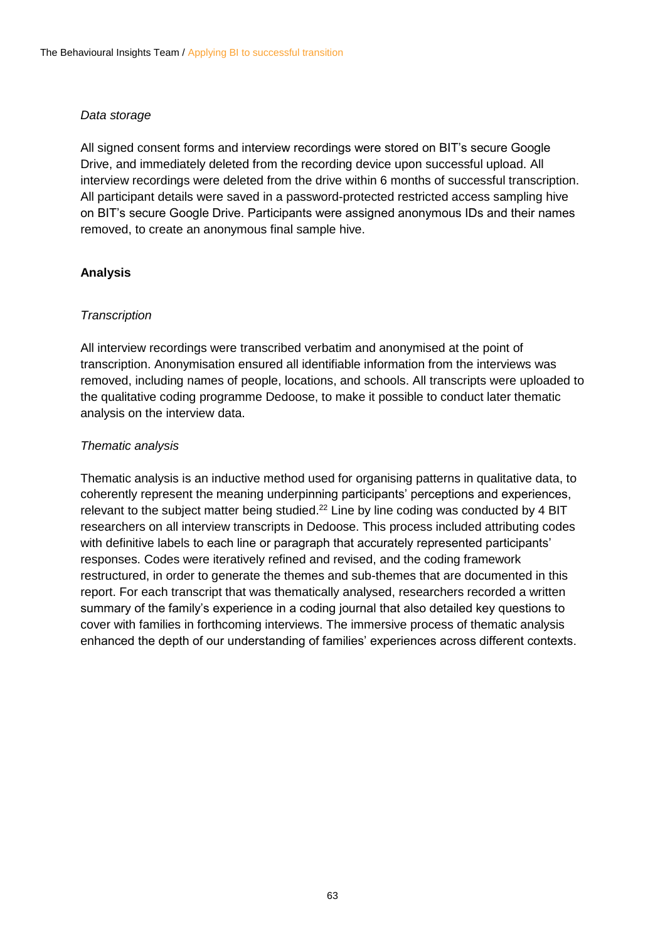#### *Data storage*

All signed consent forms and interview recordings were stored on BIT's secure Google Drive, and immediately deleted from the recording device upon successful upload. All interview recordings were deleted from the drive within 6 months of successful transcription. All participant details were saved in a password-protected restricted access sampling hive on BIT's secure Google Drive. Participants were assigned anonymous IDs and their names removed, to create an anonymous final sample hive.

#### **Analysis**

#### *Transcription*

All interview recordings were transcribed verbatim and anonymised at the point of transcription. Anonymisation ensured all identifiable information from the interviews was removed, including names of people, locations, and schools. All transcripts were uploaded to the qualitative coding programme Dedoose, to make it possible to conduct later thematic analysis on the interview data.

#### *Thematic analysis*

Thematic analysis is an inductive method used for organising patterns in qualitative data, to coherently represent the meaning underpinning participants' perceptions and experiences, relevant to the subject matter being studied.<sup>22</sup> Line by line coding was conducted by 4 BIT researchers on all interview transcripts in Dedoose. This process included attributing codes with definitive labels to each line or paragraph that accurately represented participants' responses. Codes were iteratively refined and revised, and the coding framework restructured, in order to generate the themes and sub-themes that are documented in this report. For each transcript that was thematically analysed, researchers recorded a written summary of the family's experience in a coding journal that also detailed key questions to cover with families in forthcoming interviews. The immersive process of thematic analysis enhanced the depth of our understanding of families' experiences across different contexts.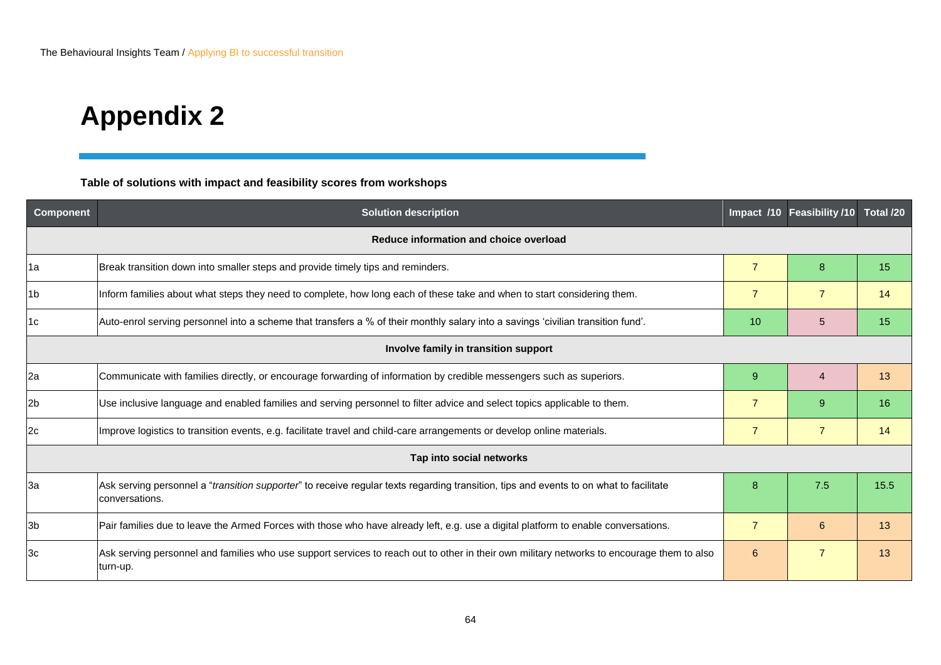### **Appendix 2**

**Table of solutions with impact and feasibility scores from workshops**

<span id="page-63-0"></span>

| <b>Component</b>                       | <b>Solution description</b>                                                                                                                              | Impact /10     | Feasibility /10 | Total /20 |
|----------------------------------------|----------------------------------------------------------------------------------------------------------------------------------------------------------|----------------|-----------------|-----------|
| Reduce information and choice overload |                                                                                                                                                          |                |                 |           |
| 1a                                     | Break transition down into smaller steps and provide timely tips and reminders.                                                                          | $\overline{7}$ | 8               | 15        |
| 1b                                     | Inform families about what steps they need to complete, how long each of these take and when to start considering them.                                  | $\overline{7}$ | $\overline{7}$  | 14        |
| 1c                                     | Auto-enrol serving personnel into a scheme that transfers a % of their monthly salary into a savings 'civilian transition fund'.                         | 10             | 5               | 15        |
|                                        | Involve family in transition support                                                                                                                     |                |                 |           |
| 2a                                     | Communicate with families directly, or encourage forwarding of information by credible messengers such as superiors.                                     | 9              | 4               | 13        |
| 2b                                     | Use inclusive language and enabled families and serving personnel to filter advice and select topics applicable to them.                                 | $\overline{7}$ | 9               | 16        |
| 2c                                     | Improve logistics to transition events, e.g. facilitate travel and child-care arrangements or develop online materials.                                  | $\overline{7}$ | $\overline{7}$  | 14        |
|                                        | Tap into social networks                                                                                                                                 |                |                 |           |
| За                                     | Ask serving personnel a "transition supporter" to receive regular texts regarding transition, tips and events to on what to facilitate<br>conversations. | 8              | 7.5             | 15.5      |
| 3b                                     | Pair families due to leave the Armed Forces with those who have already left, e.g. use a digital platform to enable conversations.                       | $\overline{7}$ | 6               | 13        |
| Зc                                     | Ask serving personnel and families who use support services to reach out to other in their own military networks to encourage them to also<br>turn-up.   | 6              | $\overline{7}$  | 13        |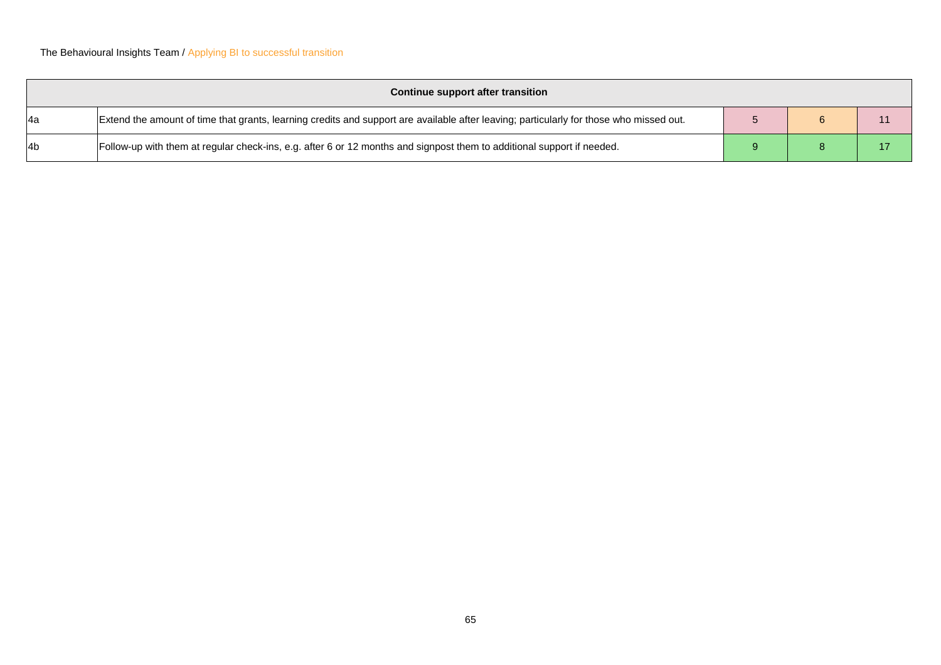|                  | Continue support after transition                                                                                                       |  |  |
|------------------|-----------------------------------------------------------------------------------------------------------------------------------------|--|--|
| l4a              | Extend the amount of time that grants, learning credits and support are available after leaving; particularly for those who missed out. |  |  |
| l <sub>4</sub> b | Follow-up with them at regular check-ins, e.g. after 6 or 12 months and signpost them to additional support if needed.                  |  |  |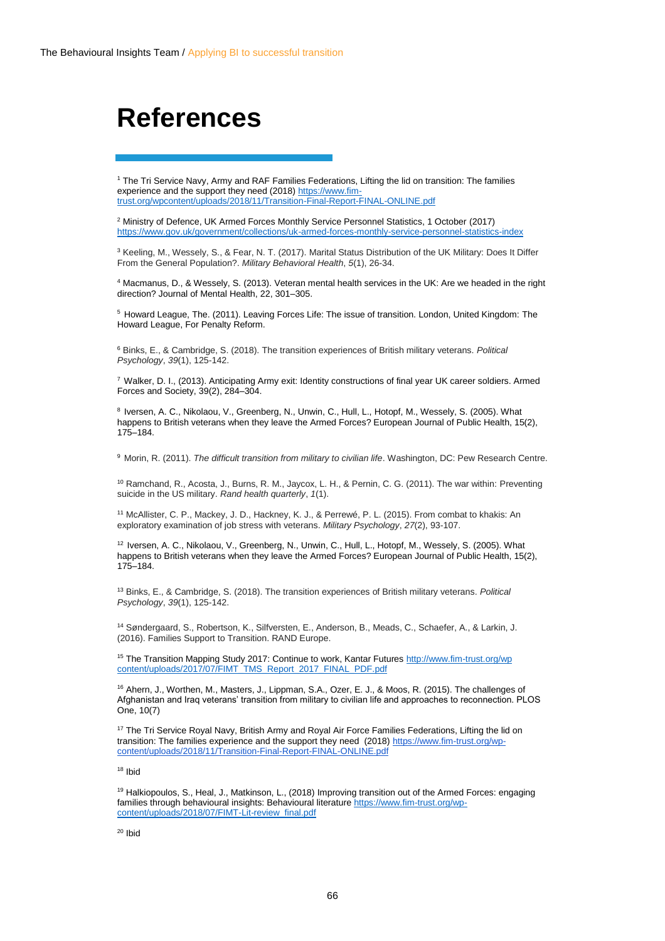### <span id="page-65-0"></span>**References**

<sup>1</sup> The Tri Service Navy, Army and RAF Families Federations, Lifting the lid on transition: The families experience and the support they need (2018) [https://www.fim](https://www.fim-trust.org/wpcontent/uploads/2018/11/Transition-Final-Report-FINAL-ONLINE.pdf)[trust.org/wpcontent/uploads/2018/11/Transition-Final-Report-FINAL-ONLINE.pdf](https://www.fim-trust.org/wpcontent/uploads/2018/11/Transition-Final-Report-FINAL-ONLINE.pdf)

<sup>2</sup> Ministry of Defence, UK Armed Forces Monthly Service Personnel Statistics, 1 October (2017) <https://www.gov.uk/government/collections/uk-armed-forces-monthly-service-personnel-statistics-index>

<sup>3</sup> Keeling, M., Wessely, S., & Fear, N. T. (2017). Marital Status Distribution of the UK Military: Does It Differ From the General Population?. *Military Behavioral Health*, *5*(1), 26-34.

<sup>4</sup> Macmanus, D., & Wessely, S. (2013). Veteran mental health services in the UK: Are we headed in the right direction? Journal of Mental Health, 22, 301–305.

<sup>5</sup> Howard League, The. (2011). Leaving Forces Life: The issue of transition. London, United Kingdom: The Howard League, For Penalty Reform.

<sup>6</sup> Binks, E., & Cambridge, S. (2018). The transition experiences of British military veterans. *Political Psychology*, *39*(1), 125-142.

<sup>7</sup> Walker, D. I., (2013). Anticipating Army exit: Identity constructions of final year UK career soldiers. Armed Forces and Society, 39(2), 284–304.

8 Iversen, A. C., Nikolaou, V., Greenberg, N., Unwin, C., Hull, L., Hotopf, M., Wessely, S. (2005). What happens to British veterans when they leave the Armed Forces? European Journal of Public Health, 15(2), 175–184.

<sup>9</sup> Morin, R. (2011). *The difficult transition from military to civilian life*. Washington, DC: Pew Research Centre.

<sup>10</sup> Ramchand, R., Acosta, J., Burns, R. M., Jaycox, L. H., & Pernin, C. G. (2011). The war within: Preventing suicide in the US military. *Rand health quarterly*, *1*(1).

<sup>11</sup> McAllister, C. P., Mackey, J. D., Hackney, K. J., & Perrewé, P. L. (2015). From combat to khakis: An exploratory examination of job stress with veterans. *Military Psychology*, *27*(2), 93-107.

<sup>12</sup> Iversen, A. C., Nikolaou, V., Greenberg, N., Unwin, C., Hull, L., Hotopf, M., Wessely, S. (2005). What happens to British veterans when they leave the Armed Forces? European Journal of Public Health, 15(2), 175–184.

<sup>13</sup> Binks, E., & Cambridge, S. (2018). The transition experiences of British military veterans. *Political Psychology*, *39*(1), 125-142.

<sup>14</sup> Søndergaard, S., Robertson, K., Silfversten, E., Anderson, B., Meads, C., Schaefer, A., & Larkin, J. (2016). Families Support to Transition. RAND Europe.

<sup>15</sup> The Transition Mapping Study 2017: Continue to work, Kantar Future[s http://www.fim-trust.org/wp](http://www.fim-trust.org/wp%20content/uploads/2017/07/FIMT_TMS_Report_2017_FINAL_PDF.pdf)  [content/uploads/2017/07/FIMT\\_TMS\\_Report\\_2017\\_FINAL\\_PDF.pdf](http://www.fim-trust.org/wp%20content/uploads/2017/07/FIMT_TMS_Report_2017_FINAL_PDF.pdf)

<sup>16</sup> Ahern, J., Worthen, M., Masters, J., Lippman, S.A., Ozer, E. J., & Moos, R. (2015). The challenges of Afghanistan and Iraq veterans' transition from military to civilian life and approaches to reconnection. PLOS One, 10(7)

<sup>17</sup> The Tri Service Royal Navy, British Army and Royal Air Force Families Federations, Lifting the lid on transition: The families experience and the support they need (2018) [https://www.fim-trust.org/wp](https://www.fim-trust.org/wp-content/uploads/2018/11/Transition-Final-Report-FINAL-ONLINE.pdf)[content/uploads/2018/11/Transition-Final-Report-FINAL-ONLINE.pdf](https://www.fim-trust.org/wp-content/uploads/2018/11/Transition-Final-Report-FINAL-ONLINE.pdf)

<sup>18</sup> Ibid

<sup>19</sup> Halkiopoulos, S., Heal, J., Matkinson, L., (2018) Improving transition out of the Armed Forces: engaging families through behavioural insights: Behavioural literatur[e https://www.fim-trust.org/wp](https://www.fim-trust.org/wp-content/uploads/2018/07/FIMT-Lit-review_final.pdf)[content/uploads/2018/07/FIMT-Lit-review\\_final.pdf](https://www.fim-trust.org/wp-content/uploads/2018/07/FIMT-Lit-review_final.pdf)

 $20$  Ibid